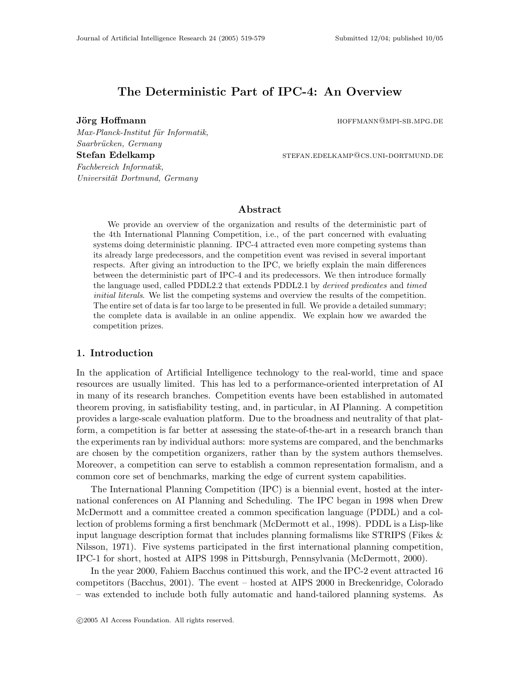# The Deterministic Part of IPC-4: An Overview

Saarbrücken, Germany

Fachbereich Informatik,

Universität Dortmund, Germany

Jörg Hoffmann hoffmann hoffmann hoffmann hoffmann hoffmann hoffmann hoffmann hoffmann hoffmann hoffmann hoffmann hoffmann hoffmann hoffmann hoffmann hoffmann hoffmann hoffmann hoffmann hoffmann hoffmann hoffmann hoffmann h

Stefan Edelkamp stefan.edelkamp stefan.edelkamp@cs.uni-dortmund.de

# Abstract

We provide an overview of the organization and results of the deterministic part of the 4th International Planning Competition, i.e., of the part concerned with evaluating systems doing deterministic planning. IPC-4 attracted even more competing systems than its already large predecessors, and the competition event was revised in several important respects. After giving an introduction to the IPC, we briefly explain the main differences between the deterministic part of IPC-4 and its predecessors. We then introduce formally the language used, called PDDL2.2 that extends PDDL2.1 by derived predicates and timed initial literals. We list the competing systems and overview the results of the competition. The entire set of data is far too large to be presented in full. We provide a detailed summary; the complete data is available in an online appendix. We explain how we awarded the competition prizes.

# 1. Introduction

In the application of Artificial Intelligence technology to the real-world, time and space resources are usually limited. This has led to a performance-oriented interpretation of AI in many of its research branches. Competition events have been established in automated theorem proving, in satisfiability testing, and, in particular, in AI Planning. A competition provides a large-scale evaluation platform. Due to the broadness and neutrality of that platform, a competition is far better at assessing the state-of-the-art in a research branch than the experiments ran by individual authors: more systems are compared, and the benchmarks are chosen by the competition organizers, rather than by the system authors themselves. Moreover, a competition can serve to establish a common representation formalism, and a common core set of benchmarks, marking the edge of current system capabilities.

The International Planning Competition (IPC) is a biennial event, hosted at the international conferences on AI Planning and Scheduling. The IPC began in 1998 when Drew McDermott and a committee created a common specification language (PDDL) and a collection of problems forming a first benchmark (McDermott et al., 1998). PDDL is a Lisp-like input language description format that includes planning formalisms like STRIPS (Fikes  $\&$ Nilsson, 1971). Five systems participated in the first international planning competition, IPC-1 for short, hosted at AIPS 1998 in Pittsburgh, Pennsylvania (McDermott, 2000).

In the year 2000, Fahiem Bacchus continued this work, and the IPC-2 event attracted 16 competitors (Bacchus, 2001). The event – hosted at AIPS 2000 in Breckenridge, Colorado – was extended to include both fully automatic and hand-tailored planning systems. As

# Max-Planck-Institut für Informatik,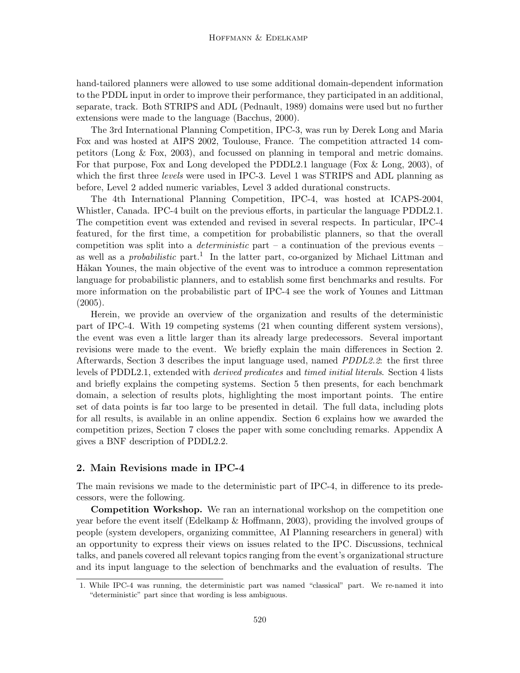hand-tailored planners were allowed to use some additional domain-dependent information to the PDDL input in order to improve their performance, they participated in an additional, separate, track. Both STRIPS and ADL (Pednault, 1989) domains were used but no further extensions were made to the language (Bacchus, 2000).

The 3rd International Planning Competition, IPC-3, was run by Derek Long and Maria Fox and was hosted at AIPS 2002, Toulouse, France. The competition attracted 14 competitors (Long & Fox, 2003), and focussed on planning in temporal and metric domains. For that purpose, Fox and Long developed the PDDL2.1 language (Fox & Long, 2003), of which the first three *levels* were used in IPC-3. Level 1 was STRIPS and ADL planning as before, Level 2 added numeric variables, Level 3 added durational constructs.

The 4th International Planning Competition, IPC-4, was hosted at ICAPS-2004, Whistler, Canada. IPC-4 built on the previous efforts, in particular the language PDDL2.1. The competition event was extended and revised in several respects. In particular, IPC-4 featured, for the first time, a competition for probabilistic planners, so that the overall competition was split into a *deterministic* part – a continuation of the previous events – as well as a *probabilistic* part.<sup>1</sup> In the latter part, co-organized by Michael Littman and Håkan Younes, the main objective of the event was to introduce a common representation language for probabilistic planners, and to establish some first benchmarks and results. For more information on the probabilistic part of IPC-4 see the work of Younes and Littman  $(2005).$ 

Herein, we provide an overview of the organization and results of the deterministic part of IPC-4. With 19 competing systems (21 when counting different system versions), the event was even a little larger than its already large predecessors. Several important revisions were made to the event. We briefly explain the main differences in Section 2. Afterwards, Section 3 describes the input language used, named *PDDL2.2*: the first three levels of PDDL2.1, extended with derived predicates and timed initial literals. Section 4 lists and briefly explains the competing systems. Section 5 then presents, for each benchmark domain, a selection of results plots, highlighting the most important points. The entire set of data points is far too large to be presented in detail. The full data, including plots for all results, is available in an online appendix. Section 6 explains how we awarded the competition prizes, Section 7 closes the paper with some concluding remarks. Appendix A gives a BNF description of PDDL2.2.

# 2. Main Revisions made in IPC-4

The main revisions we made to the deterministic part of IPC-4, in difference to its predecessors, were the following.

Competition Workshop. We ran an international workshop on the competition one year before the event itself (Edelkamp & Hoffmann, 2003), providing the involved groups of people (system developers, organizing committee, AI Planning researchers in general) with an opportunity to express their views on issues related to the IPC. Discussions, technical talks, and panels covered all relevant topics ranging from the event's organizational structure and its input language to the selection of benchmarks and the evaluation of results. The

<sup>1.</sup> While IPC-4 was running, the deterministic part was named "classical" part. We re-named it into "deterministic" part since that wording is less ambiguous.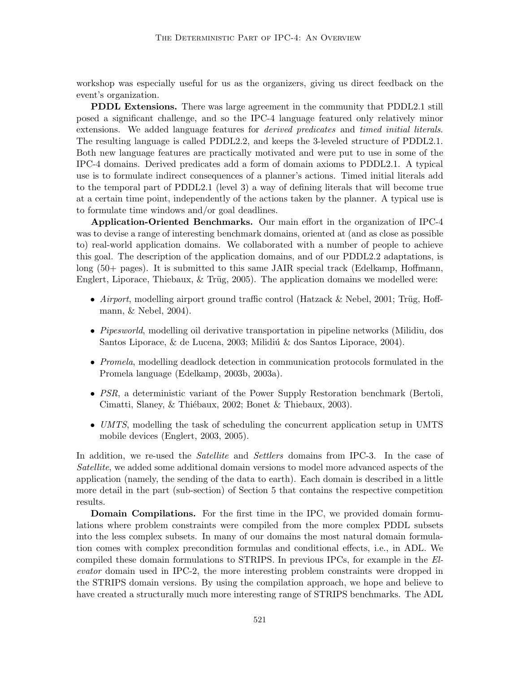workshop was especially useful for us as the organizers, giving us direct feedback on the event's organization.

PDDL Extensions. There was large agreement in the community that PDDL2.1 still posed a significant challenge, and so the IPC-4 language featured only relatively minor extensions. We added language features for *derived predicates* and *timed initial literals.* The resulting language is called PDDL2.2, and keeps the 3-leveled structure of PDDL2.1. Both new language features are practically motivated and were put to use in some of the IPC-4 domains. Derived predicates add a form of domain axioms to PDDL2.1. A typical use is to formulate indirect consequences of a planner's actions. Timed initial literals add to the temporal part of PDDL2.1 (level 3) a way of defining literals that will become true at a certain time point, independently of the actions taken by the planner. A typical use is to formulate time windows and/or goal deadlines.

Application-Oriented Benchmarks. Our main effort in the organization of IPC-4 was to devise a range of interesting benchmark domains, oriented at (and as close as possible to) real-world application domains. We collaborated with a number of people to achieve this goal. The description of the application domains, and of our PDDL2.2 adaptations, is long (50+ pages). It is submitted to this same JAIR special track (Edelkamp, Hoffmann, Englert, Liporace, Thiebaux,  $&$  Trüg, 2005). The application domains we modelled were:

- Airport, modelling airport ground traffic control (Hatzack & Nebel, 2001; Trüg, Hoffmann, & Nebel, 2004).
- *Pipesworld*, modelling oil derivative transportation in pipeline networks (Milidiu, dos Santos Liporace,  $\&$  de Lucena, 2003; Milidiú  $\&$  dos Santos Liporace, 2004).
- Promela, modelling deadlock detection in communication protocols formulated in the Promela language (Edelkamp, 2003b, 2003a).
- *PSR*, a deterministic variant of the Power Supply Restoration benchmark (Bertoli, Cimatti, Slaney, & Thiébaux, 2002; Bonet & Thiebaux, 2003).
- UMTS, modelling the task of scheduling the concurrent application setup in UMTS mobile devices (Englert, 2003, 2005).

In addition, we re-used the *Satellite* and *Settlers* domains from IPC-3. In the case of Satellite, we added some additional domain versions to model more advanced aspects of the application (namely, the sending of the data to earth). Each domain is described in a little more detail in the part (sub-section) of Section 5 that contains the respective competition results.

Domain Compilations. For the first time in the IPC, we provided domain formulations where problem constraints were compiled from the more complex PDDL subsets into the less complex subsets. In many of our domains the most natural domain formulation comes with complex precondition formulas and conditional effects, i.e., in ADL. We compiled these domain formulations to STRIPS. In previous IPCs, for example in the Elevator domain used in IPC-2, the more interesting problem constraints were dropped in the STRIPS domain versions. By using the compilation approach, we hope and believe to have created a structurally much more interesting range of STRIPS benchmarks. The ADL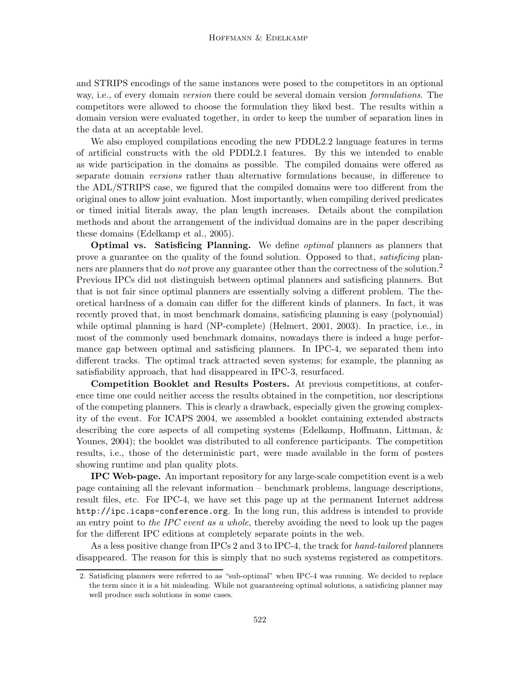and STRIPS encodings of the same instances were posed to the competitors in an optional way, i.e., of every domain *version* there could be several domain version *formulations*. The competitors were allowed to choose the formulation they liked best. The results within a domain version were evaluated together, in order to keep the number of separation lines in the data at an acceptable level.

We also employed compilations encoding the new PDDL2.2 language features in terms of artificial constructs with the old PDDL2.1 features. By this we intended to enable as wide participation in the domains as possible. The compiled domains were offered as separate domain *versions* rather than alternative formulations because, in difference to the ADL/STRIPS case, we figured that the compiled domains were too different from the original ones to allow joint evaluation. Most importantly, when compiling derived predicates or timed initial literals away, the plan length increases. Details about the compilation methods and about the arrangement of the individual domains are in the paper describing these domains (Edelkamp et al., 2005).

**Optimal vs. Satisficing Planning.** We define *optimal* planners as planners that prove a guarantee on the quality of the found solution. Opposed to that, *satisficing* planners are planners that do *not* prove any guarantee other than the correctness of the solution.<sup>2</sup> Previous IPCs did not distinguish between optimal planners and satisficing planners. But that is not fair since optimal planners are essentially solving a different problem. The theoretical hardness of a domain can differ for the different kinds of planners. In fact, it was recently proved that, in most benchmark domains, satisficing planning is easy (polynomial) while optimal planning is hard (NP-complete) (Helmert, 2001, 2003). In practice, i.e., in most of the commonly used benchmark domains, nowadays there is indeed a huge performance gap between optimal and satisficing planners. In IPC-4, we separated them into different tracks. The optimal track attracted seven systems; for example, the planning as satisfiability approach, that had disappeared in IPC-3, resurfaced.

Competition Booklet and Results Posters. At previous competitions, at conference time one could neither access the results obtained in the competition, nor descriptions of the competing planners. This is clearly a drawback, especially given the growing complexity of the event. For ICAPS 2004, we assembled a booklet containing extended abstracts describing the core aspects of all competing systems (Edelkamp, Hoffmann, Littman, & Younes, 2004); the booklet was distributed to all conference participants. The competition results, i.e., those of the deterministic part, were made available in the form of posters showing runtime and plan quality plots.

IPC Web-page. An important repository for any large-scale competition event is a web page containing all the relevant information – benchmark problems, language descriptions, result files, etc. For IPC-4, we have set this page up at the permanent Internet address http://ipc.icaps-conference.org. In the long run, this address is intended to provide an entry point to the IPC event as a whole, thereby avoiding the need to look up the pages for the different IPC editions at completely separate points in the web.

As a less positive change from IPCs 2 and 3 to IPC-4, the track for hand-tailored planners disappeared. The reason for this is simply that no such systems registered as competitors.

<sup>2.</sup> Satisficing planners were referred to as "sub-optimal" when IPC-4 was running. We decided to replace the term since it is a bit misleading. While not guaranteeing optimal solutions, a satisficing planner may well produce such solutions in some cases.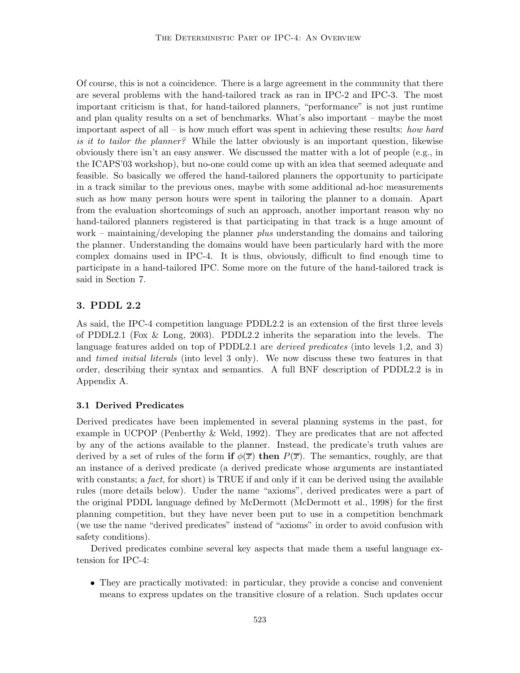Of course, this is not a coincidence. There is a large agreement in the community that there are several problems with the hand-tailored track as ran in IPC-2 and IPC-3. The most important criticism is that, for hand-tailored planners, "performance" is not just runtime and plan quality results on a set of benchmarks. What's also important – maybe the most important aspect of all – is how much effort was spent in achieving these results: how hard is it to tailor the planner? While the latter obviously is an important question, likewise obviously there isn't an easy answer. We discussed the matter with a lot of people (e.g., in the ICAPS'03 workshop), but no-one could come up with an idea that seemed adequate and feasible. So basically we offered the hand-tailored planners the opportunity to participate in a track similar to the previous ones, maybe with some additional ad-hoc measurements such as how many person hours were spent in tailoring the planner to a domain. Apart from the evaluation shortcomings of such an approach, another important reason why no hand-tailored planners registered is that participating in that track is a huge amount of work – maintaining/developing the planner *plus* understanding the domains and tailoring the planner. Understanding the domains would have been particularly hard with the more complex domains used in IPC-4. It is thus, obviously, difficult to find enough time to participate in a hand-tailored IPC. Some more on the future of the hand-tailored track is said in Section 7.

# 3. PDDL 2.2

As said, the IPC-4 competition language PDDL2.2 is an extension of the first three levels of PDDL2.1 (Fox & Long, 2003). PDDL2.2 inherits the separation into the levels. The language features added on top of PDDL2.1 are *derived predicates* (into levels 1,2, and 3) and *timed initial literals* (into level 3 only). We now discuss these two features in that order, describing their syntax and semantics. A full BNF description of PDDL2.2 is in Appendix A.

## 3.1 Derived Predicates

Derived predicates have been implemented in several planning systems in the past, for example in UCPOP (Penberthy & Weld, 1992). They are predicates that are not affected by any of the actions available to the planner. Instead, the predicate's truth values are derived by a set of rules of the form if  $\phi(\overline{x})$  then  $P(\overline{x})$ . The semantics, roughly, are that an instance of a derived predicate (a derived predicate whose arguments are instantiated with constants; a fact, for short) is TRUE if and only if it can be derived using the available rules (more details below). Under the name "axioms", derived predicates were a part of the original PDDL language defined by McDermott (McDermott et al., 1998) for the first planning competition, but they have never been put to use in a competition benchmark (we use the name "derived predicates" instead of "axioms" in order to avoid confusion with safety conditions).

Derived predicates combine several key aspects that made them a useful language extension for IPC-4:

• They are practically motivated: in particular, they provide a concise and convenient means to express updates on the transitive closure of a relation. Such updates occur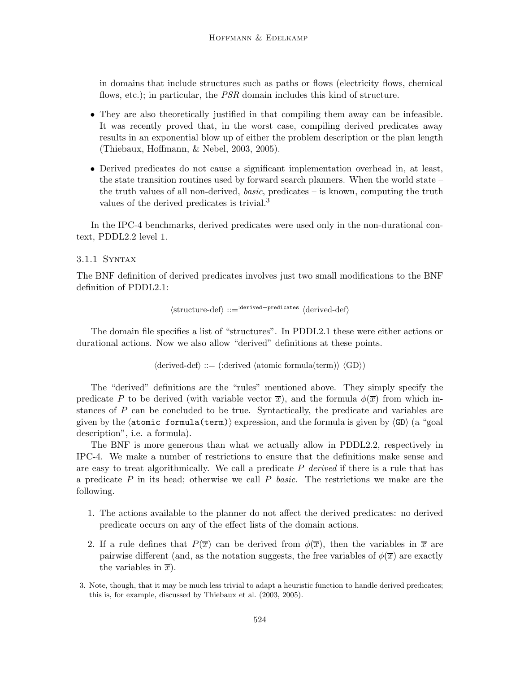in domains that include structures such as paths or flows (electricity flows, chemical flows, etc.); in particular, the PSR domain includes this kind of structure.

- They are also theoretically justified in that compiling them away can be infeasible. It was recently proved that, in the worst case, compiling derived predicates away results in an exponential blow up of either the problem description or the plan length (Thiebaux, Hoffmann, & Nebel, 2003, 2005).
- Derived predicates do not cause a significant implementation overhead in, at least, the state transition routines used by forward search planners. When the world state – the truth values of all non-derived, *basic*, predicates  $-$  is known, computing the truth values of the derived predicates is trivial.<sup>3</sup>

In the IPC-4 benchmarks, derived predicates were used only in the non-durational context, PDDL2.2 level 1.

# 3.1.1 Syntax

The BNF definition of derived predicates involves just two small modifications to the BNF definition of PDDL2.1:

hstructure-defi ::=:derived−predicates hderived-defi

The domain file specifies a list of "structures". In PDDL2.1 these were either actions or durational actions. Now we also allow "derived" definitions at these points.

 $\langle$ derived-def $\rangle ::= (\text{:derived } \langle \text{atomic formula}(\text{term})\rangle \langle \text{GD}\rangle)$ 

The "derived" definitions are the "rules" mentioned above. They simply specify the predicate P to be derived (with variable vector  $\overline{x}$ ), and the formula  $\phi(\overline{x})$  from which instances of  $P$  can be concluded to be true. Syntactically, the predicate and variables are given by the  $\langle \text{atomic formula}(term) \rangle$  expression, and the formula is given by  $\langle \text{GD} \rangle$  (a "goal description", i.e. a formula).

The BNF is more generous than what we actually allow in PDDL2.2, respectively in IPC-4. We make a number of restrictions to ensure that the definitions make sense and are easy to treat algorithmically. We call a predicate  $P$  derived if there is a rule that has a predicate  $P$  in its head; otherwise we call  $P$  basic. The restrictions we make are the following.

- 1. The actions available to the planner do not affect the derived predicates: no derived predicate occurs on any of the effect lists of the domain actions.
- 2. If a rule defines that  $P(\bar{x})$  can be derived from  $\phi(\bar{x})$ , then the variables in  $\bar{x}$  are pairwise different (and, as the notation suggests, the free variables of  $\phi(\overline{x})$  are exactly the variables in  $\overline{x}$ ).

<sup>3.</sup> Note, though, that it may be much less trivial to adapt a heuristic function to handle derived predicates; this is, for example, discussed by Thiebaux et al. (2003, 2005).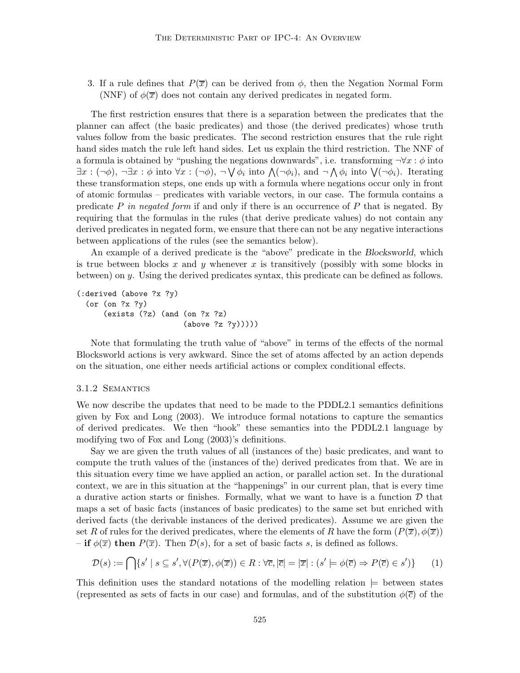3. If a rule defines that  $P(\overline{x})$  can be derived from  $\phi$ , then the Negation Normal Form (NNF) of  $\phi(\overline{x})$  does not contain any derived predicates in negated form.

The first restriction ensures that there is a separation between the predicates that the planner can affect (the basic predicates) and those (the derived predicates) whose truth values follow from the basic predicates. The second restriction ensures that the rule right hand sides match the rule left hand sides. Let us explain the third restriction. The NNF of a formula is obtained by "pushing the negations downwards", i.e. transforming  $\neg \forall x : \phi$  into  $\exists x: (\neg\phi), \neg \exists x: \phi \text{ into } \forall x: (\neg\phi), \neg \bigvee \phi_i \text{ into } \bigwedge (\neg\phi_i), \text{ and } \neg \bigwedge \phi_i \text{ into } \bigvee (\neg\phi_i).$  Iterating these transformation steps, one ends up with a formula where negations occur only in front of atomic formulas – predicates with variable vectors, in our case. The formula contains a predicate P in negated form if and only if there is an occurrence of P that is negated. By requiring that the formulas in the rules (that derive predicate values) do not contain any derived predicates in negated form, we ensure that there can not be any negative interactions between applications of the rules (see the semantics below).

An example of a derived predicate is the "above" predicate in the Blocksworld, which is true between blocks x and y whenever x is transitively (possibly with some blocks in between) on y. Using the derived predicates syntax, this predicate can be defined as follows.

```
(:derived (above ?x ?y)
  (or (on ?x ?y)
      (exists (?z) (and (on ?x ?z)
                         (above ?z ?y)))))
```
Note that formulating the truth value of "above" in terms of the effects of the normal Blocksworld actions is very awkward. Since the set of atoms affected by an action depends on the situation, one either needs artificial actions or complex conditional effects.

#### 3.1.2 Semantics

We now describe the updates that need to be made to the PDDL2.1 semantics definitions given by Fox and Long (2003). We introduce formal notations to capture the semantics of derived predicates. We then "hook" these semantics into the PDDL2.1 language by modifying two of Fox and Long (2003)'s definitions.

Say we are given the truth values of all (instances of the) basic predicates, and want to compute the truth values of the (instances of the) derived predicates from that. We are in this situation every time we have applied an action, or parallel action set. In the durational context, we are in this situation at the "happenings" in our current plan, that is every time a durative action starts or finishes. Formally, what we want to have is a function  $D$  that maps a set of basic facts (instances of basic predicates) to the same set but enriched with derived facts (the derivable instances of the derived predicates). Assume we are given the set R of rules for the derived predicates, where the elements of R have the form  $(P(\overline{x}), \phi(\overline{x}))$  $-$  if  $\phi(\overline{x})$  then  $P(\overline{x})$ . Then  $\mathcal{D}(s)$ , for a set of basic facts s, is defined as follows.

$$
\mathcal{D}(s) := \bigcap \{ s' \mid s \subseteq s', \forall (P(\overline{x}), \phi(\overline{x})) \in R : \forall \overline{c}, |\overline{c}| = |\overline{x}| : (s' \models \phi(\overline{c}) \Rightarrow P(\overline{c}) \in s') \} \tag{1}
$$

This definition uses the standard notations of the modelling relation  $\models$  between states (represented as sets of facts in our case) and formulas, and of the substitution  $\phi(\bar{c})$  of the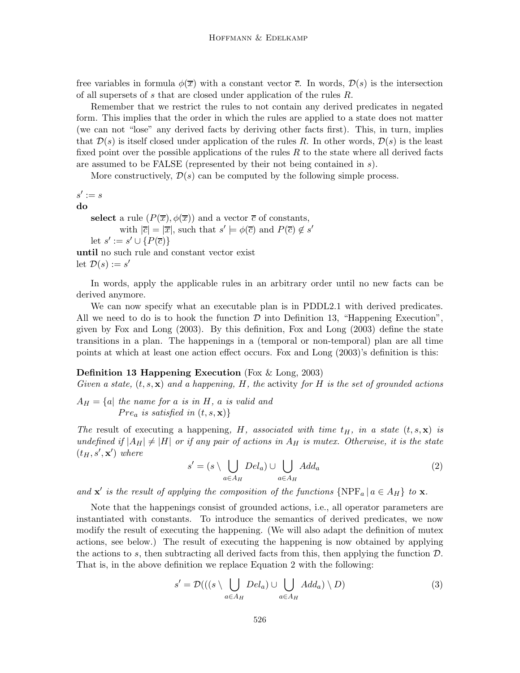free variables in formula  $\phi(\overline{x})$  with a constant vector  $\overline{c}$ . In words,  $\mathcal{D}(s)$  is the intersection of all supersets of s that are closed under application of the rules R.

Remember that we restrict the rules to not contain any derived predicates in negated form. This implies that the order in which the rules are applied to a state does not matter (we can not "lose" any derived facts by deriving other facts first). This, in turn, implies that  $\mathcal{D}(s)$  is itself closed under application of the rules R. In other words,  $\mathcal{D}(s)$  is the least fixed point over the possible applications of the rules  $R$  to the state where all derived facts are assumed to be FALSE (represented by their not being contained in s).

More constructively,  $\mathcal{D}(s)$  can be computed by the following simple process.

 $s' := s$ 

do

select a rule  $(P(\overline{x}), \phi(\overline{x}))$  and a vector  $\overline{c}$  of constants,

with  $|\overline{c}| = |\overline{x}|$ , such that  $s' \models \phi(\overline{c})$  and  $P(\overline{c}) \notin s'$ let  $s' := s' \cup \{P(\overline{c})\}$ until no such rule and constant vector exist let  $\mathcal{D}(s) := s'$ 

In words, apply the applicable rules in an arbitrary order until no new facts can be derived anymore.

We can now specify what an executable plan is in PDDL2.1 with derived predicates. All we need to do is to hook the function  $\mathcal D$  into Definition 13, "Happening Execution", given by Fox and Long (2003). By this definition, Fox and Long (2003) define the state transitions in a plan. The happenings in a (temporal or non-temporal) plan are all time points at which at least one action effect occurs. Fox and Long (2003)'s definition is this:

## **Definition 13 Happening Execution** (Fox  $\&$  Long, 2003)

Given a state,  $(t, s, \mathbf{x})$  and a happening, H, the activity for H is the set of grounded actions

 $A_H = \{a \mid \text{the name for } a \text{ is in } H, a \text{ is valid and} \}$  $Pre_a$  is satisfied in  $(t, s, \mathbf{x})$ 

The result of executing a happening, H, associated with time  $t_H$ , in a state  $(t, s, \mathbf{x})$  is undefined if  $|A_H| \neq |H|$  or if any pair of actions in  $A_H$  is mutex. Otherwise, it is the state  $(t_H, s', \mathbf{x}')$  where

$$
s' = (s \setminus \bigcup_{a \in A_H} Del_a) \cup \bigcup_{a \in A_H} Add_a \tag{2}
$$

and  $\mathbf{x}'$  is the result of applying the composition of the functions  $\{NPF_a | a \in A_H\}$  to  $\mathbf{x}$ .

Note that the happenings consist of grounded actions, i.e., all operator parameters are instantiated with constants. To introduce the semantics of derived predicates, we now modify the result of executing the happening. (We will also adapt the definition of mutex actions, see below.) The result of executing the happening is now obtained by applying the actions to s, then subtracting all derived facts from this, then applying the function  $\mathcal{D}$ . That is, in the above definition we replace Equation 2 with the following:

$$
s' = \mathcal{D}(((s \setminus \bigcup_{a \in A_H} Del_a) \cup \bigcup_{a \in A_H} Add_a) \setminus D)
$$
(3)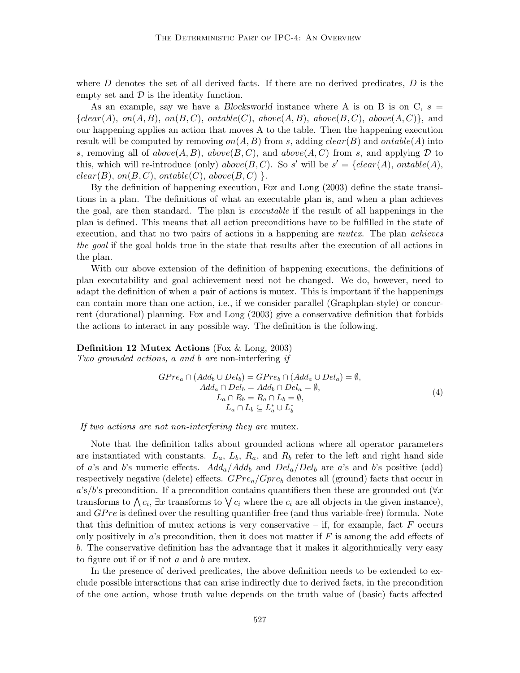where  $D$  denotes the set of all derived facts. If there are no derived predicates,  $D$  is the empty set and  $\mathcal D$  is the identity function.

As an example, say we have a Blocksworld instance where A is on B is on C,  $s =$  ${clear(A), on(A, B), on(B, C), ontable(C), above(A, B), above(B, C), above(A, C)}$ , and our happening applies an action that moves A to the table. Then the happening execution result will be computed by removing  $on(A, B)$  from s, adding  $clear(B)$  and  $ontable(A)$  into s, removing all of  $above(A, B)$ ,  $above(B, C)$ , and  $above(A, C)$  from s, and applying  $D$  to this, which will re-introduce (only) above  $(B, C)$ . So s' will be  $s' = \{clear(A), ontable(A),$  $clear(B), on(B, C), onto(e(C), above(B, C)).$ 

By the definition of happening execution, Fox and Long (2003) define the state transitions in a plan. The definitions of what an executable plan is, and when a plan achieves the goal, are then standard. The plan is executable if the result of all happenings in the plan is defined. This means that all action preconditions have to be fulfilled in the state of execution, and that no two pairs of actions in a happening are *mutex*. The plan *achieves* the goal if the goal holds true in the state that results after the execution of all actions in the plan.

With our above extension of the definition of happening executions, the definitions of plan executability and goal achievement need not be changed. We do, however, need to adapt the definition of when a pair of actions is mutex. This is important if the happenings can contain more than one action, i.e., if we consider parallel (Graphplan-style) or concurrent (durational) planning. Fox and Long (2003) give a conservative definition that forbids the actions to interact in any possible way. The definition is the following.

Definition 12 Mutex Actions (Fox & Long, 2003)

Two grounded actions, a and b are non-interfering if

$$
GPre_a \cap (Add_b \cup Del_b) = GPre_b \cap (Add_a \cup Del_a) = \emptyset,
$$
  
\n
$$
Add_a \cap Del_b = Add_b \cap Del_a = \emptyset,
$$
  
\n
$$
L_a \cap R_b = R_a \cap L_b = \emptyset,
$$
  
\n
$$
L_a \cap L_b \subseteq L_a^* \cup L_b^*
$$
\n(4)

If two actions are not non-interfering they are mutex.

Note that the definition talks about grounded actions where all operator parameters are instantiated with constants.  $L_a$ ,  $L_b$ ,  $R_a$ , and  $R_b$  refer to the left and right hand side of a's and b's numeric effects.  $Add_a/Add_b$  and  $Del_a/Del_b$  are a's and b's positive (add) respectively negative (delete) effects.  $GPre_a/Gpre_b$  denotes all (ground) facts that occur in a's/b's precondition. If a precondition contains quantifiers then these are grounded out  $(\forall x)$ transforms to  $\bigwedge c_i$ ,  $\exists x$  transforms to  $\bigvee c_i$  where the  $c_i$  are all objects in the given instance), and  $GPre$  is defined over the resulting quantifier-free (and thus variable-free) formula. Note that this definition of mutex actions is very conservative – if, for example, fact  $F$  occurs only positively in  $a$ 's precondition, then it does not matter if  $F$  is among the add effects of b. The conservative definition has the advantage that it makes it algorithmically very easy to figure out if or if not  $a$  and  $b$  are mutex.

In the presence of derived predicates, the above definition needs to be extended to exclude possible interactions that can arise indirectly due to derived facts, in the precondition of the one action, whose truth value depends on the truth value of (basic) facts affected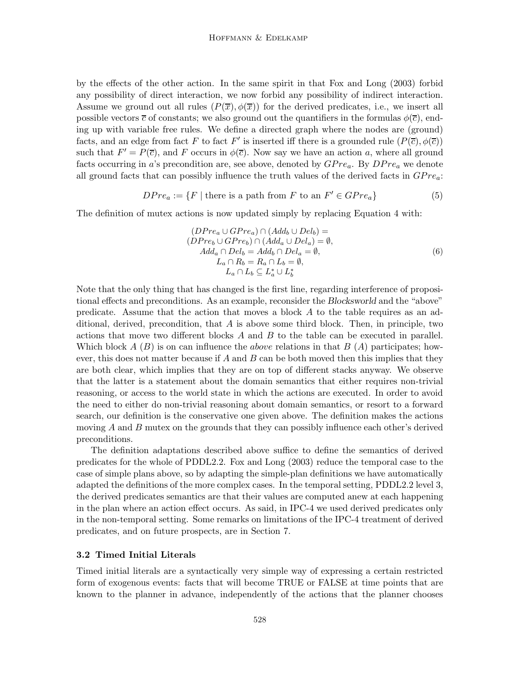by the effects of the other action. In the same spirit in that Fox and Long (2003) forbid any possibility of direct interaction, we now forbid any possibility of indirect interaction. Assume we ground out all rules  $(P(\overline{x}), \phi(\overline{x}))$  for the derived predicates, i.e., we insert all possible vectors  $\bar{c}$  of constants; we also ground out the quantifiers in the formulas  $\phi(\bar{c})$ , ending up with variable free rules. We define a directed graph where the nodes are (ground) facts, and an edge from fact F to fact F' is inserted iff there is a grounded rule  $(P(\overline{c}), \phi(\overline{c}))$ such that  $F' = P(\overline{c})$ , and F occurs in  $\phi(\overline{c})$ . Now say we have an action a, where all ground facts occurring in a's precondition are, see above, denoted by  $GPre_a$ . By  $DPre_a$  we denote all ground facts that can possibly influence the truth values of the derived facts in  $GPre_a$ :

$$
DPre_a := \{ F \mid \text{there is a path from } F \text{ to an } F' \in GPre_a \}
$$
 (5)

The definition of mutex actions is now updated simply by replacing Equation 4 with:

$$
(DPre_a \cup GPre_a) \cap (Add_b \cup Del_b) =
$$
  
\n
$$
(DPre_b \cup GPre_b) \cap (Add_a \cup Del_a) = \emptyset,
$$
  
\n
$$
Add_a \cap Del_b = Add_b \cap Del_a = \emptyset,
$$
  
\n
$$
L_a \cap R_b = R_a \cap L_b = \emptyset,
$$
  
\n
$$
L_a \cap L_b \subseteq L_a^* \cup L_b^*
$$
\n(6)

Note that the only thing that has changed is the first line, regarding interference of propositional effects and preconditions. As an example, reconsider the Blocksworld and the "above" predicate. Assume that the action that moves a block A to the table requires as an additional, derived, precondition, that  $A$  is above some third block. Then, in principle, two actions that move two different blocks  $A$  and  $B$  to the table can be executed in parallel. Which block A  $(B)$  is on can influence the *above* relations in that  $B(A)$  participates; however, this does not matter because if A and B can be both moved then this implies that they are both clear, which implies that they are on top of different stacks anyway. We observe that the latter is a statement about the domain semantics that either requires non-trivial reasoning, or access to the world state in which the actions are executed. In order to avoid the need to either do non-trivial reasoning about domain semantics, or resort to a forward search, our definition is the conservative one given above. The definition makes the actions moving  $A$  and  $B$  mutex on the grounds that they can possibly influence each other's derived preconditions.

The definition adaptations described above suffice to define the semantics of derived predicates for the whole of PDDL2.2. Fox and Long (2003) reduce the temporal case to the case of simple plans above, so by adapting the simple-plan definitions we have automatically adapted the definitions of the more complex cases. In the temporal setting, PDDL2.2 level 3, the derived predicates semantics are that their values are computed anew at each happening in the plan where an action effect occurs. As said, in IPC-4 we used derived predicates only in the non-temporal setting. Some remarks on limitations of the IPC-4 treatment of derived predicates, and on future prospects, are in Section 7.

#### 3.2 Timed Initial Literals

Timed initial literals are a syntactically very simple way of expressing a certain restricted form of exogenous events: facts that will become TRUE or FALSE at time points that are known to the planner in advance, independently of the actions that the planner chooses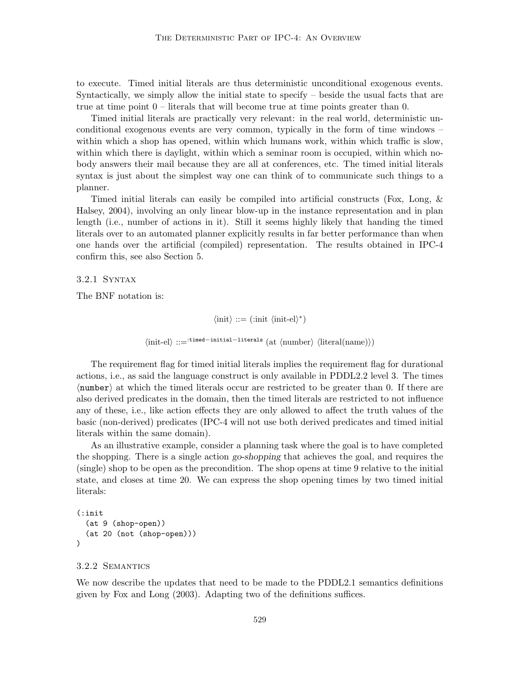to execute. Timed initial literals are thus deterministic unconditional exogenous events. Syntactically, we simply allow the initial state to specify – beside the usual facts that are true at time point 0 – literals that will become true at time points greater than 0.

Timed initial literals are practically very relevant: in the real world, deterministic unconditional exogenous events are very common, typically in the form of time windows – within which a shop has opened, within which humans work, within which traffic is slow, within which there is daylight, within which a seminar room is occupied, within which nobody answers their mail because they are all at conferences, etc. The timed initial literals syntax is just about the simplest way one can think of to communicate such things to a planner.

Timed initial literals can easily be compiled into artificial constructs (Fox, Long, & Halsey, 2004), involving an only linear blow-up in the instance representation and in plan length (i.e., number of actions in it). Still it seems highly likely that handing the timed literals over to an automated planner explicitly results in far better performance than when one hands over the artificial (compiled) representation. The results obtained in IPC-4 confirm this, see also Section 5.

3.2.1 Syntax

The BNF notation is:

 $\langle \text{init} \rangle ::= (\text{init } \langle \text{init-el} \rangle^*)$ 

 $\langle$ init-el) ::=<sup>:timed−initial−literals</sup> (at  $\langle$ number)  $\langle$  literal(name)))

The requirement flag for timed initial literals implies the requirement flag for durational actions, i.e., as said the language construct is only available in PDDL2.2 level 3. The times  $\langle$  number) at which the timed literals occur are restricted to be greater than 0. If there are also derived predicates in the domain, then the timed literals are restricted to not influence any of these, i.e., like action effects they are only allowed to affect the truth values of the basic (non-derived) predicates (IPC-4 will not use both derived predicates and timed initial literals within the same domain).

As an illustrative example, consider a planning task where the goal is to have completed the shopping. There is a single action go-shopping that achieves the goal, and requires the (single) shop to be open as the precondition. The shop opens at time 9 relative to the initial state, and closes at time 20. We can express the shop opening times by two timed initial literals:

```
(:init
  (at 9 (shop-open))
  (at 20 (not (shop-open)))
)
```
# 3.2.2 Semantics

We now describe the updates that need to be made to the PDDL2.1 semantics definitions given by Fox and Long (2003). Adapting two of the definitions suffices.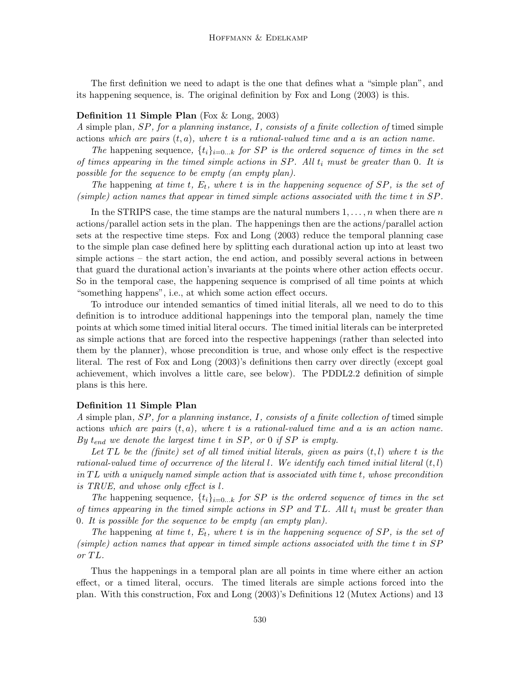The first definition we need to adapt is the one that defines what a "simple plan", and its happening sequence, is. The original definition by Fox and Long (2003) is this.

#### Definition 11 Simple Plan (Fox & Long, 2003)

A simple plan, SP, for a planning instance, I, consists of a finite collection of timed simple actions which are pairs  $(t, a)$ , where t is a rational-valued time and a is an action name.

The happening sequence,  $\{t_i\}_{i=0...k}$  for SP is the ordered sequence of times in the set of times appearing in the timed simple actions in  $SP$ . All  $t_i$  must be greater than 0. It is possible for the sequence to be empty (an empty plan).

The happening at time t,  $E_t$ , where t is in the happening sequence of SP, is the set of (simple) action names that appear in timed simple actions associated with the time t in SP.

In the STRIPS case, the time stamps are the natural numbers  $1, \ldots, n$  when there are n actions/parallel action sets in the plan. The happenings then are the actions/parallel action sets at the respective time steps. Fox and Long (2003) reduce the temporal planning case to the simple plan case defined here by splitting each durational action up into at least two simple actions – the start action, the end action, and possibly several actions in between that guard the durational action's invariants at the points where other action effects occur. So in the temporal case, the happening sequence is comprised of all time points at which "something happens", i.e., at which some action effect occurs.

To introduce our intended semantics of timed initial literals, all we need to do to this definition is to introduce additional happenings into the temporal plan, namely the time points at which some timed initial literal occurs. The timed initial literals can be interpreted as simple actions that are forced into the respective happenings (rather than selected into them by the planner), whose precondition is true, and whose only effect is the respective literal. The rest of Fox and Long (2003)'s definitions then carry over directly (except goal achievement, which involves a little care, see below). The PDDL2.2 definition of simple plans is this here.

#### Definition 11 Simple Plan

A simple plan, SP, for a planning instance, I, consists of a finite collection of timed simple actions which are pairs  $(t, a)$ , where t is a rational-valued time and a is an action name. By  $t_{end}$  we denote the largest time t in SP, or 0 if SP is empty.

Let TL be the (finite) set of all timed initial literals, given as pairs  $(t, l)$  where t is the rational-valued time of occurrence of the literal l. We identify each timed initial literal  $(t, l)$ in  $TL$  with a uniquely named simple action that is associated with time  $t$ , whose precondition is TRUE, and whose only effect is l.

The happening sequence,  $\{t_i\}_{i=0...k}$  for SP is the ordered sequence of times in the set of times appearing in the timed simple actions in  $SP$  and  $TL$ . All  $t_i$  must be greater than 0. It is possible for the sequence to be empty (an empty plan).

The happening at time t,  $E_t$ , where t is in the happening sequence of SP, is the set of (simple) action names that appear in timed simple actions associated with the time t in SP or TL.

Thus the happenings in a temporal plan are all points in time where either an action effect, or a timed literal, occurs. The timed literals are simple actions forced into the plan. With this construction, Fox and Long (2003)'s Definitions 12 (Mutex Actions) and 13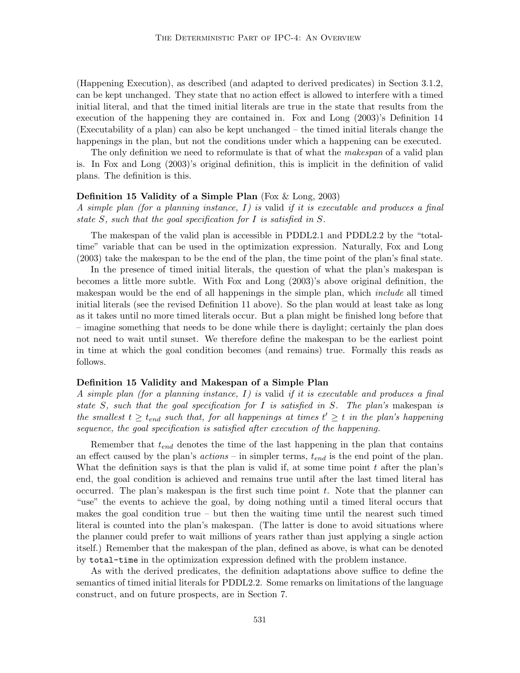(Happening Execution), as described (and adapted to derived predicates) in Section 3.1.2, can be kept unchanged. They state that no action effect is allowed to interfere with a timed initial literal, and that the timed initial literals are true in the state that results from the execution of the happening they are contained in. Fox and Long (2003)'s Definition 14 (Executability of a plan) can also be kept unchanged – the timed initial literals change the happenings in the plan, but not the conditions under which a happening can be executed.

The only definition we need to reformulate is that of what the makespan of a valid plan is. In Fox and Long (2003)'s original definition, this is implicit in the definition of valid plans. The definition is this.

#### **Definition 15 Validity of a Simple Plan** (Fox  $\&$  Long, 2003)

A simple plan (for a planning instance,  $I$ ) is valid if it is executable and produces a final state S, such that the goal specification for I is satisfied in S.

The makespan of the valid plan is accessible in PDDL2.1 and PDDL2.2 by the "totaltime" variable that can be used in the optimization expression. Naturally, Fox and Long (2003) take the makespan to be the end of the plan, the time point of the plan's final state.

In the presence of timed initial literals, the question of what the plan's makespan is becomes a little more subtle. With Fox and Long (2003)'s above original definition, the makespan would be the end of all happenings in the simple plan, which *include* all timed initial literals (see the revised Definition 11 above). So the plan would at least take as long as it takes until no more timed literals occur. But a plan might be finished long before that – imagine something that needs to be done while there is daylight; certainly the plan does not need to wait until sunset. We therefore define the makespan to be the earliest point in time at which the goal condition becomes (and remains) true. Formally this reads as follows.

#### Definition 15 Validity and Makespan of a Simple Plan

A simple plan (for a planning instance,  $I$ ) is valid if it is executable and produces a final state S, such that the goal specification for I is satisfied in S. The plan's makespan is the smallest  $t \geq t_{end}$  such that, for all happenings at times  $t' \geq t$  in the plan's happening sequence, the goal specification is satisfied after execution of the happening.

Remember that  $t_{end}$  denotes the time of the last happening in the plan that contains an effect caused by the plan's  $actions -$  in simpler terms,  $t_{end}$  is the end point of the plan. What the definition says is that the plan is valid if, at some time point  $t$  after the plan's end, the goal condition is achieved and remains true until after the last timed literal has occurred. The plan's makespan is the first such time point  $t$ . Note that the planner can "use" the events to achieve the goal, by doing nothing until a timed literal occurs that makes the goal condition true – but then the waiting time until the nearest such timed literal is counted into the plan's makespan. (The latter is done to avoid situations where the planner could prefer to wait millions of years rather than just applying a single action itself.) Remember that the makespan of the plan, defined as above, is what can be denoted by total-time in the optimization expression defined with the problem instance.

As with the derived predicates, the definition adaptations above suffice to define the semantics of timed initial literals for PDDL2.2. Some remarks on limitations of the language construct, and on future prospects, are in Section 7.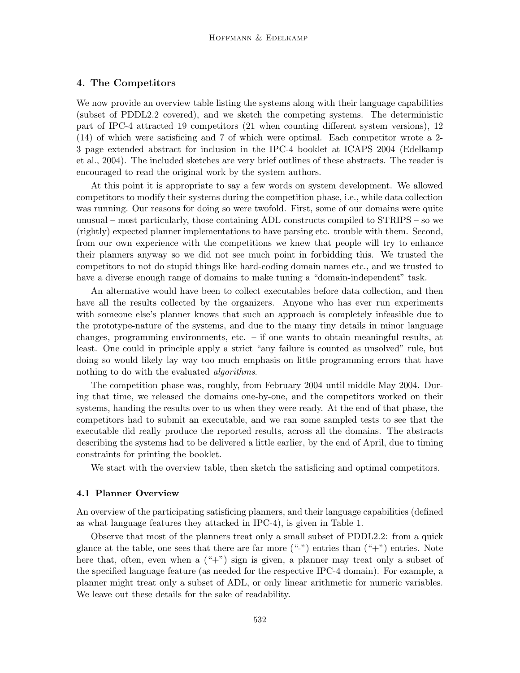# 4. The Competitors

We now provide an overview table listing the systems along with their language capabilities (subset of PDDL2.2 covered), and we sketch the competing systems. The deterministic part of IPC-4 attracted 19 competitors (21 when counting different system versions), 12 (14) of which were satisficing and 7 of which were optimal. Each competitor wrote a 2- 3 page extended abstract for inclusion in the IPC-4 booklet at ICAPS 2004 (Edelkamp et al., 2004). The included sketches are very brief outlines of these abstracts. The reader is encouraged to read the original work by the system authors.

At this point it is appropriate to say a few words on system development. We allowed competitors to modify their systems during the competition phase, i.e., while data collection was running. Our reasons for doing so were twofold. First, some of our domains were quite unusual – most particularly, those containing ADL constructs compiled to STRIPS – so we (rightly) expected planner implementations to have parsing etc. trouble with them. Second, from our own experience with the competitions we knew that people will try to enhance their planners anyway so we did not see much point in forbidding this. We trusted the competitors to not do stupid things like hard-coding domain names etc., and we trusted to have a diverse enough range of domains to make tuning a "domain-independent" task.

An alternative would have been to collect executables before data collection, and then have all the results collected by the organizers. Anyone who has ever run experiments with someone else's planner knows that such an approach is completely infeasible due to the prototype-nature of the systems, and due to the many tiny details in minor language changes, programming environments, etc. – if one wants to obtain meaningful results, at least. One could in principle apply a strict "any failure is counted as unsolved" rule, but doing so would likely lay way too much emphasis on little programming errors that have nothing to do with the evaluated *algorithms*.

The competition phase was, roughly, from February 2004 until middle May 2004. During that time, we released the domains one-by-one, and the competitors worked on their systems, handing the results over to us when they were ready. At the end of that phase, the competitors had to submit an executable, and we ran some sampled tests to see that the executable did really produce the reported results, across all the domains. The abstracts describing the systems had to be delivered a little earlier, by the end of April, due to timing constraints for printing the booklet.

We start with the overview table, then sketch the satisficing and optimal competitors.

#### 4.1 Planner Overview

An overview of the participating satisficing planners, and their language capabilities (defined as what language features they attacked in IPC-4), is given in Table 1.

Observe that most of the planners treat only a small subset of PDDL2.2: from a quick glance at the table, one sees that there are far more ("-") entries than ("+") entries. Note here that, often, even when a  $($ "+") sign is given, a planner may treat only a subset of the specified language feature (as needed for the respective IPC-4 domain). For example, a planner might treat only a subset of ADL, or only linear arithmetic for numeric variables. We leave out these details for the sake of readability.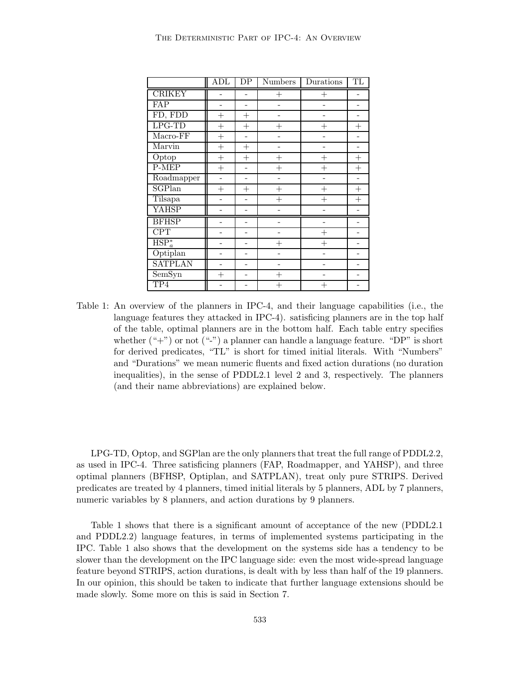|                | ADL       | $\overline{DP}$ | <b>Numbers</b> | Durations | TL                 |
|----------------|-----------|-----------------|----------------|-----------|--------------------|
| <b>CRIKEY</b>  |           |                 | $^{+}$         | $^{+}$    |                    |
| FAP            |           |                 |                |           |                    |
| FD, FDD        | $^{+}$    | $^{+}$          |                |           |                    |
| $LPG-TD$       | $^{+}$    | $^{+}$          | $^{+}$         | $^{+}$    | $\hspace{0.1mm} +$ |
| Macro-FF       | $^{+}$    |                 |                |           |                    |
| Marvin         | $^{+}$    | $^{+}$          |                |           |                    |
| Optop          | $^{+}$    | $^{+}$          | $^{+}$         | $^{+}$    | $^{+}$             |
| P-MEP          | $\ddot{}$ |                 | $^{+}$         | $^{+}$    | $\hspace{0.1mm} +$ |
| Roadmapper     |           |                 |                |           |                    |
| SGPlan         | $+$       | $^{+}$          | $^{+}$         | $^{+}$    | $^{+}$             |
| Tilsapa        |           |                 | $^{+}$         | $^{+}$    | $^{+}$             |
| <b>YAHSP</b>   |           |                 |                |           |                    |
| <b>BFHSP</b>   |           |                 |                |           |                    |
| <b>CPT</b>     |           |                 |                | $^+$      |                    |
| $HSP_{a}^{*}$  |           |                 | $^{+}$         | $^{+}$    |                    |
| Optiplan       |           |                 |                |           |                    |
| <b>SATPLAN</b> |           |                 |                |           |                    |
| SemSyn         | $^{+}$    |                 | $^{+}$         |           |                    |
| TP4            |           |                 |                | $^{+}$    |                    |

Table 1: An overview of the planners in IPC-4, and their language capabilities (i.e., the language features they attacked in IPC-4). satisficing planners are in the top half of the table, optimal planners are in the bottom half. Each table entry specifies whether  $(*+")$  or not  $(*-)$  a planner can handle a language feature. "DP" is short for derived predicates, "TL" is short for timed initial literals. With "Numbers" and "Durations" we mean numeric fluents and fixed action durations (no duration inequalities), in the sense of PDDL2.1 level 2 and 3, respectively. The planners (and their name abbreviations) are explained below.

LPG-TD, Optop, and SGPlan are the only planners that treat the full range of PDDL2.2, as used in IPC-4. Three satisficing planners (FAP, Roadmapper, and YAHSP), and three optimal planners (BFHSP, Optiplan, and SATPLAN), treat only pure STRIPS. Derived predicates are treated by 4 planners, timed initial literals by 5 planners, ADL by 7 planners, numeric variables by 8 planners, and action durations by 9 planners.

Table 1 shows that there is a significant amount of acceptance of the new (PDDL2.1 and PDDL2.2) language features, in terms of implemented systems participating in the IPC. Table 1 also shows that the development on the systems side has a tendency to be slower than the development on the IPC language side: even the most wide-spread language feature beyond STRIPS, action durations, is dealt with by less than half of the 19 planners. In our opinion, this should be taken to indicate that further language extensions should be made slowly. Some more on this is said in Section 7.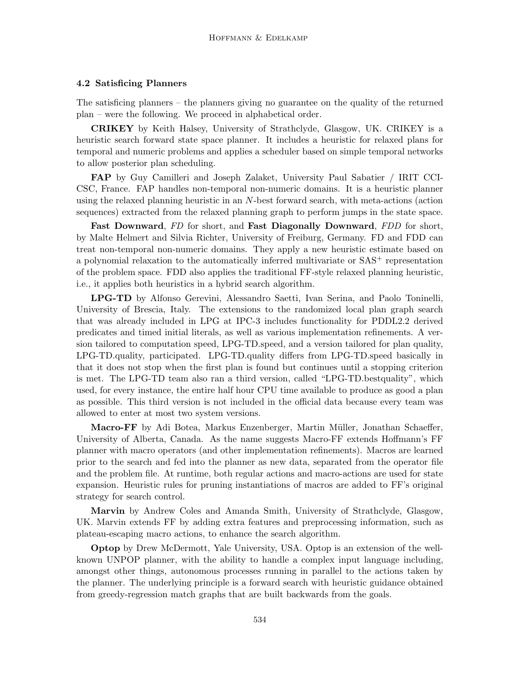#### 4.2 Satisficing Planners

The satisficing planners – the planners giving no guarantee on the quality of the returned plan – were the following. We proceed in alphabetical order.

CRIKEY by Keith Halsey, University of Strathclyde, Glasgow, UK. CRIKEY is a heuristic search forward state space planner. It includes a heuristic for relaxed plans for temporal and numeric problems and applies a scheduler based on simple temporal networks to allow posterior plan scheduling.

FAP by Guy Camilleri and Joseph Zalaket, University Paul Sabatier / IRIT CCI-CSC, France. FAP handles non-temporal non-numeric domains. It is a heuristic planner using the relaxed planning heuristic in an N-best forward search, with meta-actions (action sequences) extracted from the relaxed planning graph to perform jumps in the state space.

Fast Downward, FD for short, and Fast Diagonally Downward, FDD for short, by Malte Helmert and Silvia Richter, University of Freiburg, Germany. FD and FDD can treat non-temporal non-numeric domains. They apply a new heuristic estimate based on a polynomial relaxation to the automatically inferred multivariate or SAS<sup>+</sup> representation of the problem space. FDD also applies the traditional FF-style relaxed planning heuristic, i.e., it applies both heuristics in a hybrid search algorithm.

LPG-TD by Alfonso Gerevini, Alessandro Saetti, Ivan Serina, and Paolo Toninelli, University of Brescia, Italy. The extensions to the randomized local plan graph search that was already included in LPG at IPC-3 includes functionality for PDDL2.2 derived predicates and timed initial literals, as well as various implementation refinements. A version tailored to computation speed, LPG-TD.speed, and a version tailored for plan quality, LPG-TD.quality, participated. LPG-TD.quality differs from LPG-TD.speed basically in that it does not stop when the first plan is found but continues until a stopping criterion is met. The LPG-TD team also ran a third version, called "LPG-TD.bestquality", which used, for every instance, the entire half hour CPU time available to produce as good a plan as possible. This third version is not included in the official data because every team was allowed to enter at most two system versions.

Macro-FF by Adi Botea, Markus Enzenberger, Martin Müller, Jonathan Schaeffer, University of Alberta, Canada. As the name suggests Macro-FF extends Hoffmann's FF planner with macro operators (and other implementation refinements). Macros are learned prior to the search and fed into the planner as new data, separated from the operator file and the problem file. At runtime, both regular actions and macro-actions are used for state expansion. Heuristic rules for pruning instantiations of macros are added to FF's original strategy for search control.

Marvin by Andrew Coles and Amanda Smith, University of Strathclyde, Glasgow, UK. Marvin extends FF by adding extra features and preprocessing information, such as plateau-escaping macro actions, to enhance the search algorithm.

Optop by Drew McDermott, Yale University, USA. Optop is an extension of the wellknown UNPOP planner, with the ability to handle a complex input language including, amongst other things, autonomous processes running in parallel to the actions taken by the planner. The underlying principle is a forward search with heuristic guidance obtained from greedy-regression match graphs that are built backwards from the goals.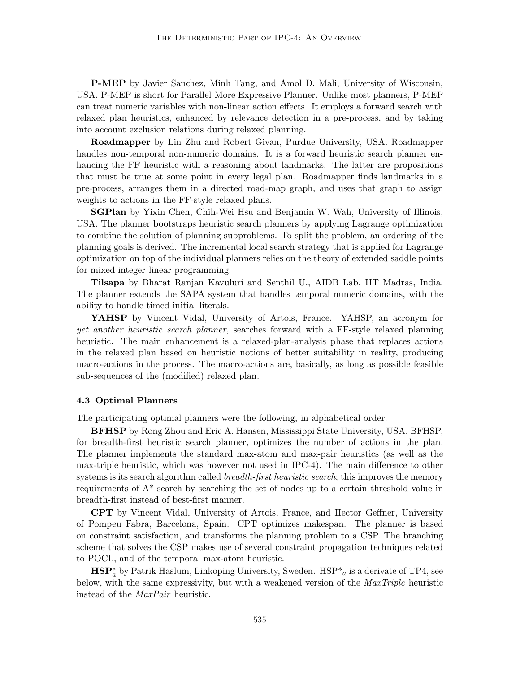P-MEP by Javier Sanchez, Minh Tang, and Amol D. Mali, University of Wisconsin, USA. P-MEP is short for Parallel More Expressive Planner. Unlike most planners, P-MEP can treat numeric variables with non-linear action effects. It employs a forward search with relaxed plan heuristics, enhanced by relevance detection in a pre-process, and by taking into account exclusion relations during relaxed planning.

Roadmapper by Lin Zhu and Robert Givan, Purdue University, USA. Roadmapper handles non-temporal non-numeric domains. It is a forward heuristic search planner enhancing the FF heuristic with a reasoning about landmarks. The latter are propositions that must be true at some point in every legal plan. Roadmapper finds landmarks in a pre-process, arranges them in a directed road-map graph, and uses that graph to assign weights to actions in the FF-style relaxed plans.

SGPlan by Yixin Chen, Chih-Wei Hsu and Benjamin W. Wah, University of Illinois, USA. The planner bootstraps heuristic search planners by applying Lagrange optimization to combine the solution of planning subproblems. To split the problem, an ordering of the planning goals is derived. The incremental local search strategy that is applied for Lagrange optimization on top of the individual planners relies on the theory of extended saddle points for mixed integer linear programming.

Tilsapa by Bharat Ranjan Kavuluri and Senthil U., AIDB Lab, IIT Madras, India. The planner extends the SAPA system that handles temporal numeric domains, with the ability to handle timed initial literals.

YAHSP by Vincent Vidal, University of Artois, France. YAHSP, an acronym for yet another heuristic search planner, searches forward with a FF-style relaxed planning heuristic. The main enhancement is a relaxed-plan-analysis phase that replaces actions in the relaxed plan based on heuristic notions of better suitability in reality, producing macro-actions in the process. The macro-actions are, basically, as long as possible feasible sub-sequences of the (modified) relaxed plan.

#### 4.3 Optimal Planners

The participating optimal planners were the following, in alphabetical order.

BFHSP by Rong Zhou and Eric A. Hansen, Mississippi State University, USA. BFHSP, for breadth-first heuristic search planner, optimizes the number of actions in the plan. The planner implements the standard max-atom and max-pair heuristics (as well as the max-triple heuristic, which was however not used in IPC-4). The main difference to other systems is its search algorithm called *breadth-first heuristic search*; this improves the memory requirements of A\* search by searching the set of nodes up to a certain threshold value in breadth-first instead of best-first manner.

CPT by Vincent Vidal, University of Artois, France, and Hector Geffner, University of Pompeu Fabra, Barcelona, Spain. CPT optimizes makespan. The planner is based on constraint satisfaction, and transforms the planning problem to a CSP. The branching scheme that solves the CSP makes use of several constraint propagation techniques related to POCL, and of the temporal max-atom heuristic.

 $\text{HSP}_a^*$  by Patrik Haslum, Linköping University, Sweden.  $\text{HSP}^*$ <sub>a</sub> is a derivate of TP4, see below, with the same expressivity, but with a weakened version of the *MaxTriple* heuristic instead of the MaxPair heuristic.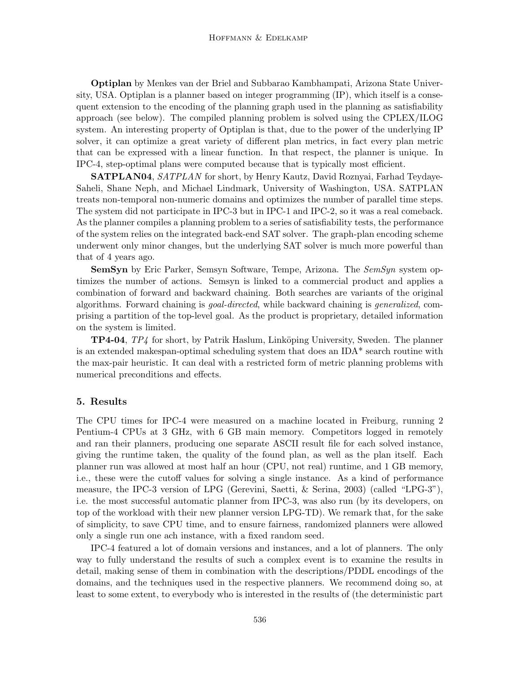Optiplan by Menkes van der Briel and Subbarao Kambhampati, Arizona State University, USA. Optiplan is a planner based on integer programming (IP), which itself is a consequent extension to the encoding of the planning graph used in the planning as satisfiability approach (see below). The compiled planning problem is solved using the CPLEX/ILOG system. An interesting property of Optiplan is that, due to the power of the underlying IP solver, it can optimize a great variety of different plan metrics, in fact every plan metric that can be expressed with a linear function. In that respect, the planner is unique. In IPC-4, step-optimal plans were computed because that is typically most efficient.

SATPLAN04, SATPLAN for short, by Henry Kautz, David Roznyai, Farhad Teydaye-Saheli, Shane Neph, and Michael Lindmark, University of Washington, USA. SATPLAN treats non-temporal non-numeric domains and optimizes the number of parallel time steps. The system did not participate in IPC-3 but in IPC-1 and IPC-2, so it was a real comeback. As the planner compiles a planning problem to a series of satisfiability tests, the performance of the system relies on the integrated back-end SAT solver. The graph-plan encoding scheme underwent only minor changes, but the underlying SAT solver is much more powerful than that of 4 years ago.

SemSyn by Eric Parker, Semsyn Software, Tempe, Arizona. The SemSyn system optimizes the number of actions. Semsyn is linked to a commercial product and applies a combination of forward and backward chaining. Both searches are variants of the original algorithms. Forward chaining is goal-directed, while backward chaining is generalized, comprising a partition of the top-level goal. As the product is proprietary, detailed information on the system is limited.

TP4-04, TP4 for short, by Patrik Haslum, Linköping University, Sweden. The planner is an extended makespan-optimal scheduling system that does an IDA\* search routine with the max-pair heuristic. It can deal with a restricted form of metric planning problems with numerical preconditions and effects.

## 5. Results

The CPU times for IPC-4 were measured on a machine located in Freiburg, running 2 Pentium-4 CPUs at 3 GHz, with 6 GB main memory. Competitors logged in remotely and ran their planners, producing one separate ASCII result file for each solved instance, giving the runtime taken, the quality of the found plan, as well as the plan itself. Each planner run was allowed at most half an hour (CPU, not real) runtime, and 1 GB memory, i.e., these were the cutoff values for solving a single instance. As a kind of performance measure, the IPC-3 version of LPG (Gerevini, Saetti, & Serina, 2003) (called "LPG-3"), i.e. the most successful automatic planner from IPC-3, was also run (by its developers, on top of the workload with their new planner version LPG-TD). We remark that, for the sake of simplicity, to save CPU time, and to ensure fairness, randomized planners were allowed only a single run one ach instance, with a fixed random seed.

IPC-4 featured a lot of domain versions and instances, and a lot of planners. The only way to fully understand the results of such a complex event is to examine the results in detail, making sense of them in combination with the descriptions/PDDL encodings of the domains, and the techniques used in the respective planners. We recommend doing so, at least to some extent, to everybody who is interested in the results of (the deterministic part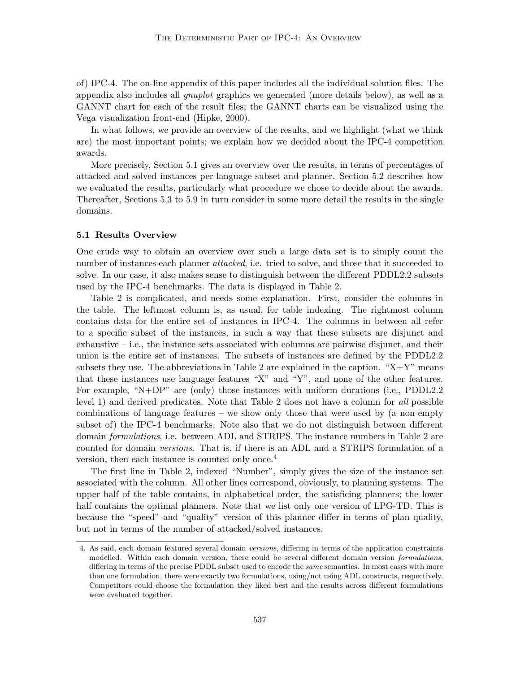of) IPC-4. The on-line appendix of this paper includes all the individual solution files. The appendix also includes all gnuplot graphics we generated (more details below), as well as a GANNT chart for each of the result files; the GANNT charts can be visualized using the Vega visualization front-end (Hipke, 2000).

In what follows, we provide an overview of the results, and we highlight (what we think are) the most important points; we explain how we decided about the IPC-4 competition awards.

More precisely, Section 5.1 gives an overview over the results, in terms of percentages of attacked and solved instances per language subset and planner. Section 5.2 describes how we evaluated the results, particularly what procedure we chose to decide about the awards. Thereafter, Sections 5.3 to 5.9 in turn consider in some more detail the results in the single domains.

#### 5.1 Results Overview

One crude way to obtain an overview over such a large data set is to simply count the number of instances each planner *attacked*, i.e. tried to solve, and those that it succeeded to solve. In our case, it also makes sense to distinguish between the different PDDL2.2 subsets used by the IPC-4 benchmarks. The data is displayed in Table 2.

Table 2 is complicated, and needs some explanation. First, consider the columns in the table. The leftmost column is, as usual, for table indexing. The rightmost column contains data for the entire set of instances in IPC-4. The columns in between all refer to a specific subset of the instances, in such a way that these subsets are disjunct and exhaustive  $-$  i.e., the instance sets associated with columns are pairwise disjunct, and their union is the entire set of instances. The subsets of instances are defined by the PDDL2.2 subsets they use. The abbreviations in Table 2 are explained in the caption. " $X+Y$ " means that these instances use language features "X" and "Y", and none of the other features. For example, "N+DP" are (only) those instances with uniform durations (i.e., PDDL2.2 level 1) and derived predicates. Note that Table 2 does not have a column for all possible combinations of language features – we show only those that were used by (a non-empty subset of) the IPC-4 benchmarks. Note also that we do not distinguish between different domain *formulations*, i.e. between ADL and STRIPS. The instance numbers in Table 2 are counted for domain versions. That is, if there is an ADL and a STRIPS formulation of a version, then each instance is counted only once.<sup>4</sup>

The first line in Table 2, indexed "Number", simply gives the size of the instance set associated with the column. All other lines correspond, obviously, to planning systems. The upper half of the table contains, in alphabetical order, the satisficing planners; the lower half contains the optimal planners. Note that we list only one version of LPG-TD. This is because the "speed" and "quality" version of this planner differ in terms of plan quality, but not in terms of the number of attacked/solved instances.

<sup>4.</sup> As said, each domain featured several domain versions, differing in terms of the application constraints modelled. Within each domain version, there could be several different domain version *formulations*, differing in terms of the precise PDDL subset used to encode the *same* semantics. In most cases with more than one formulation, there were exactly two formulations, using/not using ADL constructs, respectively. Competitors could choose the formulation they liked best and the results across different formulations were evaluated together.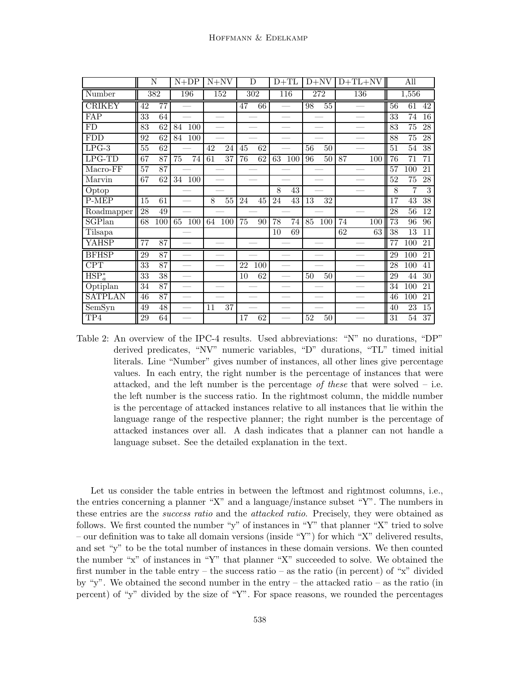|                             |                 | N               |    | $N+DP$                   |    | $N+NV$          |    | D   |    | $D+TL$ |    | $D+NV$ |    |     | $D+TL+NV$ |    | All             |                 |
|-----------------------------|-----------------|-----------------|----|--------------------------|----|-----------------|----|-----|----|--------|----|--------|----|-----|-----------|----|-----------------|-----------------|
| Number                      |                 | 382             |    | 196                      |    | 152             |    | 302 |    | 116    |    | 272    |    | 136 |           |    | 1,556           |                 |
| <b>CRIKEY</b>               | 42              | 77              |    |                          |    |                 | 47 | 66  |    |        | 98 | 55     |    |     |           | 56 | 61              | 42              |
| FAP                         | 33              | 64              |    |                          |    |                 |    |     |    |        |    |        |    |     |           | 33 | 74              | 16              |
| $\overline{FD}$             | 83              | 62              | 84 | 100                      |    |                 |    |     |    |        |    |        |    |     |           | 83 | 75              | $\overline{28}$ |
| <b>FDD</b>                  | 92              | 62              | 84 | 100                      |    |                 |    |     |    |        |    |        |    |     |           | 88 | $\overline{75}$ | $28\,$          |
| $LPG-3$                     | 55              | 62              |    |                          | 42 | 24              | 45 | 62  |    |        | 56 | 50     |    |     |           | 51 | 54              | 38              |
| $LPG-TD$                    | 67              | 87              | 75 | 74                       | 61 | 37              | 76 | 62  | 63 | 100    | 96 | 50     | 87 |     | 100       | 76 | $\overline{71}$ | 71              |
| $Macro-FF$                  | $\overline{57}$ | $\overline{87}$ |    |                          |    |                 |    |     |    |        |    |        |    |     |           | 57 | 100             | 21              |
| Marvin                      | 67              | 62              | 34 | 100                      |    |                 |    |     |    |        |    |        |    |     |           | 52 | 75              | 28              |
| Optop                       |                 |                 |    |                          |    |                 |    |     | 8  | 43     |    |        |    |     |           | 8  | $\overline{7}$  | $\overline{3}$  |
| P-MEP                       | 15              | 61              |    |                          | 8  | $55\,$          | 24 | 45  | 24 | 43     | 13 | 32     |    |     |           | 17 | $\overline{43}$ | $\overline{38}$ |
| Roadmapper                  | 28              | 49              |    |                          |    |                 |    |     |    |        |    |        |    |     |           | 28 | 56              | 12              |
| SGPlan                      | 68              | 100             | 65 | 100                      | 64 | 100             | 75 | 90  | 78 | 74     | 85 | 100    | 74 |     | 100       | 73 | 96              | 96              |
| Tilsapa                     |                 |                 |    |                          |    |                 |    |     | 10 | 69     |    |        | 62 |     | 63        | 38 | $\overline{13}$ | 11              |
| <b>YAHSP</b>                | $\overline{77}$ | 87              |    |                          |    |                 |    |     |    |        |    |        |    |     |           | 77 | 100             | 21              |
| <b>BFHSP</b>                | 29              | 87              |    |                          |    |                 |    |     |    |        |    |        |    |     |           | 29 | 100             | 21              |
| CPT                         | 33              | $\overline{87}$ |    |                          |    |                 | 22 | 100 |    |        |    |        |    |     |           | 28 | 100             | 41              |
| $\overline{\text{HSP}_a^*}$ | 33              | 38              |    |                          |    |                 | 10 | 62  |    |        | 50 | 50     |    |     |           | 29 | 44              | $30\,$          |
| Optiplan                    | 34              | $\overline{87}$ |    | $\overline{\phantom{a}}$ |    |                 |    |     |    |        |    |        |    |     |           | 34 | 100             | 21              |
| <b>SATPLAN</b>              | 46              | 87              |    |                          |    |                 |    |     |    |        |    |        |    |     |           | 46 | 100             | 21              |
| SemSyn                      | 49              | 48              |    |                          | 11 | $\overline{37}$ |    |     |    |        |    |        |    |     |           | 40 | 23              | $\overline{15}$ |
| TP4                         | 29              | 64              |    |                          |    |                 | 17 | 62  |    |        | 52 | 50     |    |     |           | 31 | $\overline{54}$ | $\overline{37}$ |

Table 2: An overview of the IPC-4 results. Used abbreviations: "N" no durations, "DP" derived predicates, "NV" numeric variables, "D" durations, "TL" timed initial literals. Line "Number" gives number of instances, all other lines give percentage values. In each entry, the right number is the percentage of instances that were attacked, and the left number is the percentage of these that were solved  $-$  i.e. the left number is the success ratio. In the rightmost column, the middle number is the percentage of attacked instances relative to all instances that lie within the language range of the respective planner; the right number is the percentage of attacked instances over all. A dash indicates that a planner can not handle a language subset. See the detailed explanation in the text.

Let us consider the table entries in between the leftmost and rightmost columns, i.e., the entries concerning a planner "X" and a language/instance subset "Y". The numbers in these entries are the *success ratio* and the *attacked ratio*. Precisely, they were obtained as follows. We first counted the number "y" of instances in "Y" that planner "X" tried to solve – our definition was to take all domain versions (inside "Y") for which "X" delivered results, and set "y" to be the total number of instances in these domain versions. We then counted the number "x" of instances in "Y" that planner "X" succeeded to solve. We obtained the first number in the table entry – the success ratio – as the ratio (in percent) of "x" divided by "y". We obtained the second number in the entry – the attacked ratio – as the ratio (in percent) of "y" divided by the size of "Y". For space reasons, we rounded the percentages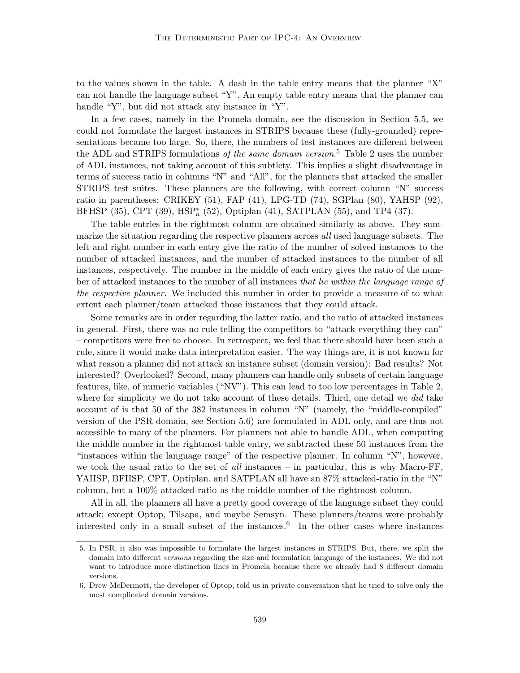to the values shown in the table. A dash in the table entry means that the planner "X" can not handle the language subset "Y". An empty table entry means that the planner can handle "Y", but did not attack any instance in "Y".

In a few cases, namely in the Promela domain, see the discussion in Section 5.5, we could not formulate the largest instances in STRIPS because these (fully-grounded) representations became too large. So, there, the numbers of test instances are different between the ADL and STRIPS formulations *of the same domain version*.<sup>5</sup> Table 2 uses the number of ADL instances, not taking account of this subtlety. This implies a slight disadvantage in terms of success ratio in columns "N" and "All", for the planners that attacked the smaller STRIPS test suites. These planners are the following, with correct column "N" success ratio in parentheses: CRIKEY (51), FAP (41), LPG-TD (74), SGPlan (80), YAHSP (92), BFHSP  $(35)$ , CPT  $(39)$ , HSP<sup>\*</sup><sub>a</sub>  $(52)$ , Optiplan  $(41)$ , SATPLAN  $(55)$ , and TP4  $(37)$ .

The table entries in the rightmost column are obtained similarly as above. They summarize the situation regarding the respective planners across all used language subsets. The left and right number in each entry give the ratio of the number of solved instances to the number of attacked instances, and the number of attacked instances to the number of all instances, respectively. The number in the middle of each entry gives the ratio of the number of attacked instances to the number of all instances that lie within the language range of the respective planner. We included this number in order to provide a measure of to what extent each planner/team attacked those instances that they could attack.

Some remarks are in order regarding the latter ratio, and the ratio of attacked instances in general. First, there was no rule telling the competitors to "attack everything they can" – competitors were free to choose. In retrospect, we feel that there should have been such a rule, since it would make data interpretation easier. The way things are, it is not known for what reason a planner did not attack an instance subset (domain version): Bad results? Not interested? Overlooked? Second, many planners can handle only subsets of certain language features, like, of numeric variables ("NV"). This can lead to too low percentages in Table 2, where for simplicity we do not take account of these details. Third, one detail we *did* take account of is that 50 of the 382 instances in column "N" (namely, the "middle-compiled" version of the PSR domain, see Section 5.6) are formulated in ADL only, and are thus not accessible to many of the planners. For planners not able to handle ADL, when computing the middle number in the rightmost table entry, we subtracted these 50 instances from the "instances within the language range" of the respective planner. In column "N", however, we took the usual ratio to the set of all instances – in particular, this is why Macro-FF, YAHSP, BFHSP, CPT, Optiplan, and SATPLAN all have an 87% attacked-ratio in the "N" column, but a 100% attacked-ratio as the middle number of the rightmost column.

All in all, the planners all have a pretty good coverage of the language subset they could attack; except Optop, Tilsapa, and maybe Semsyn. These planners/teams were probably interested only in a small subset of the instances.<sup>6</sup> In the other cases where instances

<sup>5.</sup> In PSR, it also was impossible to formulate the largest instances in STRIPS. But, there, we split the domain into different versions regarding the size and formulation language of the instances. We did not want to introduce more distinction lines in Promela because there we already had 8 different domain versions.

<sup>6.</sup> Drew McDermott, the developer of Optop, told us in private conversation that he tried to solve only the most complicated domain versions.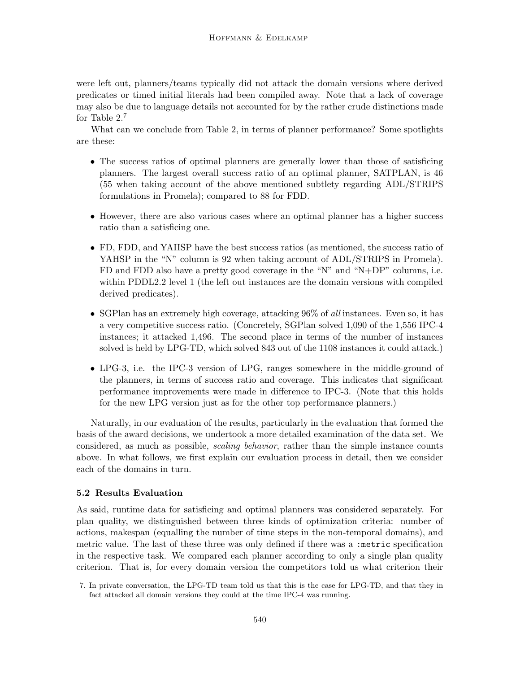were left out, planners/teams typically did not attack the domain versions where derived predicates or timed initial literals had been compiled away. Note that a lack of coverage may also be due to language details not accounted for by the rather crude distinctions made for Table 2.<sup>7</sup>

What can we conclude from Table 2, in terms of planner performance? Some spotlights are these:

- The success ratios of optimal planners are generally lower than those of satisficing planners. The largest overall success ratio of an optimal planner, SATPLAN, is 46 (55 when taking account of the above mentioned subtlety regarding ADL/STRIPS formulations in Promela); compared to 88 for FDD.
- However, there are also various cases where an optimal planner has a higher success ratio than a satisficing one.
- FD, FDD, and YAHSP have the best success ratios (as mentioned, the success ratio of YAHSP in the "N" column is 92 when taking account of ADL/STRIPS in Promela). FD and FDD also have a pretty good coverage in the "N" and "N+DP" columns, i.e. within PDDL2.2 level 1 (the left out instances are the domain versions with compiled derived predicates).
- SGPlan has an extremely high coverage, attacking 96% of all instances. Even so, it has a very competitive success ratio. (Concretely, SGPlan solved 1,090 of the 1,556 IPC-4 instances; it attacked 1,496. The second place in terms of the number of instances solved is held by LPG-TD, which solved 843 out of the 1108 instances it could attack.)
- LPG-3, i.e. the IPC-3 version of LPG, ranges somewhere in the middle-ground of the planners, in terms of success ratio and coverage. This indicates that significant performance improvements were made in difference to IPC-3. (Note that this holds for the new LPG version just as for the other top performance planners.)

Naturally, in our evaluation of the results, particularly in the evaluation that formed the basis of the award decisions, we undertook a more detailed examination of the data set. We considered, as much as possible, scaling behavior, rather than the simple instance counts above. In what follows, we first explain our evaluation process in detail, then we consider each of the domains in turn.

# 5.2 Results Evaluation

As said, runtime data for satisficing and optimal planners was considered separately. For plan quality, we distinguished between three kinds of optimization criteria: number of actions, makespan (equalling the number of time steps in the non-temporal domains), and metric value. The last of these three was only defined if there was a :metric specification in the respective task. We compared each planner according to only a single plan quality criterion. That is, for every domain version the competitors told us what criterion their

<sup>7.</sup> In private conversation, the LPG-TD team told us that this is the case for LPG-TD, and that they in fact attacked all domain versions they could at the time IPC-4 was running.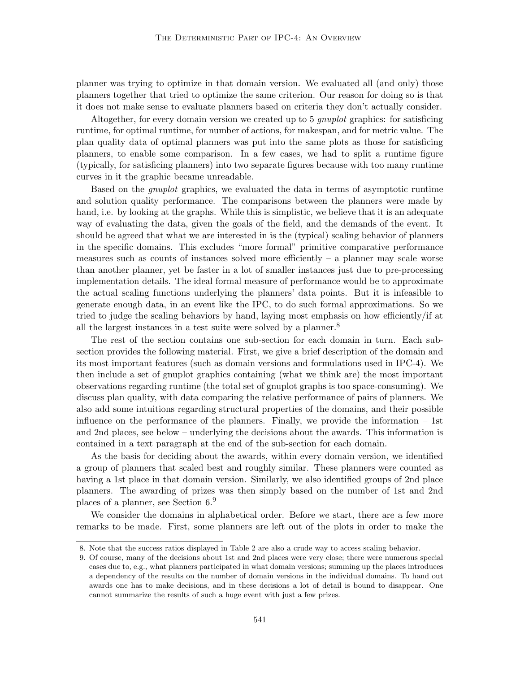planner was trying to optimize in that domain version. We evaluated all (and only) those planners together that tried to optimize the same criterion. Our reason for doing so is that it does not make sense to evaluate planners based on criteria they don't actually consider.

Altogether, for every domain version we created up to 5 gnuplot graphics: for satisficing runtime, for optimal runtime, for number of actions, for makespan, and for metric value. The plan quality data of optimal planners was put into the same plots as those for satisficing planners, to enable some comparison. In a few cases, we had to split a runtime figure (typically, for satisficing planners) into two separate figures because with too many runtime curves in it the graphic became unreadable.

Based on the gnuplot graphics, we evaluated the data in terms of asymptotic runtime and solution quality performance. The comparisons between the planners were made by hand, i.e. by looking at the graphs. While this is simplistic, we believe that it is an adequate way of evaluating the data, given the goals of the field, and the demands of the event. It should be agreed that what we are interested in is the (typical) scaling behavior of planners in the specific domains. This excludes "more formal" primitive comparative performance measures such as counts of instances solved more efficiently  $-$  a planner may scale worse than another planner, yet be faster in a lot of smaller instances just due to pre-processing implementation details. The ideal formal measure of performance would be to approximate the actual scaling functions underlying the planners' data points. But it is infeasible to generate enough data, in an event like the IPC, to do such formal approximations. So we tried to judge the scaling behaviors by hand, laying most emphasis on how efficiently/if at all the largest instances in a test suite were solved by a planner.<sup>8</sup>

The rest of the section contains one sub-section for each domain in turn. Each subsection provides the following material. First, we give a brief description of the domain and its most important features (such as domain versions and formulations used in IPC-4). We then include a set of gnuplot graphics containing (what we think are) the most important observations regarding runtime (the total set of gnuplot graphs is too space-consuming). We discuss plan quality, with data comparing the relative performance of pairs of planners. We also add some intuitions regarding structural properties of the domains, and their possible influence on the performance of the planners. Finally, we provide the information – 1st and 2nd places, see below – underlying the decisions about the awards. This information is contained in a text paragraph at the end of the sub-section for each domain.

As the basis for deciding about the awards, within every domain version, we identified a group of planners that scaled best and roughly similar. These planners were counted as having a 1st place in that domain version. Similarly, we also identified groups of 2nd place planners. The awarding of prizes was then simply based on the number of 1st and 2nd places of a planner, see Section 6.<sup>9</sup>

We consider the domains in alphabetical order. Before we start, there are a few more remarks to be made. First, some planners are left out of the plots in order to make the

<sup>8.</sup> Note that the success ratios displayed in Table 2 are also a crude way to access scaling behavior.

<sup>9.</sup> Of course, many of the decisions about 1st and 2nd places were very close; there were numerous special cases due to, e.g., what planners participated in what domain versions; summing up the places introduces a dependency of the results on the number of domain versions in the individual domains. To hand out awards one has to make decisions, and in these decisions a lot of detail is bound to disappear. One cannot summarize the results of such a huge event with just a few prizes.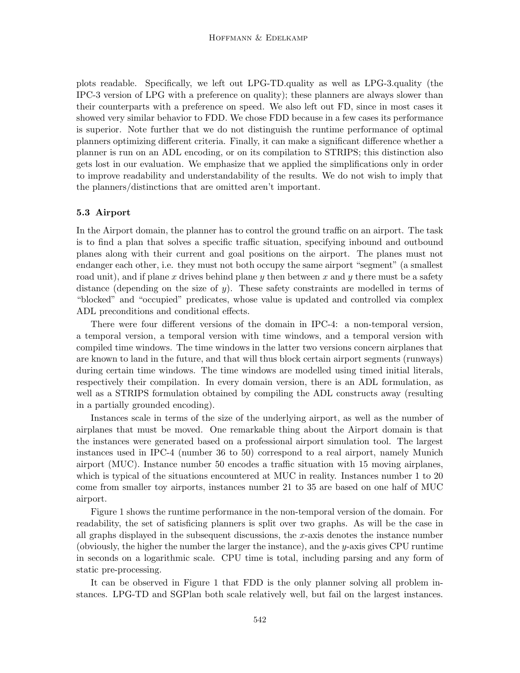plots readable. Specifically, we left out LPG-TD.quality as well as LPG-3.quality (the IPC-3 version of LPG with a preference on quality); these planners are always slower than their counterparts with a preference on speed. We also left out FD, since in most cases it showed very similar behavior to FDD. We chose FDD because in a few cases its performance is superior. Note further that we do not distinguish the runtime performance of optimal planners optimizing different criteria. Finally, it can make a significant difference whether a planner is run on an ADL encoding, or on its compilation to STRIPS; this distinction also gets lost in our evaluation. We emphasize that we applied the simplifications only in order to improve readability and understandability of the results. We do not wish to imply that the planners/distinctions that are omitted aren't important.

## 5.3 Airport

In the Airport domain, the planner has to control the ground traffic on an airport. The task is to find a plan that solves a specific traffic situation, specifying inbound and outbound planes along with their current and goal positions on the airport. The planes must not endanger each other, i.e. they must not both occupy the same airport "segment" (a smallest road unit), and if plane x drives behind plane y then between x and y there must be a safety distance (depending on the size of y). These safety constraints are modelled in terms of "blocked" and "occupied" predicates, whose value is updated and controlled via complex ADL preconditions and conditional effects.

There were four different versions of the domain in IPC-4: a non-temporal version, a temporal version, a temporal version with time windows, and a temporal version with compiled time windows. The time windows in the latter two versions concern airplanes that are known to land in the future, and that will thus block certain airport segments (runways) during certain time windows. The time windows are modelled using timed initial literals, respectively their compilation. In every domain version, there is an ADL formulation, as well as a STRIPS formulation obtained by compiling the ADL constructs away (resulting in a partially grounded encoding).

Instances scale in terms of the size of the underlying airport, as well as the number of airplanes that must be moved. One remarkable thing about the Airport domain is that the instances were generated based on a professional airport simulation tool. The largest instances used in IPC-4 (number 36 to 50) correspond to a real airport, namely Munich airport (MUC). Instance number 50 encodes a traffic situation with 15 moving airplanes, which is typical of the situations encountered at MUC in reality. Instances number 1 to 20 come from smaller toy airports, instances number 21 to 35 are based on one half of MUC airport.

Figure 1 shows the runtime performance in the non-temporal version of the domain. For readability, the set of satisficing planners is split over two graphs. As will be the case in all graphs displayed in the subsequent discussions, the x-axis denotes the instance number (obviously, the higher the number the larger the instance), and the y-axis gives CPU runtime in seconds on a logarithmic scale. CPU time is total, including parsing and any form of static pre-processing.

It can be observed in Figure 1 that FDD is the only planner solving all problem instances. LPG-TD and SGPlan both scale relatively well, but fail on the largest instances.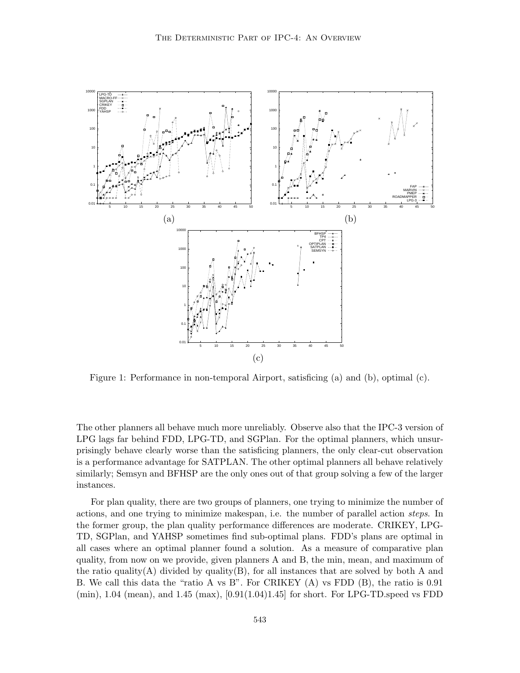

Figure 1: Performance in non-temporal Airport, satisficing (a) and (b), optimal (c).

The other planners all behave much more unreliably. Observe also that the IPC-3 version of LPG lags far behind FDD, LPG-TD, and SGPlan. For the optimal planners, which unsurprisingly behave clearly worse than the satisficing planners, the only clear-cut observation is a performance advantage for SATPLAN. The other optimal planners all behave relatively similarly; Semsyn and BFHSP are the only ones out of that group solving a few of the larger instances.

For plan quality, there are two groups of planners, one trying to minimize the number of actions, and one trying to minimize makespan, i.e. the number of parallel action steps. In the former group, the plan quality performance differences are moderate. CRIKEY, LPG-TD, SGPlan, and YAHSP sometimes find sub-optimal plans. FDD's plans are optimal in all cases where an optimal planner found a solution. As a measure of comparative plan quality, from now on we provide, given planners A and B, the min, mean, and maximum of the ratio quality(A) divided by quality(B), for all instances that are solved by both A and B. We call this data the "ratio A vs B". For CRIKEY (A) vs FDD (B), the ratio is 0.91  $(\text{min})$ , 1.04 (mean), and 1.45 (max),  $[0.91(1.04)1.45]$  for short. For LPG-TD speed vs FDD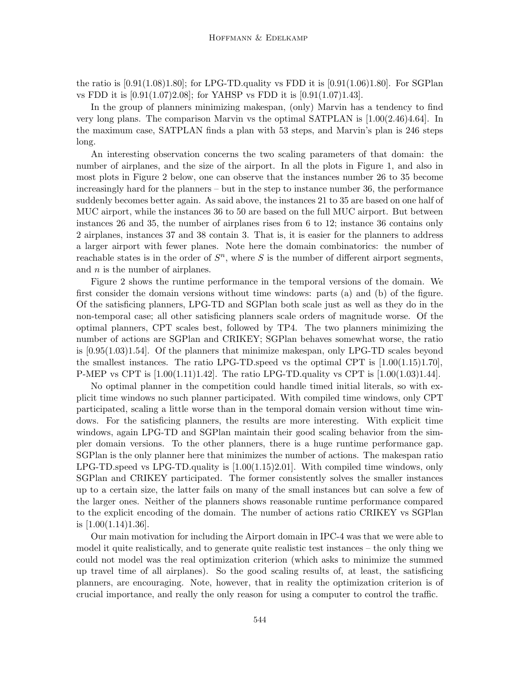the ratio is  $[0.91(1.08)1.80]$ ; for LPG-TD.quality vs FDD it is  $[0.91(1.06)1.80]$ . For SGPlan vs FDD it is [0.91(1.07)2.08]; for YAHSP vs FDD it is [0.91(1.07)1.43].

In the group of planners minimizing makespan, (only) Marvin has a tendency to find very long plans. The comparison Marvin vs the optimal SATPLAN is [1.00(2.46)4.64]. In the maximum case, SATPLAN finds a plan with 53 steps, and Marvin's plan is 246 steps long.

An interesting observation concerns the two scaling parameters of that domain: the number of airplanes, and the size of the airport. In all the plots in Figure 1, and also in most plots in Figure 2 below, one can observe that the instances number 26 to 35 become increasingly hard for the planners – but in the step to instance number 36, the performance suddenly becomes better again. As said above, the instances 21 to 35 are based on one half of MUC airport, while the instances 36 to 50 are based on the full MUC airport. But between instances 26 and 35, the number of airplanes rises from 6 to 12; instance 36 contains only 2 airplanes, instances 37 and 38 contain 3. That is, it is easier for the planners to address a larger airport with fewer planes. Note here the domain combinatorics: the number of reachable states is in the order of  $S<sup>n</sup>$ , where S is the number of different airport segments, and *n* is the number of airplanes.

Figure 2 shows the runtime performance in the temporal versions of the domain. We first consider the domain versions without time windows: parts (a) and (b) of the figure. Of the satisficing planners, LPG-TD and SGPlan both scale just as well as they do in the non-temporal case; all other satisficing planners scale orders of magnitude worse. Of the optimal planners, CPT scales best, followed by TP4. The two planners minimizing the number of actions are SGPlan and CRIKEY; SGPlan behaves somewhat worse, the ratio is [0.95(1.03)1.54]. Of the planners that minimize makespan, only LPG-TD scales beyond the smallest instances. The ratio LPG-TD speed vs the optimal CPT is  $[1.00(1.15)1.70]$ , P-MEP vs CPT is  $[1.00(1.11)1.42]$ . The ratio LPG-TD.quality vs CPT is  $[1.00(1.03)1.44]$ .

No optimal planner in the competition could handle timed initial literals, so with explicit time windows no such planner participated. With compiled time windows, only CPT participated, scaling a little worse than in the temporal domain version without time windows. For the satisficing planners, the results are more interesting. With explicit time windows, again LPG-TD and SGPlan maintain their good scaling behavior from the simpler domain versions. To the other planners, there is a huge runtime performance gap. SGPlan is the only planner here that minimizes the number of actions. The makespan ratio LPG-TD.speed vs LPG-TD.quality is [1.00(1.15)2.01]. With compiled time windows, only SGPlan and CRIKEY participated. The former consistently solves the smaller instances up to a certain size, the latter fails on many of the small instances but can solve a few of the larger ones. Neither of the planners shows reasonable runtime performance compared to the explicit encoding of the domain. The number of actions ratio CRIKEY vs SGPlan is  $[1.00(1.14)1.36]$ .

Our main motivation for including the Airport domain in IPC-4 was that we were able to model it quite realistically, and to generate quite realistic test instances – the only thing we could not model was the real optimization criterion (which asks to minimize the summed up travel time of all airplanes). So the good scaling results of, at least, the satisficing planners, are encouraging. Note, however, that in reality the optimization criterion is of crucial importance, and really the only reason for using a computer to control the traffic.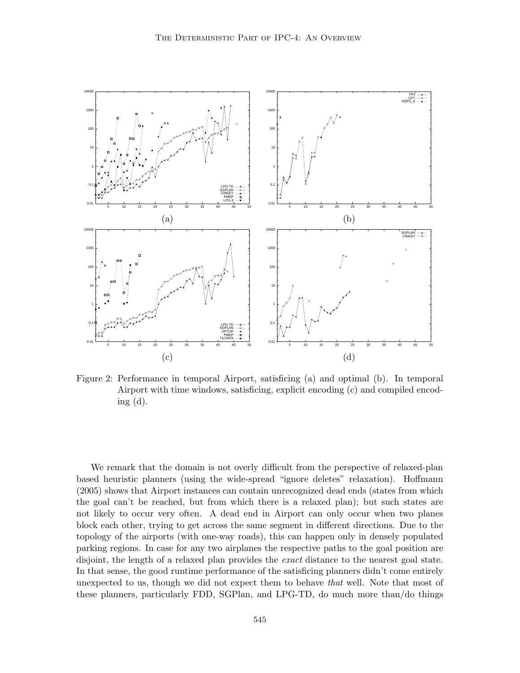

Figure 2: Performance in temporal Airport, satisficing (a) and optimal (b). In temporal Airport with time windows, satisficing, explicit encoding (c) and compiled encoding (d).

We remark that the domain is not overly difficult from the perspective of relaxed-plan based heuristic planners (using the wide-spread "ignore deletes" relaxation). Hoffmann (2005) shows that Airport instances can contain unrecognized dead ends (states from which the goal can't be reached, but from which there is a relaxed plan); but such states are not likely to occur very often. A dead end in Airport can only occur when two planes block each other, trying to get across the same segment in different directions. Due to the topology of the airports (with one-way roads), this can happen only in densely populated parking regions. In case for any two airplanes the respective paths to the goal position are disjoint, the length of a relaxed plan provides the *exact* distance to the nearest goal state. In that sense, the good runtime performance of the satisficing planners didn't come entirely unexpected to us, though we did not expect them to behave *that* well. Note that most of these planners, particularly FDD, SGPlan, and LPG-TD, do much more than/do things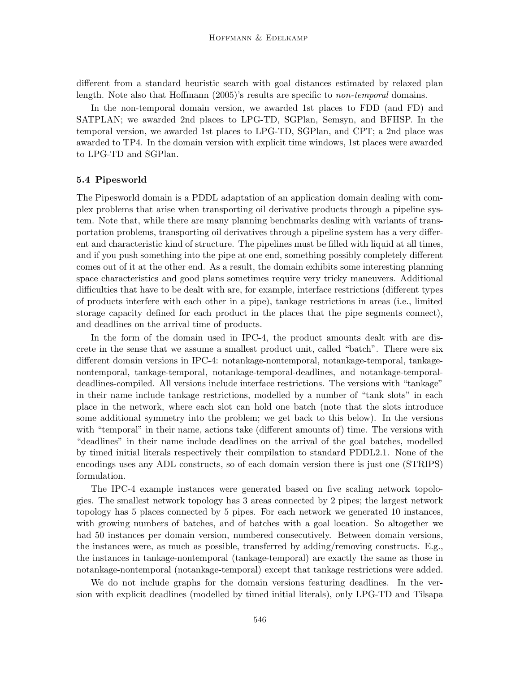different from a standard heuristic search with goal distances estimated by relaxed plan length. Note also that Hoffmann (2005)'s results are specific to *non-temporal* domains.

In the non-temporal domain version, we awarded 1st places to FDD (and FD) and SATPLAN; we awarded 2nd places to LPG-TD, SGPlan, Semsyn, and BFHSP. In the temporal version, we awarded 1st places to LPG-TD, SGPlan, and CPT; a 2nd place was awarded to TP4. In the domain version with explicit time windows, 1st places were awarded to LPG-TD and SGPlan.

## 5.4 Pipesworld

The Pipesworld domain is a PDDL adaptation of an application domain dealing with complex problems that arise when transporting oil derivative products through a pipeline system. Note that, while there are many planning benchmarks dealing with variants of transportation problems, transporting oil derivatives through a pipeline system has a very different and characteristic kind of structure. The pipelines must be filled with liquid at all times, and if you push something into the pipe at one end, something possibly completely different comes out of it at the other end. As a result, the domain exhibits some interesting planning space characteristics and good plans sometimes require very tricky maneuvers. Additional difficulties that have to be dealt with are, for example, interface restrictions (different types of products interfere with each other in a pipe), tankage restrictions in areas (i.e., limited storage capacity defined for each product in the places that the pipe segments connect), and deadlines on the arrival time of products.

In the form of the domain used in IPC-4, the product amounts dealt with are discrete in the sense that we assume a smallest product unit, called "batch". There were six different domain versions in IPC-4: notankage-nontemporal, notankage-temporal, tankagenontemporal, tankage-temporal, notankage-temporal-deadlines, and notankage-temporaldeadlines-compiled. All versions include interface restrictions. The versions with "tankage" in their name include tankage restrictions, modelled by a number of "tank slots" in each place in the network, where each slot can hold one batch (note that the slots introduce some additional symmetry into the problem; we get back to this below). In the versions with "temporal" in their name, actions take (different amounts of) time. The versions with "deadlines" in their name include deadlines on the arrival of the goal batches, modelled by timed initial literals respectively their compilation to standard PDDL2.1. None of the encodings uses any ADL constructs, so of each domain version there is just one (STRIPS) formulation.

The IPC-4 example instances were generated based on five scaling network topologies. The smallest network topology has 3 areas connected by 2 pipes; the largest network topology has 5 places connected by 5 pipes. For each network we generated 10 instances, with growing numbers of batches, and of batches with a goal location. So altogether we had 50 instances per domain version, numbered consecutively. Between domain versions, the instances were, as much as possible, transferred by adding/removing constructs. E.g., the instances in tankage-nontemporal (tankage-temporal) are exactly the same as those in notankage-nontemporal (notankage-temporal) except that tankage restrictions were added.

We do not include graphs for the domain versions featuring deadlines. In the version with explicit deadlines (modelled by timed initial literals), only LPG-TD and Tilsapa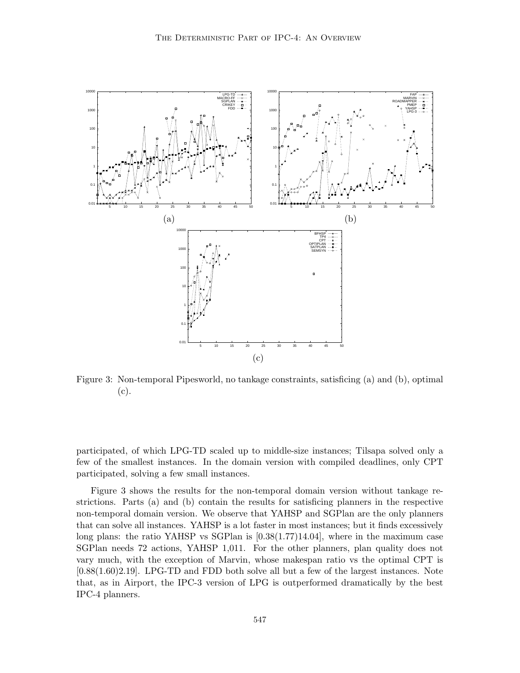

Figure 3: Non-temporal Pipesworld, no tankage constraints, satisficing (a) and (b), optimal (c).

participated, of which LPG-TD scaled up to middle-size instances; Tilsapa solved only a few of the smallest instances. In the domain version with compiled deadlines, only CPT participated, solving a few small instances.

Figure 3 shows the results for the non-temporal domain version without tankage restrictions. Parts (a) and (b) contain the results for satisficing planners in the respective non-temporal domain version. We observe that YAHSP and SGPlan are the only planners that can solve all instances. YAHSP is a lot faster in most instances; but it finds excessively long plans: the ratio YAHSP vs SGPlan is [0.38(1.77)14.04], where in the maximum case SGPlan needs 72 actions, YAHSP 1,011. For the other planners, plan quality does not vary much, with the exception of Marvin, whose makespan ratio vs the optimal CPT is [0.88(1.60)2.19]. LPG-TD and FDD both solve all but a few of the largest instances. Note that, as in Airport, the IPC-3 version of LPG is outperformed dramatically by the best IPC-4 planners.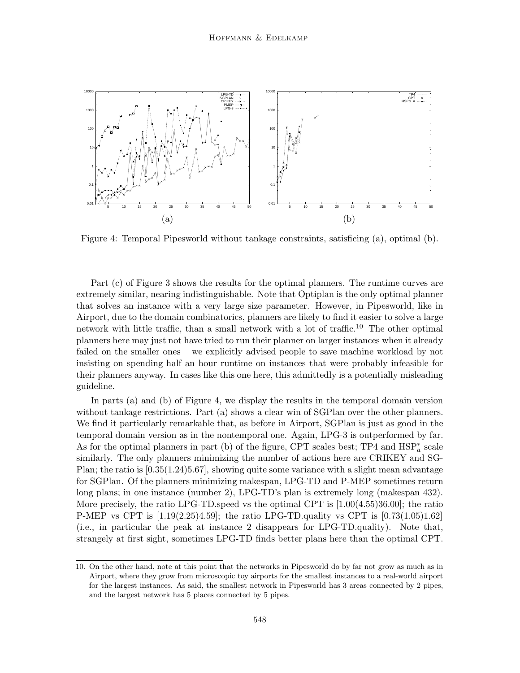

Figure 4: Temporal Pipesworld without tankage constraints, satisficing (a), optimal (b).

Part (c) of Figure 3 shows the results for the optimal planners. The runtime curves are extremely similar, nearing indistinguishable. Note that Optiplan is the only optimal planner that solves an instance with a very large size parameter. However, in Pipesworld, like in Airport, due to the domain combinatorics, planners are likely to find it easier to solve a large network with little traffic, than a small network with a lot of traffic.<sup>10</sup> The other optimal planners here may just not have tried to run their planner on larger instances when it already failed on the smaller ones – we explicitly advised people to save machine workload by not insisting on spending half an hour runtime on instances that were probably infeasible for their planners anyway. In cases like this one here, this admittedly is a potentially misleading guideline.

In parts (a) and (b) of Figure 4, we display the results in the temporal domain version without tankage restrictions. Part (a) shows a clear win of SGPlan over the other planners. We find it particularly remarkable that, as before in Airport, SGPlan is just as good in the temporal domain version as in the nontemporal one. Again, LPG-3 is outperformed by far. As for the optimal planners in part (b) of the figure, CPT scales best; TP4 and  $HSP_{a}^{*}$  scale similarly. The only planners minimizing the number of actions here are CRIKEY and SG-Plan; the ratio is [0.35(1.24)5.67], showing quite some variance with a slight mean advantage for SGPlan. Of the planners minimizing makespan, LPG-TD and P-MEP sometimes return long plans; in one instance (number 2), LPG-TD's plan is extremely long (makespan 432). More precisely, the ratio LPG-TD.speed vs the optimal CPT is  $[1.00(4.55)36.00]$ ; the ratio P-MEP vs CPT is  $[1.19(2.25)4.59]$ ; the ratio LPG-TD.quality vs CPT is  $[0.73(1.05)1.62]$ (i.e., in particular the peak at instance 2 disappears for LPG-TD.quality). Note that, strangely at first sight, sometimes LPG-TD finds better plans here than the optimal CPT.

<sup>10.</sup> On the other hand, note at this point that the networks in Pipesworld do by far not grow as much as in Airport, where they grow from microscopic toy airports for the smallest instances to a real-world airport for the largest instances. As said, the smallest network in Pipesworld has 3 areas connected by 2 pipes, and the largest network has 5 places connected by 5 pipes.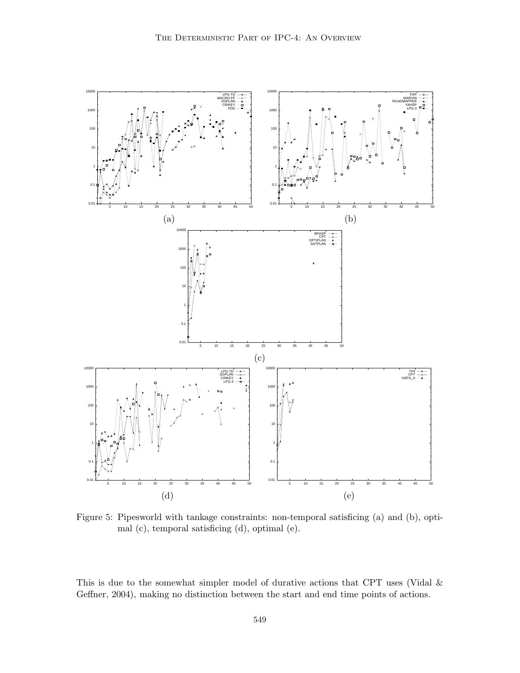

Figure 5: Pipesworld with tankage constraints: non-temporal satisficing (a) and (b), optimal (c), temporal satisficing (d), optimal (e).

This is due to the somewhat simpler model of durative actions that CPT uses (Vidal & Geffner, 2004), making no distinction between the start and end time points of actions.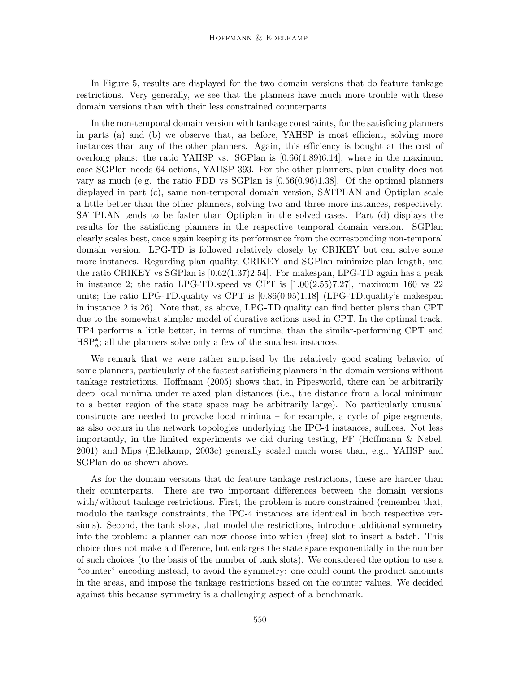In Figure 5, results are displayed for the two domain versions that do feature tankage restrictions. Very generally, we see that the planners have much more trouble with these domain versions than with their less constrained counterparts.

In the non-temporal domain version with tankage constraints, for the satisficing planners in parts (a) and (b) we observe that, as before, YAHSP is most efficient, solving more instances than any of the other planners. Again, this efficiency is bought at the cost of overlong plans: the ratio YAHSP vs. SGPlan is [0.66(1.89)6.14], where in the maximum case SGPlan needs 64 actions, YAHSP 393. For the other planners, plan quality does not vary as much (e.g. the ratio FDD vs SGPlan is [0.56(0.96)1.38]. Of the optimal planners displayed in part (c), same non-temporal domain version, SATPLAN and Optiplan scale a little better than the other planners, solving two and three more instances, respectively. SATPLAN tends to be faster than Optiplan in the solved cases. Part (d) displays the results for the satisficing planners in the respective temporal domain version. SGPlan clearly scales best, once again keeping its performance from the corresponding non-temporal domain version. LPG-TD is followed relatively closely by CRIKEY but can solve some more instances. Regarding plan quality, CRIKEY and SGPlan minimize plan length, and the ratio CRIKEY vs SGPlan is [0.62(1.37)2.54]. For makespan, LPG-TD again has a peak in instance 2; the ratio LPG-TD.speed vs CPT is  $[1.00(2.55)7.27]$ , maximum 160 vs 22 units; the ratio LPG-TD.quality vs CPT is  $[0.86(0.95)1.18]$  (LPG-TD.quality's makespan in instance 2 is 26). Note that, as above, LPG-TD.quality can find better plans than CPT due to the somewhat simpler model of durative actions used in CPT. In the optimal track, TP4 performs a little better, in terms of runtime, than the similar-performing CPT and  $HSP_{a}^{*}$ ; all the planners solve only a few of the smallest instances.

We remark that we were rather surprised by the relatively good scaling behavior of some planners, particularly of the fastest satisficing planners in the domain versions without tankage restrictions. Hoffmann (2005) shows that, in Pipesworld, there can be arbitrarily deep local minima under relaxed plan distances (i.e., the distance from a local minimum to a better region of the state space may be arbitrarily large). No particularly unusual constructs are needed to provoke local minima – for example, a cycle of pipe segments, as also occurs in the network topologies underlying the IPC-4 instances, suffices. Not less importantly, in the limited experiments we did during testing, FF (Hoffmann & Nebel, 2001) and Mips (Edelkamp, 2003c) generally scaled much worse than, e.g., YAHSP and SGPlan do as shown above.

As for the domain versions that do feature tankage restrictions, these are harder than their counterparts. There are two important differences between the domain versions with/without tankage restrictions. First, the problem is more constrained (remember that, modulo the tankage constraints, the IPC-4 instances are identical in both respective versions). Second, the tank slots, that model the restrictions, introduce additional symmetry into the problem: a planner can now choose into which (free) slot to insert a batch. This choice does not make a difference, but enlarges the state space exponentially in the number of such choices (to the basis of the number of tank slots). We considered the option to use a "counter" encoding instead, to avoid the symmetry: one could count the product amounts in the areas, and impose the tankage restrictions based on the counter values. We decided against this because symmetry is a challenging aspect of a benchmark.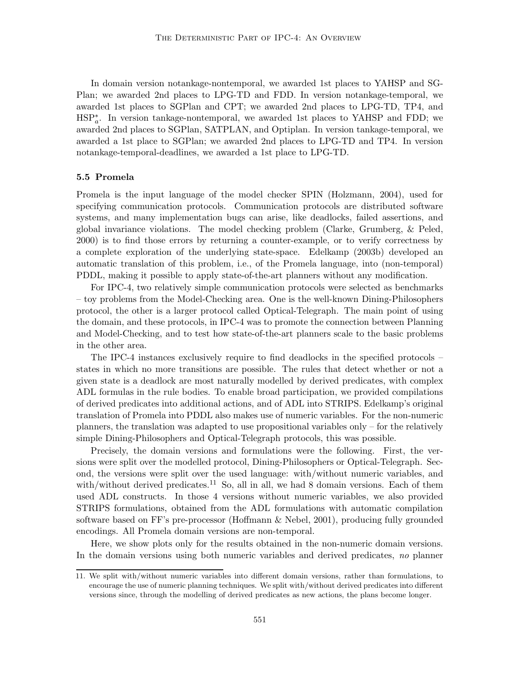In domain version notankage-nontemporal, we awarded 1st places to YAHSP and SG-Plan; we awarded 2nd places to LPG-TD and FDD. In version notankage-temporal, we awarded 1st places to SGPlan and CPT; we awarded 2nd places to LPG-TD, TP4, and HSP<sup>\*</sup><sub>a</sub>. In version tankage-nontemporal, we awarded 1st places to YAHSP and FDD; we awarded 2nd places to SGPlan, SATPLAN, and Optiplan. In version tankage-temporal, we awarded a 1st place to SGPlan; we awarded 2nd places to LPG-TD and TP4. In version notankage-temporal-deadlines, we awarded a 1st place to LPG-TD.

## 5.5 Promela

Promela is the input language of the model checker SPIN (Holzmann, 2004), used for specifying communication protocols. Communication protocols are distributed software systems, and many implementation bugs can arise, like deadlocks, failed assertions, and global invariance violations. The model checking problem (Clarke, Grumberg, & Peled, 2000) is to find those errors by returning a counter-example, or to verify correctness by a complete exploration of the underlying state-space. Edelkamp (2003b) developed an automatic translation of this problem, i.e., of the Promela language, into (non-temporal) PDDL, making it possible to apply state-of-the-art planners without any modification.

For IPC-4, two relatively simple communication protocols were selected as benchmarks – toy problems from the Model-Checking area. One is the well-known Dining-Philosophers protocol, the other is a larger protocol called Optical-Telegraph. The main point of using the domain, and these protocols, in IPC-4 was to promote the connection between Planning and Model-Checking, and to test how state-of-the-art planners scale to the basic problems in the other area.

The IPC-4 instances exclusively require to find deadlocks in the specified protocols – states in which no more transitions are possible. The rules that detect whether or not a given state is a deadlock are most naturally modelled by derived predicates, with complex ADL formulas in the rule bodies. To enable broad participation, we provided compilations of derived predicates into additional actions, and of ADL into STRIPS. Edelkamp's original translation of Promela into PDDL also makes use of numeric variables. For the non-numeric planners, the translation was adapted to use propositional variables only – for the relatively simple Dining-Philosophers and Optical-Telegraph protocols, this was possible.

Precisely, the domain versions and formulations were the following. First, the versions were split over the modelled protocol, Dining-Philosophers or Optical-Telegraph. Second, the versions were split over the used language: with/without numeric variables, and with/without derived predicates.<sup>11</sup> So, all in all, we had 8 domain versions. Each of them used ADL constructs. In those 4 versions without numeric variables, we also provided STRIPS formulations, obtained from the ADL formulations with automatic compilation software based on FF's pre-processor (Hoffmann & Nebel, 2001), producing fully grounded encodings. All Promela domain versions are non-temporal.

Here, we show plots only for the results obtained in the non-numeric domain versions. In the domain versions using both numeric variables and derived predicates, no planner

<sup>11.</sup> We split with/without numeric variables into different domain versions, rather than formulations, to encourage the use of numeric planning techniques. We split with/without derived predicates into different versions since, through the modelling of derived predicates as new actions, the plans become longer.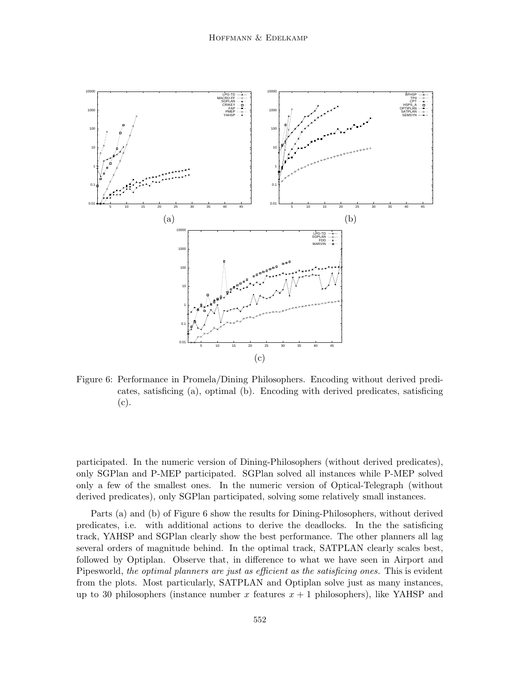

Figure 6: Performance in Promela/Dining Philosophers. Encoding without derived predicates, satisficing (a), optimal (b). Encoding with derived predicates, satisficing (c).

participated. In the numeric version of Dining-Philosophers (without derived predicates), only SGPlan and P-MEP participated. SGPlan solved all instances while P-MEP solved only a few of the smallest ones. In the numeric version of Optical-Telegraph (without derived predicates), only SGPlan participated, solving some relatively small instances.

Parts (a) and (b) of Figure 6 show the results for Dining-Philosophers, without derived predicates, i.e. with additional actions to derive the deadlocks. In the the satisficing track, YAHSP and SGPlan clearly show the best performance. The other planners all lag several orders of magnitude behind. In the optimal track, SATPLAN clearly scales best, followed by Optiplan. Observe that, in difference to what we have seen in Airport and Pipesworld, the optimal planners are just as efficient as the satisficing ones. This is evident from the plots. Most particularly, SATPLAN and Optiplan solve just as many instances, up to 30 philosophers (instance number x features  $x + 1$  philosophers), like YAHSP and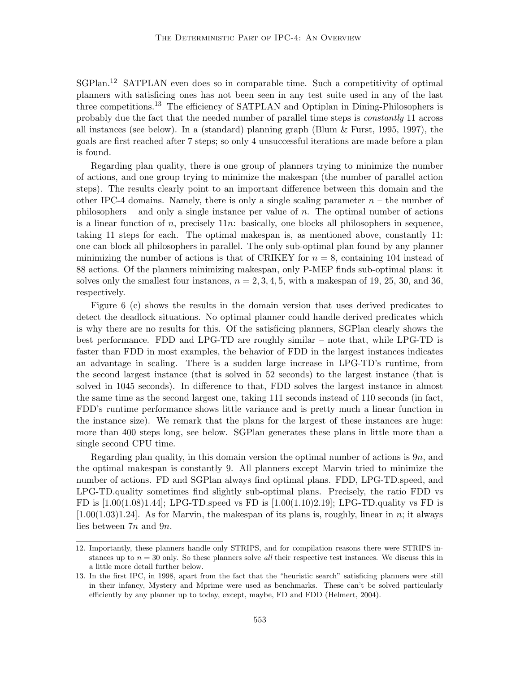SGPlan.<sup>12</sup> SATPLAN even does so in comparable time. Such a competitivity of optimal planners with satisficing ones has not been seen in any test suite used in any of the last three competitions.<sup>13</sup> The efficiency of SATPLAN and Optiplan in Dining-Philosophers is probably due the fact that the needed number of parallel time steps is constantly 11 across all instances (see below). In a (standard) planning graph (Blum & Furst, 1995, 1997), the goals are first reached after 7 steps; so only 4 unsuccessful iterations are made before a plan is found.

Regarding plan quality, there is one group of planners trying to minimize the number of actions, and one group trying to minimize the makespan (the number of parallel action steps). The results clearly point to an important difference between this domain and the other IPC-4 domains. Namely, there is only a single scaling parameter  $n -$  the number of philosophers – and only a single instance per value of  $n$ . The optimal number of actions is a linear function of n, precisely  $11n$ : basically, one blocks all philosophers in sequence, taking 11 steps for each. The optimal makespan is, as mentioned above, constantly 11: one can block all philosophers in parallel. The only sub-optimal plan found by any planner minimizing the number of actions is that of CRIKEY for  $n = 8$ , containing 104 instead of 88 actions. Of the planners minimizing makespan, only P-MEP finds sub-optimal plans: it solves only the smallest four instances,  $n = 2, 3, 4, 5$ , with a makespan of 19, 25, 30, and 36, respectively.

Figure 6 (c) shows the results in the domain version that uses derived predicates to detect the deadlock situations. No optimal planner could handle derived predicates which is why there are no results for this. Of the satisficing planners, SGPlan clearly shows the best performance. FDD and LPG-TD are roughly similar – note that, while LPG-TD is faster than FDD in most examples, the behavior of FDD in the largest instances indicates an advantage in scaling. There is a sudden large increase in LPG-TD's runtime, from the second largest instance (that is solved in 52 seconds) to the largest instance (that is solved in 1045 seconds). In difference to that, FDD solves the largest instance in almost the same time as the second largest one, taking 111 seconds instead of 110 seconds (in fact, FDD's runtime performance shows little variance and is pretty much a linear function in the instance size). We remark that the plans for the largest of these instances are huge: more than 400 steps long, see below. SGPlan generates these plans in little more than a single second CPU time.

Regarding plan quality, in this domain version the optimal number of actions is  $9n$ , and the optimal makespan is constantly 9. All planners except Marvin tried to minimize the number of actions. FD and SGPlan always find optimal plans. FDD, LPG-TD.speed, and LPG-TD.quality sometimes find slightly sub-optimal plans. Precisely, the ratio FDD vs FD is  $[1.00(1.08)1.44]$ ; LPG-TD.speed vs FD is  $[1.00(1.10)2.19]$ ; LPG-TD.quality vs FD is  $[1.00(1.03)1.24]$ . As for Marvin, the makespan of its plans is, roughly, linear in n; it always lies between 7n and 9n.

<sup>12.</sup> Importantly, these planners handle only STRIPS, and for compilation reasons there were STRIPS instances up to  $n = 30$  only. So these planners solve *all* their respective test instances. We discuss this in a little more detail further below.

<sup>13.</sup> In the first IPC, in 1998, apart from the fact that the "heuristic search" satisficing planners were still in their infancy, Mystery and Mprime were used as benchmarks. These can't be solved particularly efficiently by any planner up to today, except, maybe, FD and FDD (Helmert, 2004).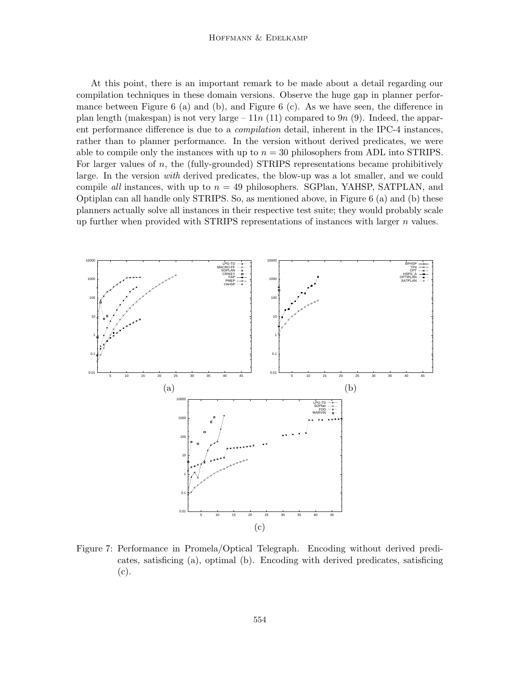#### Hoffmann & Edelkamp

At this point, there is an important remark to be made about a detail regarding our compilation techniques in these domain versions. Observe the huge gap in planner performance between Figure 6 (a) and (b), and Figure 6 (c). As we have seen, the difference in plan length (makespan) is not very large  $-11n(11)$  compared to 9n (9). Indeed, the apparent performance difference is due to a *compilation* detail, inherent in the IPC-4 instances, rather than to planner performance. In the version without derived predicates, we were able to compile only the instances with up to  $n = 30$  philosophers from ADL into STRIPS. For larger values of n, the (fully-grounded) STRIPS representations became prohibitively large. In the version *with* derived predicates, the blow-up was a lot smaller, and we could compile all instances, with up to  $n = 49$  philosophers. SGPlan, YAHSP, SATPLAN, and Optiplan can all handle only STRIPS. So, as mentioned above, in Figure 6 (a) and (b) these planners actually solve all instances in their respective test suite; they would probably scale up further when provided with STRIPS representations of instances with larger  $n$  values.



Figure 7: Performance in Promela/Optical Telegraph. Encoding without derived predicates, satisficing (a), optimal (b). Encoding with derived predicates, satisficing (c).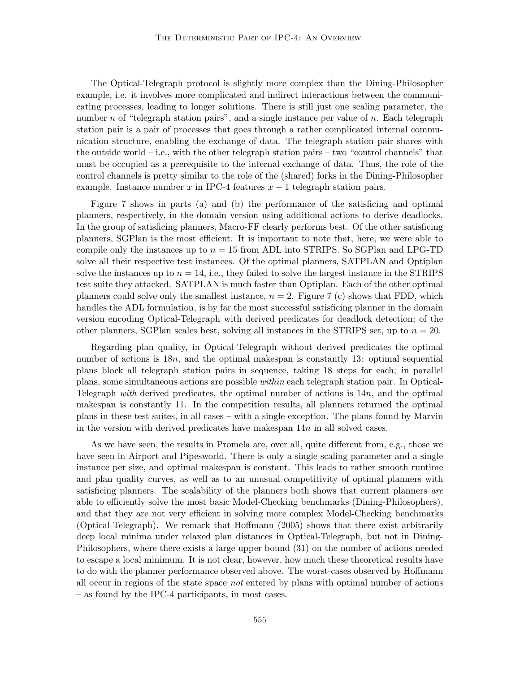The Optical-Telegraph protocol is slightly more complex than the Dining-Philosopher example, i.e. it involves more complicated and indirect interactions between the communicating processes, leading to longer solutions. There is still just one scaling parameter, the number n of "telegraph station pairs", and a single instance per value of  $n$ . Each telegraph station pair is a pair of processes that goes through a rather complicated internal communication structure, enabling the exchange of data. The telegraph station pair shares with the outside world – i.e., with the other telegraph station pairs – two "control channels" that must be occupied as a prerequisite to the internal exchange of data. Thus, the role of the control channels is pretty similar to the role of the (shared) forks in the Dining-Philosopher example. Instance number x in IPC-4 features  $x + 1$  telegraph station pairs.

Figure 7 shows in parts (a) and (b) the performance of the satisficing and optimal planners, respectively, in the domain version using additional actions to derive deadlocks. In the group of satisficing planners, Macro-FF clearly performs best. Of the other satisficing planners, SGPlan is the most efficient. It is important to note that, here, we were able to compile only the instances up to  $n = 15$  from ADL into STRIPS. So SGPlan and LPG-TD solve all their respective test instances. Of the optimal planners, SATPLAN and Optiplan solve the instances up to  $n = 14$ , i.e., they failed to solve the largest instance in the STRIPS test suite they attacked. SATPLAN is much faster than Optiplan. Each of the other optimal planners could solve only the smallest instance,  $n = 2$ . Figure 7 (c) shows that FDD, which handles the ADL formulation, is by far the most successful satisficing planner in the domain version encoding Optical-Telegraph with derived predicates for deadlock detection; of the other planners, SGPlan scales best, solving all instances in the STRIPS set, up to  $n = 20$ .

Regarding plan quality, in Optical-Telegraph without derived predicates the optimal number of actions is  $18n$ , and the optimal makespan is constantly 13: optimal sequential plans block all telegraph station pairs in sequence, taking 18 steps for each; in parallel plans, some simultaneous actions are possible within each telegraph station pair. In Optical-Telegraph with derived predicates, the optimal number of actions is  $14n$ , and the optimal makespan is constantly 11. In the competition results, all planners returned the optimal plans in these test suites, in all cases – with a single exception. The plans found by Marvin in the version with derived predicates have makespan  $14n$  in all solved cases.

As we have seen, the results in Promela are, over all, quite different from, e.g., those we have seen in Airport and Pipesworld. There is only a single scaling parameter and a single instance per size, and optimal makespan is constant. This leads to rather smooth runtime and plan quality curves, as well as to an unusual competitivity of optimal planners with satisficing planners. The scalability of the planners both shows that current planners are able to efficiently solve the most basic Model-Checking benchmarks (Dining-Philosophers), and that they are not very efficient in solving more complex Model-Checking benchmarks (Optical-Telegraph). We remark that Hoffmann (2005) shows that there exist arbitrarily deep local minima under relaxed plan distances in Optical-Telegraph, but not in Dining-Philosophers, where there exists a large upper bound (31) on the number of actions needed to escape a local minimum. It is not clear, however, how much these theoretical results have to do with the planner performance observed above. The worst-cases observed by Hoffmann all occur in regions of the state space not entered by plans with optimal number of actions – as found by the IPC-4 participants, in most cases.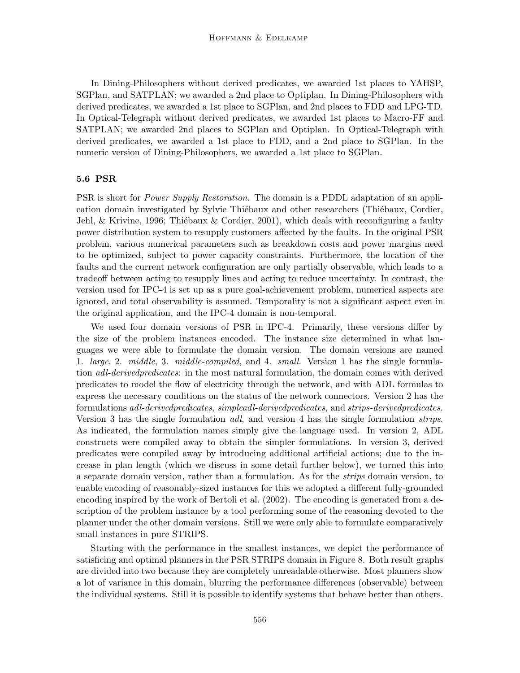In Dining-Philosophers without derived predicates, we awarded 1st places to YAHSP, SGPlan, and SATPLAN; we awarded a 2nd place to Optiplan. In Dining-Philosophers with derived predicates, we awarded a 1st place to SGPlan, and 2nd places to FDD and LPG-TD. In Optical-Telegraph without derived predicates, we awarded 1st places to Macro-FF and SATPLAN; we awarded 2nd places to SGPlan and Optiplan. In Optical-Telegraph with derived predicates, we awarded a 1st place to FDD, and a 2nd place to SGPlan. In the numeric version of Dining-Philosophers, we awarded a 1st place to SGPlan.

#### 5.6 PSR

PSR is short for Power Supply Restoration. The domain is a PDDL adaptation of an application domain investigated by Sylvie Thiébaux and other researchers (Thiébaux, Cordier, Jehl, & Krivine, 1996; Thiébaux & Cordier, 2001), which deals with reconfiguring a faulty power distribution system to resupply customers affected by the faults. In the original PSR problem, various numerical parameters such as breakdown costs and power margins need to be optimized, subject to power capacity constraints. Furthermore, the location of the faults and the current network configuration are only partially observable, which leads to a tradeoff between acting to resupply lines and acting to reduce uncertainty. In contrast, the version used for IPC-4 is set up as a pure goal-achievement problem, numerical aspects are ignored, and total observability is assumed. Temporality is not a significant aspect even in the original application, and the IPC-4 domain is non-temporal.

We used four domain versions of PSR in IPC-4. Primarily, these versions differ by the size of the problem instances encoded. The instance size determined in what languages we were able to formulate the domain version. The domain versions are named 1. large, 2. middle, 3. middle-compiled, and 4. small. Version 1 has the single formulation adl-derivedpredicates: in the most natural formulation, the domain comes with derived predicates to model the flow of electricity through the network, and with ADL formulas to express the necessary conditions on the status of the network connectors. Version 2 has the formulations adl-derivedpredicates, simpleadl-derivedpredicates, and strips-derivedpredicates. Version 3 has the single formulation adl, and version 4 has the single formulation strips. As indicated, the formulation names simply give the language used. In version 2, ADL constructs were compiled away to obtain the simpler formulations. In version 3, derived predicates were compiled away by introducing additional artificial actions; due to the increase in plan length (which we discuss in some detail further below), we turned this into a separate domain version, rather than a formulation. As for the strips domain version, to enable encoding of reasonably-sized instances for this we adopted a different fully-grounded encoding inspired by the work of Bertoli et al. (2002). The encoding is generated from a description of the problem instance by a tool performing some of the reasoning devoted to the planner under the other domain versions. Still we were only able to formulate comparatively small instances in pure STRIPS.

Starting with the performance in the smallest instances, we depict the performance of satisficing and optimal planners in the PSR STRIPS domain in Figure 8. Both result graphs are divided into two because they are completely unreadable otherwise. Most planners show a lot of variance in this domain, blurring the performance differences (observable) between the individual systems. Still it is possible to identify systems that behave better than others.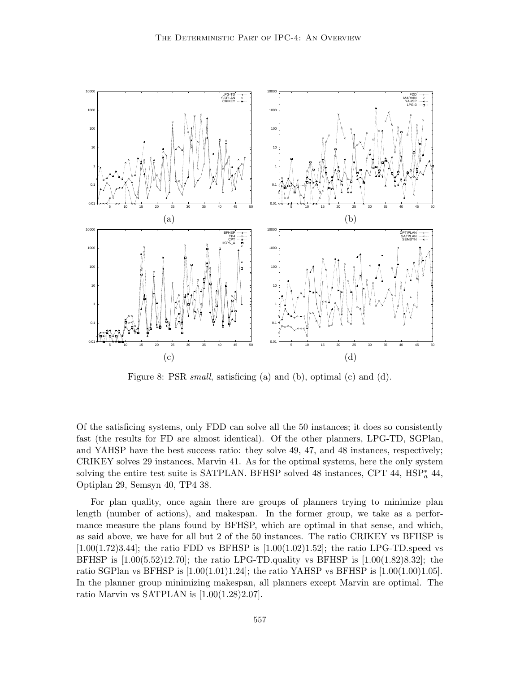

Figure 8: PSR small, satisficing (a) and (b), optimal (c) and (d).

Of the satisficing systems, only FDD can solve all the 50 instances; it does so consistently fast (the results for FD are almost identical). Of the other planners, LPG-TD, SGPlan, and YAHSP have the best success ratio: they solve 49, 47, and 48 instances, respectively; CRIKEY solves 29 instances, Marvin 41. As for the optimal systems, here the only system solving the entire test suite is SATPLAN. BFHSP solved 48 instances, CPT 44,  $HSP_a^*$  44, Optiplan 29, Semsyn 40, TP4 38.

For plan quality, once again there are groups of planners trying to minimize plan length (number of actions), and makespan. In the former group, we take as a performance measure the plans found by BFHSP, which are optimal in that sense, and which, as said above, we have for all but 2 of the 50 instances. The ratio CRIKEY vs BFHSP is  $[1.00(1.72)3.44]$ ; the ratio FDD vs BFHSP is  $[1.00(1.02)1.52]$ ; the ratio LPG-TD.speed vs BFHSP is  $[1.00(5.52)12.70]$ ; the ratio LPG-TD.quality vs BFHSP is  $[1.00(1.82)8.32]$ ; the ratio SGPlan vs BFHSP is  $[1.00(1.01)1.24]$ ; the ratio YAHSP vs BFHSP is  $[1.00(1.00)1.05]$ . In the planner group minimizing makespan, all planners except Marvin are optimal. The ratio Marvin vs SATPLAN is [1.00(1.28)2.07].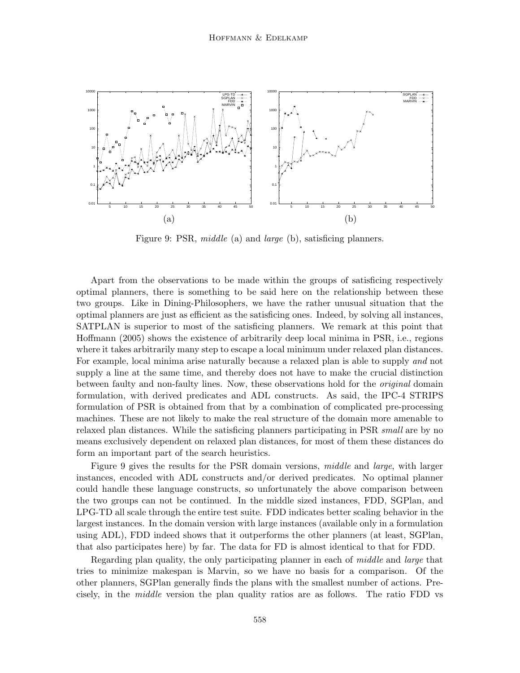

Figure 9: PSR, *middle* (a) and *large* (b), satisficing planners.

Apart from the observations to be made within the groups of satisficing respectively optimal planners, there is something to be said here on the relationship between these two groups. Like in Dining-Philosophers, we have the rather unusual situation that the optimal planners are just as efficient as the satisficing ones. Indeed, by solving all instances, SATPLAN is superior to most of the satisficing planners. We remark at this point that Hoffmann (2005) shows the existence of arbitrarily deep local minima in PSR, i.e., regions where it takes arbitrarily many step to escape a local minimum under relaxed plan distances. For example, local minima arise naturally because a relaxed plan is able to supply and not supply a line at the same time, and thereby does not have to make the crucial distinction between faulty and non-faulty lines. Now, these observations hold for the original domain formulation, with derived predicates and ADL constructs. As said, the IPC-4 STRIPS formulation of PSR is obtained from that by a combination of complicated pre-processing machines. These are not likely to make the real structure of the domain more amenable to relaxed plan distances. While the satisficing planners participating in PSR *small* are by no means exclusively dependent on relaxed plan distances, for most of them these distances do form an important part of the search heuristics.

Figure 9 gives the results for the PSR domain versions, middle and large, with larger instances, encoded with ADL constructs and/or derived predicates. No optimal planner could handle these language constructs, so unfortunately the above comparison between the two groups can not be continued. In the middle sized instances, FDD, SGPlan, and LPG-TD all scale through the entire test suite. FDD indicates better scaling behavior in the largest instances. In the domain version with large instances (available only in a formulation using ADL), FDD indeed shows that it outperforms the other planners (at least, SGPlan, that also participates here) by far. The data for FD is almost identical to that for FDD.

Regarding plan quality, the only participating planner in each of middle and large that tries to minimize makespan is Marvin, so we have no basis for a comparison. Of the other planners, SGPlan generally finds the plans with the smallest number of actions. Precisely, in the middle version the plan quality ratios are as follows. The ratio FDD vs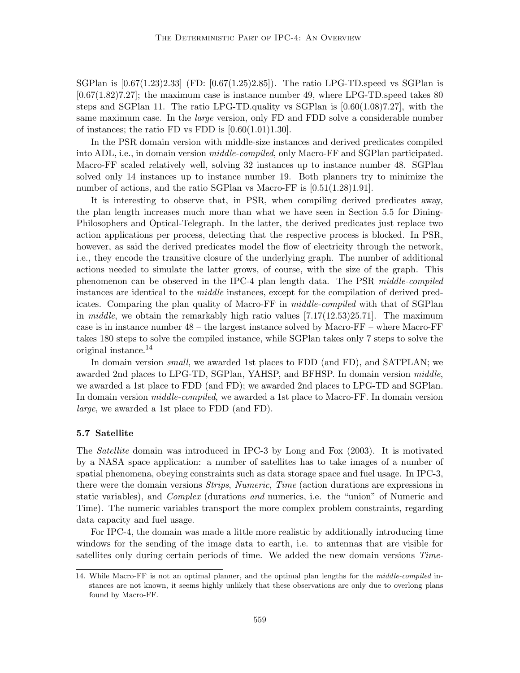SGPlan is  $[0.67(1.23)2.33]$  (FD:  $[0.67(1.25)2.85]$ ). The ratio LPG-TD.speed vs SGPlan is  $[0.67(1.82)7.27]$ ; the maximum case is instance number 49, where LPG-TD speed takes 80 steps and SGPlan 11. The ratio LPG-TD.quality vs SGPlan is [0.60(1.08)7.27], with the same maximum case. In the *large* version, only FD and FDD solve a considerable number of instances; the ratio FD vs FDD is  $[0.60(1.01)1.30]$ .

In the PSR domain version with middle-size instances and derived predicates compiled into ADL, i.e., in domain version *middle-compiled*, only Macro-FF and SGPlan participated. Macro-FF scaled relatively well, solving 32 instances up to instance number 48. SGPlan solved only 14 instances up to instance number 19. Both planners try to minimize the number of actions, and the ratio SGPlan vs Macro-FF is  $[0.51(1.28)1.91]$ .

It is interesting to observe that, in PSR, when compiling derived predicates away, the plan length increases much more than what we have seen in Section 5.5 for Dining-Philosophers and Optical-Telegraph. In the latter, the derived predicates just replace two action applications per process, detecting that the respective process is blocked. In PSR, however, as said the derived predicates model the flow of electricity through the network, i.e., they encode the transitive closure of the underlying graph. The number of additional actions needed to simulate the latter grows, of course, with the size of the graph. This phenomenon can be observed in the IPC-4 plan length data. The PSR middle-compiled instances are identical to the middle instances, except for the compilation of derived predicates. Comparing the plan quality of Macro-FF in middle-compiled with that of SGPlan in *middle*, we obtain the remarkably high ratio values  $[7.17(12.53)25.71]$ . The maximum case is in instance number 48 – the largest instance solved by Macro-FF – where Macro-FF takes 180 steps to solve the compiled instance, while SGPlan takes only 7 steps to solve the original instance.<sup>14</sup>

In domain version small, we awarded 1st places to FDD (and FD), and SATPLAN; we awarded 2nd places to LPG-TD, SGPlan, YAHSP, and BFHSP. In domain version middle, we awarded a 1st place to FDD (and FD); we awarded 2nd places to LPG-TD and SGPlan. In domain version *middle-compiled*, we awarded a 1st place to Macro-FF. In domain version large, we awarded a 1st place to FDD (and FD).

## 5.7 Satellite

The Satellite domain was introduced in IPC-3 by Long and Fox (2003). It is motivated by a NASA space application: a number of satellites has to take images of a number of spatial phenomena, obeying constraints such as data storage space and fuel usage. In IPC-3, there were the domain versions *Strips*, *Numeric*, *Time* (action durations are expressions in static variables), and *Complex* (durations and numerics, i.e. the "union" of Numeric and Time). The numeric variables transport the more complex problem constraints, regarding data capacity and fuel usage.

For IPC-4, the domain was made a little more realistic by additionally introducing time windows for the sending of the image data to earth, i.e. to antennas that are visible for satellites only during certain periods of time. We added the new domain versions Time-

<sup>14.</sup> While Macro-FF is not an optimal planner, and the optimal plan lengths for the middle-compiled instances are not known, it seems highly unlikely that these observations are only due to overlong plans found by Macro-FF.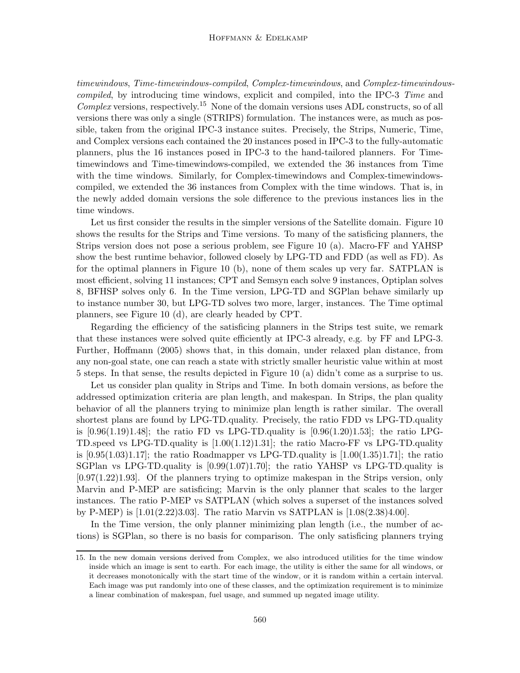timewindows, Time-timewindows-compiled, Complex-timewindows, and Complex-timewindowscompiled, by introducing time windows, explicit and compiled, into the IPC-3 Time and  $Complex$  versions, respectively.<sup>15</sup> None of the domain versions uses ADL constructs, so of all versions there was only a single (STRIPS) formulation. The instances were, as much as possible, taken from the original IPC-3 instance suites. Precisely, the Strips, Numeric, Time, and Complex versions each contained the 20 instances posed in IPC-3 to the fully-automatic planners, plus the 16 instances posed in IPC-3 to the hand-tailored planners. For Timetimewindows and Time-timewindows-compiled, we extended the 36 instances from Time with the time windows. Similarly, for Complex-timewindows and Complex-timewindowscompiled, we extended the 36 instances from Complex with the time windows. That is, in the newly added domain versions the sole difference to the previous instances lies in the time windows.

Let us first consider the results in the simpler versions of the Satellite domain. Figure 10 shows the results for the Strips and Time versions. To many of the satisficing planners, the Strips version does not pose a serious problem, see Figure 10 (a). Macro-FF and YAHSP show the best runtime behavior, followed closely by LPG-TD and FDD (as well as FD). As for the optimal planners in Figure 10 (b), none of them scales up very far. SATPLAN is most efficient, solving 11 instances; CPT and Semsyn each solve 9 instances, Optiplan solves 8, BFHSP solves only 6. In the Time version, LPG-TD and SGPlan behave similarly up to instance number 30, but LPG-TD solves two more, larger, instances. The Time optimal planners, see Figure 10 (d), are clearly headed by CPT.

Regarding the efficiency of the satisficing planners in the Strips test suite, we remark that these instances were solved quite efficiently at IPC-3 already, e.g. by FF and LPG-3. Further, Hoffmann (2005) shows that, in this domain, under relaxed plan distance, from any non-goal state, one can reach a state with strictly smaller heuristic value within at most 5 steps. In that sense, the results depicted in Figure 10 (a) didn't come as a surprise to us.

Let us consider plan quality in Strips and Time. In both domain versions, as before the addressed optimization criteria are plan length, and makespan. In Strips, the plan quality behavior of all the planners trying to minimize plan length is rather similar. The overall shortest plans are found by LPG-TD.quality. Precisely, the ratio FDD vs LPG-TD.quality is  $[0.96(1.19)1.48]$ ; the ratio FD vs LPG-TD.quality is  $[0.96(1.20)1.53]$ ; the ratio LPG-TD.speed vs LPG-TD.quality is [1.00(1.12)1.31]; the ratio Macro-FF vs LPG-TD.quality is  $[0.95(1.03)1.17]$ ; the ratio Roadmapper vs LPG-TD.quality is  $[1.00(1.35)1.71]$ ; the ratio SGPlan vs LPG-TD.quality is [0.99(1.07)1.70]; the ratio YAHSP vs LPG-TD.quality is [0.97(1.22)1.93]. Of the planners trying to optimize makespan in the Strips version, only Marvin and P-MEP are satisficing; Marvin is the only planner that scales to the larger instances. The ratio P-MEP vs SATPLAN (which solves a superset of the instances solved by P-MEP) is [1.01(2.22)3.03]. The ratio Marvin vs SATPLAN is [1.08(2.38)4.00].

In the Time version, the only planner minimizing plan length (i.e., the number of actions) is SGPlan, so there is no basis for comparison. The only satisficing planners trying

<sup>15.</sup> In the new domain versions derived from Complex, we also introduced utilities for the time window inside which an image is sent to earth. For each image, the utility is either the same for all windows, or it decreases monotonically with the start time of the window, or it is random within a certain interval. Each image was put randomly into one of these classes, and the optimization requirement is to minimize a linear combination of makespan, fuel usage, and summed up negated image utility.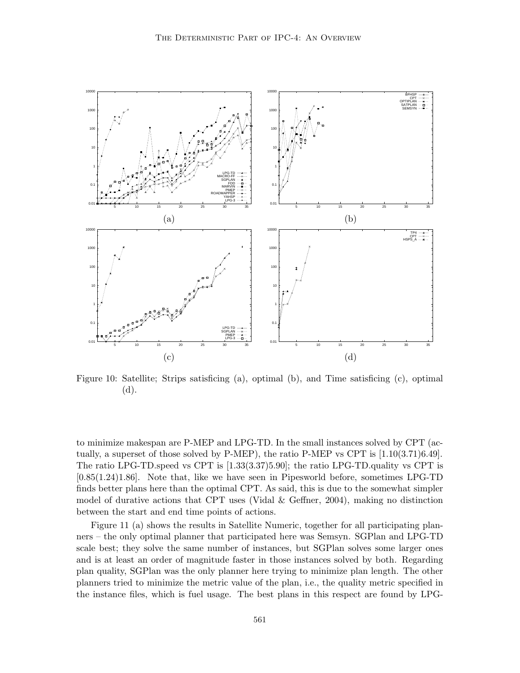

Figure 10: Satellite; Strips satisficing (a), optimal (b), and Time satisficing (c), optimal (d).

to minimize makespan are P-MEP and LPG-TD. In the small instances solved by CPT (actually, a superset of those solved by  $P-MEP$ ), the ratio  $P-MEP$  vs CPT is  $[1.10(3.71)6.49]$ . The ratio LPG-TD.speed vs CPT is [1.33(3.37)5.90]; the ratio LPG-TD.quality vs CPT is [0.85(1.24)1.86]. Note that, like we have seen in Pipesworld before, sometimes LPG-TD finds better plans here than the optimal CPT. As said, this is due to the somewhat simpler model of durative actions that CPT uses (Vidal  $\&$  Geffner, 2004), making no distinction between the start and end time points of actions.

Figure 11 (a) shows the results in Satellite Numeric, together for all participating planners – the only optimal planner that participated here was Semsyn. SGPlan and LPG-TD scale best; they solve the same number of instances, but SGPlan solves some larger ones and is at least an order of magnitude faster in those instances solved by both. Regarding plan quality, SGPlan was the only planner here trying to minimize plan length. The other planners tried to minimize the metric value of the plan, i.e., the quality metric specified in the instance files, which is fuel usage. The best plans in this respect are found by LPG-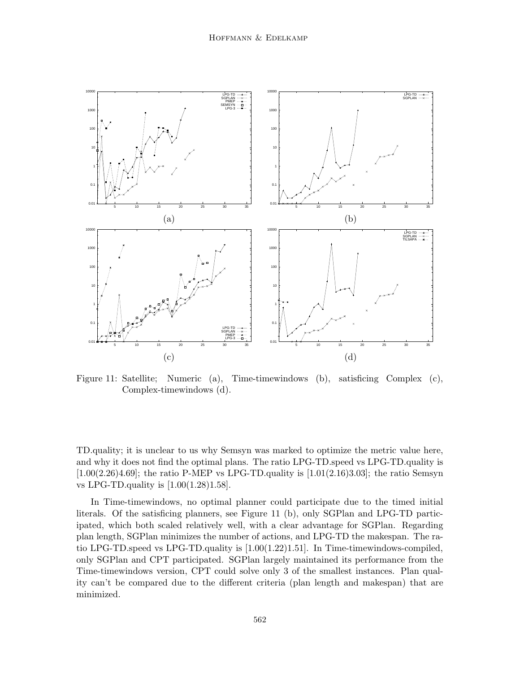

Figure 11: Satellite; Numeric (a), Time-timewindows (b), satisficing Complex (c), Complex-timewindows (d).

TD.quality; it is unclear to us why Semsyn was marked to optimize the metric value here, and why it does not find the optimal plans. The ratio LPG-TD.speed vs LPG-TD.quality is  $[1.00(2.26)4.69]$ ; the ratio P-MEP vs LPG-TD.quality is  $[1.01(2.16)3.03]$ ; the ratio Semsyn vs LPG-TD.quality is [1.00(1.28)1.58].

In Time-timewindows, no optimal planner could participate due to the timed initial literals. Of the satisficing planners, see Figure 11 (b), only SGPlan and LPG-TD participated, which both scaled relatively well, with a clear advantage for SGPlan. Regarding plan length, SGPlan minimizes the number of actions, and LPG-TD the makespan. The ratio LPG-TD.speed vs LPG-TD.quality is [1.00(1.22)1.51]. In Time-timewindows-compiled, only SGPlan and CPT participated. SGPlan largely maintained its performance from the Time-timewindows version, CPT could solve only 3 of the smallest instances. Plan quality can't be compared due to the different criteria (plan length and makespan) that are minimized.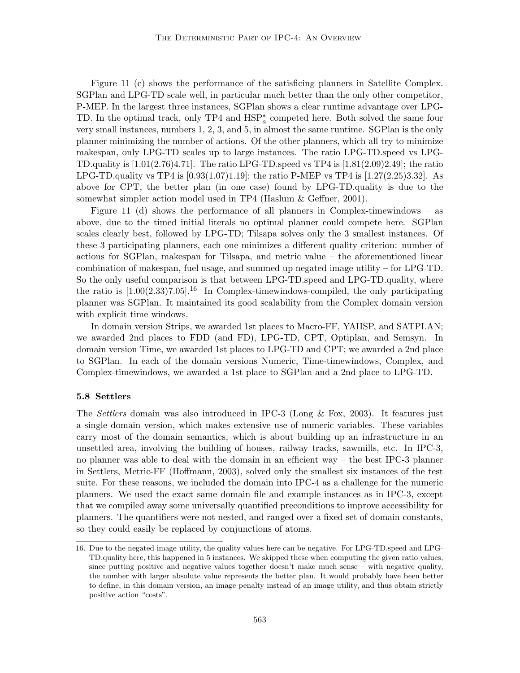Figure 11 (c) shows the performance of the satisficing planners in Satellite Complex. SGPlan and LPG-TD scale well, in particular much better than the only other competitor, P-MEP. In the largest three instances, SGPlan shows a clear runtime advantage over LPG-TD. In the optimal track, only  $TP4$  and  $HSP_{a}^{*}$  competed here. Both solved the same four very small instances, numbers 1, 2, 3, and 5, in almost the same runtime. SGPlan is the only planner minimizing the number of actions. Of the other planners, which all try to minimize makespan, only LPG-TD scales up to large instances. The ratio LPG-TD.speed vs LPG-TD.quality is  $[1.01(2.76)4.71]$ . The ratio LPG-TD.speed vs TP4 is  $[1.81(2.09)2.49]$ ; the ratio LPG-TD.quality vs TP4 is  $[0.93(1.07)1.19]$ ; the ratio P-MEP vs TP4 is  $[1.27(2.25)3.32]$ . As above for CPT, the better plan (in one case) found by LPG-TD.quality is due to the somewhat simpler action model used in TP4 (Haslum & Geffner, 2001).

Figure 11 (d) shows the performance of all planners in Complex-timewindows – as above, due to the timed initial literals no optimal planner could compete here. SGPlan scales clearly best, followed by LPG-TD; Tilsapa solves only the 3 smallest instances. Of these 3 participating planners, each one minimizes a different quality criterion: number of actions for SGPlan, makespan for Tilsapa, and metric value – the aforementioned linear combination of makespan, fuel usage, and summed up negated image utility – for LPG-TD. So the only useful comparison is that between LPG-TD.speed and LPG-TD.quality, where the ratio is  $[1.00(2.33)7.05]$ <sup>16</sup> In Complex-timewindows-compiled, the only participating planner was SGPlan. It maintained its good scalability from the Complex domain version with explicit time windows.

In domain version Strips, we awarded 1st places to Macro-FF, YAHSP, and SATPLAN; we awarded 2nd places to FDD (and FD), LPG-TD, CPT, Optiplan, and Semsyn. In domain version Time, we awarded 1st places to LPG-TD and CPT; we awarded a 2nd place to SGPlan. In each of the domain versions Numeric, Time-timewindows, Complex, and Complex-timewindows, we awarded a 1st place to SGPlan and a 2nd place to LPG-TD.

#### 5.8 Settlers

The Settlers domain was also introduced in IPC-3 (Long & Fox, 2003). It features just a single domain version, which makes extensive use of numeric variables. These variables carry most of the domain semantics, which is about building up an infrastructure in an unsettled area, involving the building of houses, railway tracks, sawmills, etc. In IPC-3, no planner was able to deal with the domain in an efficient way – the best IPC-3 planner in Settlers, Metric-FF (Hoffmann, 2003), solved only the smallest six instances of the test suite. For these reasons, we included the domain into IPC-4 as a challenge for the numeric planners. We used the exact same domain file and example instances as in IPC-3, except that we compiled away some universally quantified preconditions to improve accessibility for planners. The quantifiers were not nested, and ranged over a fixed set of domain constants, so they could easily be replaced by conjunctions of atoms.

<sup>16.</sup> Due to the negated image utility, the quality values here can be negative. For LPG-TD.speed and LPG-TD.quality here, this happened in 5 instances. We skipped these when computing the given ratio values, since putting positive and negative values together doesn't make much sense – with negative quality, the number with larger absolute value represents the better plan. It would probably have been better to define, in this domain version, an image penalty instead of an image utility, and thus obtain strictly positive action "costs".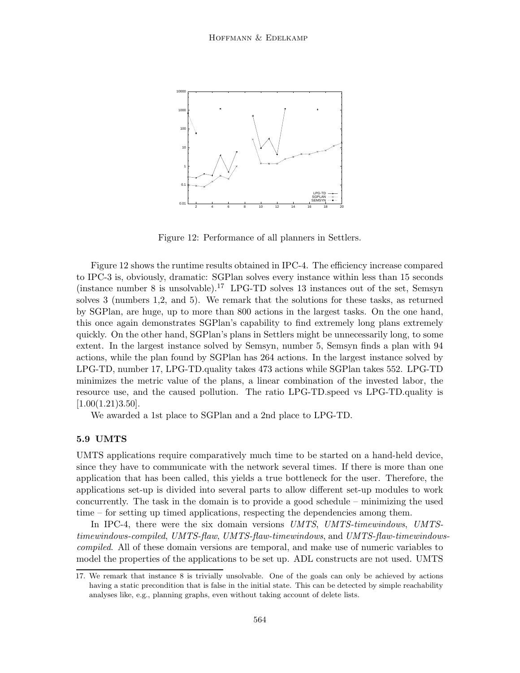

Figure 12: Performance of all planners in Settlers.

Figure 12 shows the runtime results obtained in IPC-4. The efficiency increase compared to IPC-3 is, obviously, dramatic: SGPlan solves every instance within less than 15 seconds (instance number 8 is unsolvable).<sup>17</sup> LPG-TD solves 13 instances out of the set, Semsyn solves 3 (numbers 1,2, and 5). We remark that the solutions for these tasks, as returned by SGPlan, are huge, up to more than 800 actions in the largest tasks. On the one hand, this once again demonstrates SGPlan's capability to find extremely long plans extremely quickly. On the other hand, SGPlan's plans in Settlers might be unnecessarily long, to some extent. In the largest instance solved by Semsyn, number 5, Semsyn finds a plan with 94 actions, while the plan found by SGPlan has 264 actions. In the largest instance solved by LPG-TD, number 17, LPG-TD.quality takes 473 actions while SGPlan takes 552. LPG-TD minimizes the metric value of the plans, a linear combination of the invested labor, the resource use, and the caused pollution. The ratio LPG-TD.speed vs LPG-TD.quality is  $[1.00(1.21)3.50]$ .

We awarded a 1st place to SGPlan and a 2nd place to LPG-TD.

# 5.9 UMTS

UMTS applications require comparatively much time to be started on a hand-held device, since they have to communicate with the network several times. If there is more than one application that has been called, this yields a true bottleneck for the user. Therefore, the applications set-up is divided into several parts to allow different set-up modules to work concurrently. The task in the domain is to provide a good schedule – minimizing the used time – for setting up timed applications, respecting the dependencies among them.

In IPC-4, there were the six domain versions UMTS, UMTS-timewindows, UMTStimewindows-compiled, UMTS-flaw, UMTS-flaw-timewindows, and UMTS-flaw-timewindowscompiled. All of these domain versions are temporal, and make use of numeric variables to model the properties of the applications to be set up. ADL constructs are not used. UMTS

<sup>17.</sup> We remark that instance 8 is trivially unsolvable. One of the goals can only be achieved by actions having a static precondition that is false in the initial state. This can be detected by simple reachability analyses like, e.g., planning graphs, even without taking account of delete lists.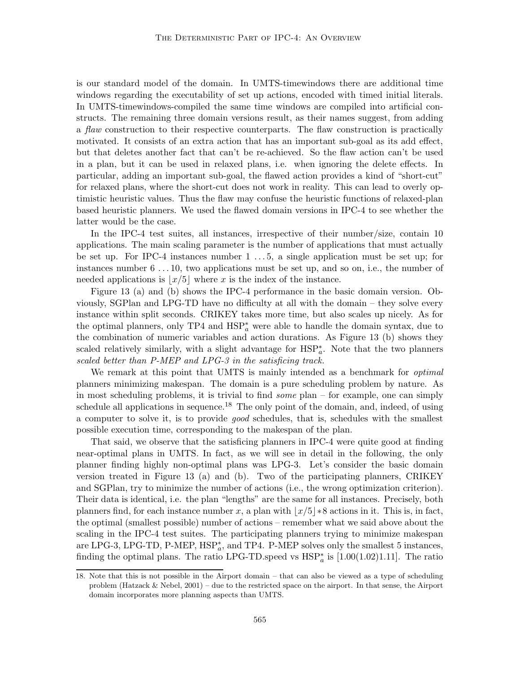is our standard model of the domain. In UMTS-timewindows there are additional time windows regarding the executability of set up actions, encoded with timed initial literals. In UMTS-timewindows-compiled the same time windows are compiled into artificial constructs. The remaining three domain versions result, as their names suggest, from adding a flaw construction to their respective counterparts. The flaw construction is practically motivated. It consists of an extra action that has an important sub-goal as its add effect, but that deletes another fact that can't be re-achieved. So the flaw action can't be used in a plan, but it can be used in relaxed plans, i.e. when ignoring the delete effects. In particular, adding an important sub-goal, the flawed action provides a kind of "short-cut" for relaxed plans, where the short-cut does not work in reality. This can lead to overly optimistic heuristic values. Thus the flaw may confuse the heuristic functions of relaxed-plan based heuristic planners. We used the flawed domain versions in IPC-4 to see whether the latter would be the case.

In the IPC-4 test suites, all instances, irrespective of their number/size, contain 10 applications. The main scaling parameter is the number of applications that must actually be set up. For IPC-4 instances number 1 . . . 5, a single application must be set up; for instances number 6 . . . 10, two applications must be set up, and so on, i.e., the number of needed applications is  $|x/5|$  where x is the index of the instance.

Figure 13 (a) and (b) shows the IPC-4 performance in the basic domain version. Obviously, SGPlan and LPG-TD have no difficulty at all with the domain – they solve every instance within split seconds. CRIKEY takes more time, but also scales up nicely. As for the optimal planners, only  $TP4$  and  $HSP_{a}^{*}$  were able to handle the domain syntax, due to the combination of numeric variables and action durations. As Figure 13 (b) shows they scaled relatively similarly, with a slight advantage for  $HSP_a^*$ . Note that the two planners scaled better than P-MEP and LPG-3 in the satisficing track.

We remark at this point that UMTS is mainly intended as a benchmark for *optimal* planners minimizing makespan. The domain is a pure scheduling problem by nature. As in most scheduling problems, it is trivial to find some plan – for example, one can simply schedule all applications in sequence.<sup>18</sup> The only point of the domain, and, indeed, of using a computer to solve it, is to provide good schedules, that is, schedules with the smallest possible execution time, corresponding to the makespan of the plan.

That said, we observe that the satisficing planners in IPC-4 were quite good at finding near-optimal plans in UMTS. In fact, as we will see in detail in the following, the only planner finding highly non-optimal plans was LPG-3. Let's consider the basic domain version treated in Figure 13 (a) and (b). Two of the participating planners, CRIKEY and SGPlan, try to minimize the number of actions (i.e., the wrong optimization criterion). Their data is identical, i.e. the plan "lengths" are the same for all instances. Precisely, both planners find, for each instance number x, a plan with  $|x/5|*8$  actions in it. This is, in fact, the optimal (smallest possible) number of actions – remember what we said above about the scaling in the IPC-4 test suites. The participating planners trying to minimize makespan are LPG-3, LPG-TD, P-MEP,  $HSP_{a}^{*}$ , and TP4. P-MEP solves only the smallest 5 instances, finding the optimal plans. The ratio LPG-TD.speed vs  $HSP_a^*$  is  $[1.00(1.02)1.11]$ . The ratio

<sup>18.</sup> Note that this is not possible in the Airport domain – that can also be viewed as a type of scheduling problem (Hatzack & Nebel, 2001) – due to the restricted space on the airport. In that sense, the Airport domain incorporates more planning aspects than UMTS.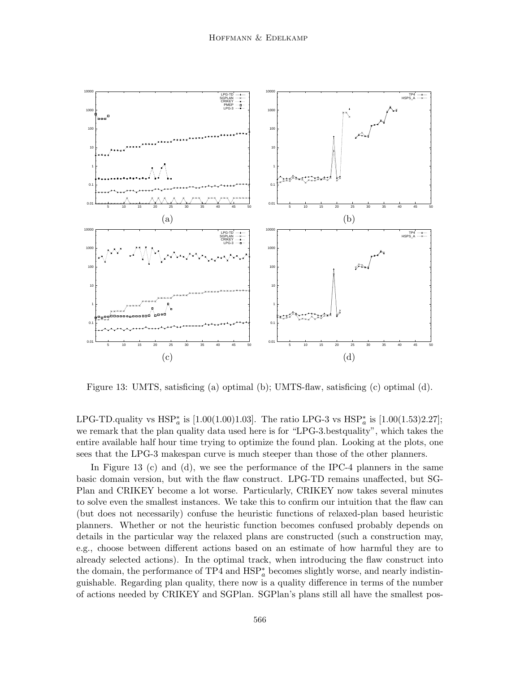

Figure 13: UMTS, satisficing (a) optimal (b); UMTS-flaw, satisficing (c) optimal (d).

LPG-TD.quality vs  $HSP_{a}^{*}$  is [1.00(1.00)1.03]. The ratio LPG-3 vs  $HSP_{a}^{*}$  is [1.00(1.53)2.27]; we remark that the plan quality data used here is for "LPG-3.bestquality", which takes the entire available half hour time trying to optimize the found plan. Looking at the plots, one sees that the LPG-3 makespan curve is much steeper than those of the other planners.

In Figure 13 (c) and (d), we see the performance of the IPC-4 planners in the same basic domain version, but with the flaw construct. LPG-TD remains unaffected, but SG-Plan and CRIKEY become a lot worse. Particularly, CRIKEY now takes several minutes to solve even the smallest instances. We take this to confirm our intuition that the flaw can (but does not necessarily) confuse the heuristic functions of relaxed-plan based heuristic planners. Whether or not the heuristic function becomes confused probably depends on details in the particular way the relaxed plans are constructed (such a construction may, e.g., choose between different actions based on an estimate of how harmful they are to already selected actions). In the optimal track, when introducing the flaw construct into the domain, the performance of  $TP4$  and  $HSP_{a}^{*}$  becomes slightly worse, and nearly indistinguishable. Regarding plan quality, there now is a quality difference in terms of the number of actions needed by CRIKEY and SGPlan. SGPlan's plans still all have the smallest pos-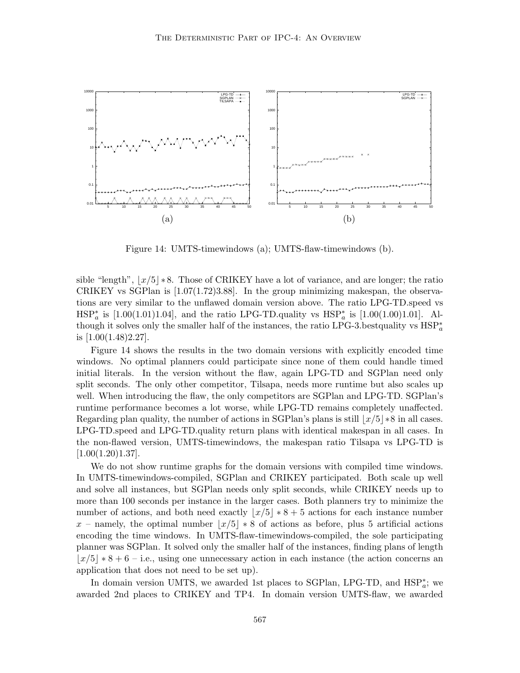

Figure 14: UMTS-timewindows (a); UMTS-flaw-timewindows (b).

sible "length",  $|x/5|$  ∗ 8. Those of CRIKEY have a lot of variance, and are longer; the ratio CRIKEY vs SGPlan is [1.07(1.72)3.88]. In the group minimizing makespan, the observations are very similar to the unflawed domain version above. The ratio LPG-TD.speed vs  $HSP_{a}^{*}$  is [1.00(1.01)1.04], and the ratio LPG-TD.quality vs  $HSP_{a}^{*}$  is [1.00(1.00)1.01]. Although it solves only the smaller half of the instances, the ratio LPG-3.bestquality vs  $HSP^*_{a}$ is  $[1.00(1.48)2.27]$ .

Figure 14 shows the results in the two domain versions with explicitly encoded time windows. No optimal planners could participate since none of them could handle timed initial literals. In the version without the flaw, again LPG-TD and SGPlan need only split seconds. The only other competitor, Tilsapa, needs more runtime but also scales up well. When introducing the flaw, the only competitors are SGPlan and LPG-TD. SGPlan's runtime performance becomes a lot worse, while LPG-TD remains completely unaffected. Regarding plan quality, the number of actions in SGPlan's plans is still  $|x/5| \times 8$  in all cases. LPG-TD.speed and LPG-TD.quality return plans with identical makespan in all cases. In the non-flawed version, UMTS-timewindows, the makespan ratio Tilsapa vs LPG-TD is  $[1.00(1.20)1.37]$ .

We do not show runtime graphs for the domain versions with compiled time windows. In UMTS-timewindows-compiled, SGPlan and CRIKEY participated. Both scale up well and solve all instances, but SGPlan needs only split seconds, while CRIKEY needs up to more than 100 seconds per instance in the larger cases. Both planners try to minimize the number of actions, and both need exactly  $|x/5| * 8 + 5$  actions for each instance number x – namely, the optimal number  $\frac{x}{5}$  ∗ 8 of actions as before, plus 5 artificial actions encoding the time windows. In UMTS-flaw-timewindows-compiled, the sole participating planner was SGPlan. It solved only the smaller half of the instances, finding plans of length  $|x/5| * 8 + 6 - i.e.,$  using one unnecessary action in each instance (the action concerns an application that does not need to be set up).

In domain version UMTS, we awarded 1st places to SGPlan, LPG-TD, and  $HSP_{a}^{*}$ ; we awarded 2nd places to CRIKEY and TP4. In domain version UMTS-flaw, we awarded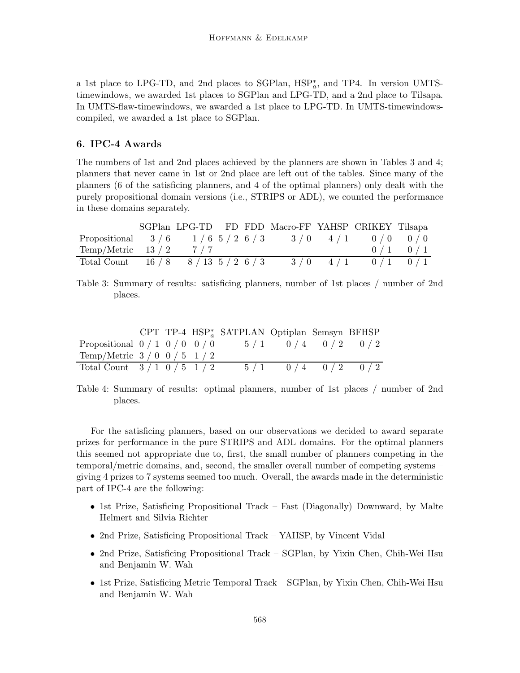a 1st place to LPG-TD, and 2nd places to SGPlan,  $HSP_a^*$ , and TP4. In version UMTStimewindows, we awarded 1st places to SGPlan and LPG-TD, and a 2nd place to Tilsapa. In UMTS-flaw-timewindows, we awarded a 1st place to LPG-TD. In UMTS-timewindowscompiled, we awarded a 1st place to SGPlan.

# 6. IPC-4 Awards

The numbers of 1st and 2nd places achieved by the planners are shown in Tables 3 and 4; planners that never came in 1st or 2nd place are left out of the tables. Since many of the planners (6 of the satisficing planners, and 4 of the optimal planners) only dealt with the purely propositional domain versions (i.e., STRIPS or ADL), we counted the performance in these domains separately.

|                                                               |     |  | SGPlan LPG-TD FD FDD Macro-FF YAHSP CRIKEY Tilsapa |                         |             |
|---------------------------------------------------------------|-----|--|----------------------------------------------------|-------------------------|-------------|
| Propositional $3/6$ $1/6$ $5/2$ $6/3$ $3/0$ $4/1$ $0/0$ $0/0$ |     |  |                                                    |                         |             |
| $Temp/Metric \quad 13/2$                                      | 7/7 |  |                                                    |                         | $0/1$ $0/1$ |
| Total Count $16/8$ $8/13$ $5/2$ $6/3$                         |     |  |                                                    | $3/0$ $4/1$ $0/1$ $0/1$ |             |

Table 3: Summary of results: satisficing planners, number of 1st places / number of 2nd places.

|                                   |  | CPT TP-4 $HSP_a^*$ SATPLAN Optiplan Semsyn BFHSP |                   |  |
|-----------------------------------|--|--------------------------------------------------|-------------------|--|
| Propositional $0/1$ $0/0$ $0/0$   |  | $5/1$ 0/4 0/2 0/2                                |                   |  |
| Temp/Metric $3/0 \frac{0}{5} 1/2$ |  |                                                  |                   |  |
| Total Count $3/1 \t0/5 \t1/2$     |  |                                                  | $5/1$ 0/4 0/2 0/2 |  |

Table 4: Summary of results: optimal planners, number of 1st places / number of 2nd places.

For the satisficing planners, based on our observations we decided to award separate prizes for performance in the pure STRIPS and ADL domains. For the optimal planners this seemed not appropriate due to, first, the small number of planners competing in the temporal/metric domains, and, second, the smaller overall number of competing systems – giving 4 prizes to 7 systems seemed too much. Overall, the awards made in the deterministic part of IPC-4 are the following:

- 1st Prize, Satisficing Propositional Track Fast (Diagonally) Downward, by Malte Helmert and Silvia Richter
- 2nd Prize, Satisficing Propositional Track YAHSP, by Vincent Vidal
- 2nd Prize, Satisficing Propositional Track SGPlan, by Yixin Chen, Chih-Wei Hsu and Benjamin W. Wah
- 1st Prize, Satisficing Metric Temporal Track SGPlan, by Yixin Chen, Chih-Wei Hsu and Benjamin W. Wah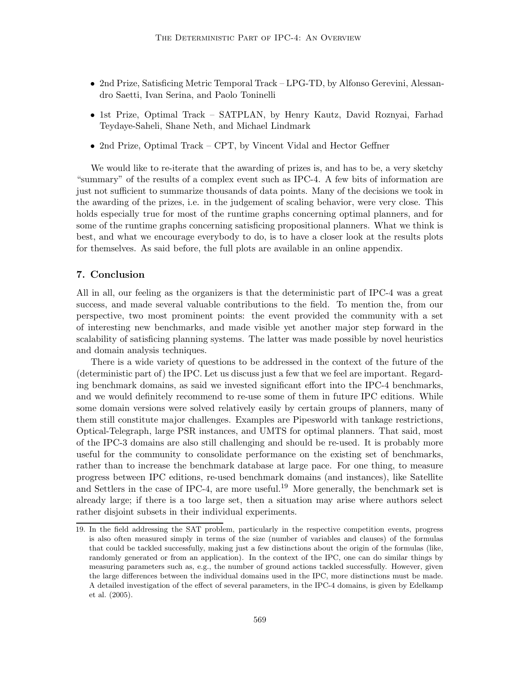- 2nd Prize, Satisficing Metric Temporal Track LPG-TD, by Alfonso Gerevini, Alessandro Saetti, Ivan Serina, and Paolo Toninelli
- 1st Prize, Optimal Track SATPLAN, by Henry Kautz, David Roznyai, Farhad Teydaye-Saheli, Shane Neth, and Michael Lindmark
- 2nd Prize, Optimal Track CPT, by Vincent Vidal and Hector Geffner

We would like to re-iterate that the awarding of prizes is, and has to be, a very sketchy "summary" of the results of a complex event such as IPC-4. A few bits of information are just not sufficient to summarize thousands of data points. Many of the decisions we took in the awarding of the prizes, i.e. in the judgement of scaling behavior, were very close. This holds especially true for most of the runtime graphs concerning optimal planners, and for some of the runtime graphs concerning satisficing propositional planners. What we think is best, and what we encourage everybody to do, is to have a closer look at the results plots for themselves. As said before, the full plots are available in an online appendix.

## 7. Conclusion

All in all, our feeling as the organizers is that the deterministic part of IPC-4 was a great success, and made several valuable contributions to the field. To mention the, from our perspective, two most prominent points: the event provided the community with a set of interesting new benchmarks, and made visible yet another major step forward in the scalability of satisficing planning systems. The latter was made possible by novel heuristics and domain analysis techniques.

There is a wide variety of questions to be addressed in the context of the future of the (deterministic part of) the IPC. Let us discuss just a few that we feel are important. Regarding benchmark domains, as said we invested significant effort into the IPC-4 benchmarks, and we would definitely recommend to re-use some of them in future IPC editions. While some domain versions were solved relatively easily by certain groups of planners, many of them still constitute major challenges. Examples are Pipesworld with tankage restrictions, Optical-Telegraph, large PSR instances, and UMTS for optimal planners. That said, most of the IPC-3 domains are also still challenging and should be re-used. It is probably more useful for the community to consolidate performance on the existing set of benchmarks, rather than to increase the benchmark database at large pace. For one thing, to measure progress between IPC editions, re-used benchmark domains (and instances), like Satellite and Settlers in the case of IPC-4, are more useful.<sup>19</sup> More generally, the benchmark set is already large; if there is a too large set, then a situation may arise where authors select rather disjoint subsets in their individual experiments.

<sup>19.</sup> In the field addressing the SAT problem, particularly in the respective competition events, progress is also often measured simply in terms of the size (number of variables and clauses) of the formulas that could be tackled successfully, making just a few distinctions about the origin of the formulas (like, randomly generated or from an application). In the context of the IPC, one can do similar things by measuring parameters such as, e.g., the number of ground actions tackled successfully. However, given the large differences between the individual domains used in the IPC, more distinctions must be made. A detailed investigation of the effect of several parameters, in the IPC-4 domains, is given by Edelkamp et al. (2005).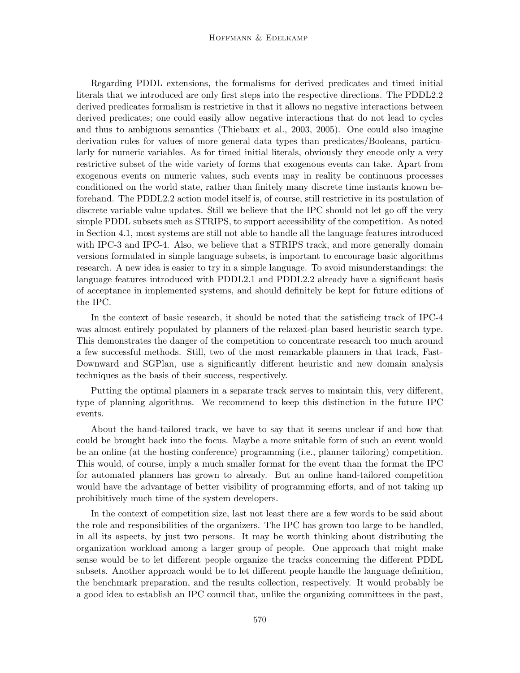#### Hoffmann & Edelkamp

Regarding PDDL extensions, the formalisms for derived predicates and timed initial literals that we introduced are only first steps into the respective directions. The PDDL2.2 derived predicates formalism is restrictive in that it allows no negative interactions between derived predicates; one could easily allow negative interactions that do not lead to cycles and thus to ambiguous semantics (Thiebaux et al., 2003, 2005). One could also imagine derivation rules for values of more general data types than predicates/Booleans, particularly for numeric variables. As for timed initial literals, obviously they encode only a very restrictive subset of the wide variety of forms that exogenous events can take. Apart from exogenous events on numeric values, such events may in reality be continuous processes conditioned on the world state, rather than finitely many discrete time instants known beforehand. The PDDL2.2 action model itself is, of course, still restrictive in its postulation of discrete variable value updates. Still we believe that the IPC should not let go off the very simple PDDL subsets such as STRIPS, to support accessibility of the competition. As noted in Section 4.1, most systems are still not able to handle all the language features introduced with IPC-3 and IPC-4. Also, we believe that a STRIPS track, and more generally domain versions formulated in simple language subsets, is important to encourage basic algorithms research. A new idea is easier to try in a simple language. To avoid misunderstandings: the language features introduced with PDDL2.1 and PDDL2.2 already have a significant basis of acceptance in implemented systems, and should definitely be kept for future editions of the IPC.

In the context of basic research, it should be noted that the satisficing track of IPC-4 was almost entirely populated by planners of the relaxed-plan based heuristic search type. This demonstrates the danger of the competition to concentrate research too much around a few successful methods. Still, two of the most remarkable planners in that track, Fast-Downward and SGPlan, use a significantly different heuristic and new domain analysis techniques as the basis of their success, respectively.

Putting the optimal planners in a separate track serves to maintain this, very different, type of planning algorithms. We recommend to keep this distinction in the future IPC events.

About the hand-tailored track, we have to say that it seems unclear if and how that could be brought back into the focus. Maybe a more suitable form of such an event would be an online (at the hosting conference) programming (i.e., planner tailoring) competition. This would, of course, imply a much smaller format for the event than the format the IPC for automated planners has grown to already. But an online hand-tailored competition would have the advantage of better visibility of programming efforts, and of not taking up prohibitively much time of the system developers.

In the context of competition size, last not least there are a few words to be said about the role and responsibilities of the organizers. The IPC has grown too large to be handled, in all its aspects, by just two persons. It may be worth thinking about distributing the organization workload among a larger group of people. One approach that might make sense would be to let different people organize the tracks concerning the different PDDL subsets. Another approach would be to let different people handle the language definition, the benchmark preparation, and the results collection, respectively. It would probably be a good idea to establish an IPC council that, unlike the organizing committees in the past,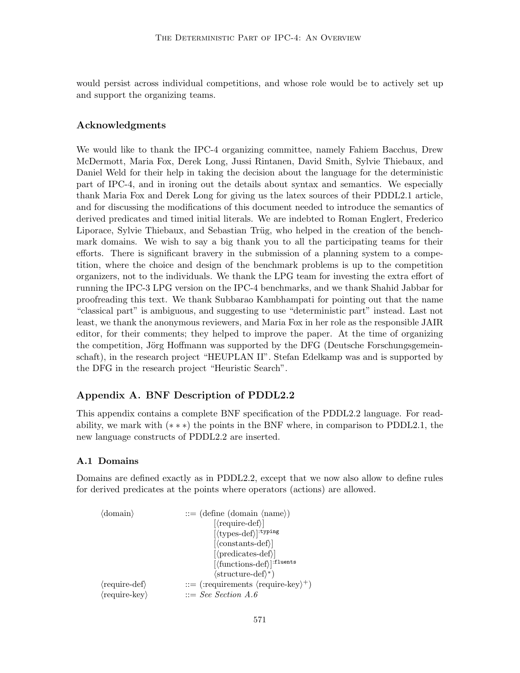would persist across individual competitions, and whose role would be to actively set up and support the organizing teams.

# Acknowledgments

We would like to thank the IPC-4 organizing committee, namely Fahiem Bacchus, Drew McDermott, Maria Fox, Derek Long, Jussi Rintanen, David Smith, Sylvie Thiebaux, and Daniel Weld for their help in taking the decision about the language for the deterministic part of IPC-4, and in ironing out the details about syntax and semantics. We especially thank Maria Fox and Derek Long for giving us the latex sources of their PDDL2.1 article, and for discussing the modifications of this document needed to introduce the semantics of derived predicates and timed initial literals. We are indebted to Roman Englert, Frederico Liporace, Sylvie Thiebaux, and Sebastian Trüg, who helped in the creation of the benchmark domains. We wish to say a big thank you to all the participating teams for their efforts. There is significant bravery in the submission of a planning system to a competition, where the choice and design of the benchmark problems is up to the competition organizers, not to the individuals. We thank the LPG team for investing the extra effort of running the IPC-3 LPG version on the IPC-4 benchmarks, and we thank Shahid Jabbar for proofreading this text. We thank Subbarao Kambhampati for pointing out that the name "classical part" is ambiguous, and suggesting to use "deterministic part" instead. Last not least, we thank the anonymous reviewers, and Maria Fox in her role as the responsible JAIR editor, for their comments; they helped to improve the paper. At the time of organizing the competition, Jörg Hoffmann was supported by the DFG (Deutsche Forschungsgemeinschaft), in the research project "HEUPLAN II". Stefan Edelkamp was and is supported by the DFG in the research project "Heuristic Search".

# Appendix A. BNF Description of PDDL2.2

This appendix contains a complete BNF specification of the PDDL2.2 language. For readability, we mark with (∗ ∗ ∗) the points in the BNF where, in comparison to PDDL2.1, the new language constructs of PDDL2.2 are inserted.

## A.1 Domains

Domains are defined exactly as in PDDL2.2, except that we now also allow to define rules for derived predicates at the points where operators (actions) are allowed.

$$
\langle \text{domain} \rangle \qquad ::= (\text{define} (\text{domain} \setminus \text{name}))
$$
\n
$$
[ \langle \text{require-def} \rangle ]
$$
\n
$$
[ \langle \text{types-def} \rangle ]^{\text{tinying}}
$$
\n
$$
[ \langle \text{constants-def} \rangle ]
$$
\n
$$
[ \langle \text{products-def} \rangle ]^{\text{ifuents}}
$$
\n
$$
[ \langle \text{functions-def} \rangle ]^{\text{ifuents}}
$$
\n
$$
\langle \text{require-def} \rangle \qquad ::= (\text{requirements} \langle \text{require-key} \rangle^+)
$$
\n
$$
\langle \text{require-key} \rangle \qquad ::= \text{See Section A.6}
$$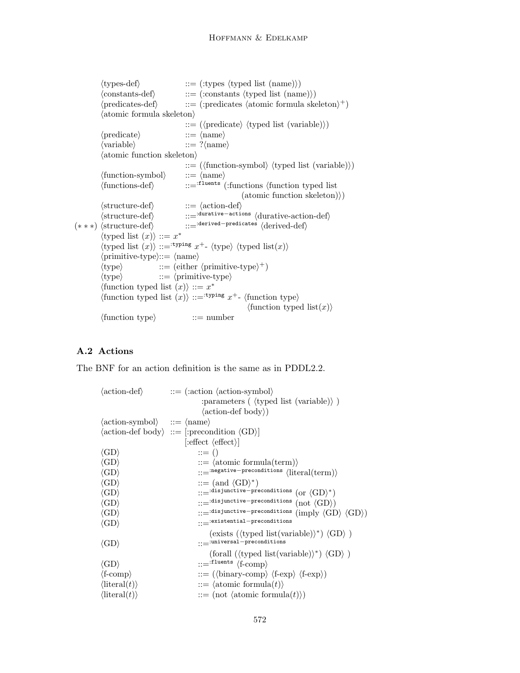```
\langletypes-def\rangle ::= (:types \langletyped list (name)\rangle)
           \langle \text{constants-def} \rangle ::= (:constants \langle \text{typed list (name)} \rangle)
           \langle predicates-def\rangle ::= (:predicates \langle atomic formula skeleton\rangle^+)
           \langle atomic formula skeleton\rangle ::= (\langle \text{predicate} \rangle \langle \text{typed list } (\text{variable}) \rangle)\langle predicate\rangle ::= \langle name\rangle\langle \text{variable} \rangle ::= ?\langle \text{name} \rangle\langle atomic function skeleton\rangle::= (\langle function\text{-symbol}\rangle \langle \langle \text{typed list (variable)} \rangle)\langle function-symbol\rangle ::= \langle name\rangle\langle functions-def\rangle ::=ifluents (:functions \langle function typed list
                                                                       (atomic function skeleton)\rangle)
           \langlestructure-def\rangle ::= \langleaction-def\rangle\langlestructure-def\rangle ::=<sup>:durative-actions</sup> \langledurative-action-def\rangle(* * *) \langlestructure-def\rangle ::=<sup>:derived-predicates</sup> \langlederived-def\rangle\langletyped list (x):= x^*\langletyped list (x):=<sup>:typing</sup> x<sup>+</sup>- \langletype\rangle \langletyped list(x))
           \langleprimitive-type\rangle ::= \langlename\rangle\langle \text{type} \rangle ::= (either \langle \text{primitive-type} \rangle^+)
           \langle \text{type} \rangle ::= \langle \text{primitive-type} \rangle\langle \text{function typed list } (x) \rangle ::= x^*\langle function typed list (x) ::=<sup>:typing</sup> x<sup>+</sup>- \langle function type\rangle\langle function typed list(x)\rangle\langle function type\rangle ::= number
```
# A.2 Actions

The BNF for an action definition is the same as in PDDL2.2.

| $\langle \text{action-def} \rangle$                                      | $ ::= \langle : \text{action } \langle \text{action-symbol} \rangle$                           |
|--------------------------------------------------------------------------|------------------------------------------------------------------------------------------------|
|                                                                          | : parameters $(\langle \text{typed list (variable)} \rangle)$                                  |
|                                                                          | $\langle \text{action-def body} \rangle$                                                       |
| $\langle \text{action-symbol} \rangle$ ::= $\langle \text{name} \rangle$ |                                                                                                |
|                                                                          | $\langle \text{action-def body} \rangle ::= [\text{:precondition } \langle \text{GD} \rangle]$ |
|                                                                          | $ \text{:effect} \langle \text{effect} \rangle $                                               |
| $\langle$ GD $\rangle$                                                   | $ ::= ()$                                                                                      |
| $\langle\mathrm{GD}\rangle$                                              | $ ::= \langle atomic formula(term) \rangle$                                                    |
| $\langle\mathrm{GD}\rangle$                                              | $::=$ negative-preconditions $\langle$ literal(term) $\rangle$                                 |
| $\langle\mathrm{GD}\rangle$                                              | $ ::= (and \langle GD \rangle^*)$                                                              |
| $\langle\mathrm{GD}\rangle$                                              | ::=idisjunctive-preconditions (or $\langle$ GD $\rangle^*$ )                                   |
| $\langle\mathrm{GD}\rangle$                                              | $::=$ :disjunctive-preconditions $(\text{not } \langle GD \rangle)$                            |
| $\langle\mathrm{GD}\rangle$                                              | ::= : disjunctive-preconditions (imply $\langle$ GD $\rangle$ $\langle$ GD $\rangle$ )         |
| $\langle\mathrm{GD}\rangle$                                              | $\cdot \cdot = $ :existential-preconditions                                                    |
|                                                                          | (exists ( $\langle$ typed list(variable) $\rangle^*$ ) $\langle$ GD $\rangle$ )                |
| $\langle$ GD $\rangle$                                                   | $::=$ :universal-preconditions                                                                 |
|                                                                          | (forall ( $\langle$ typed list(variable) $\rangle^*$ ) $\langle$ GD $\rangle$ )                |
| $\langle\mathrm{GD}\rangle$                                              | $ ::=$ :fluents $\langle$ f-comp $\rangle$                                                     |
| $\langle f\text{-comp} \rangle$                                          | $ ::= (\langle binary-comp \rangle \langle f-exp \rangle \langle f-exp \rangle)$               |
| $\langle$ literal $(t)\rangle$                                           | $ ::= \langle \text{atomic formula}(t) \rangle$                                                |
| $\langle$ literal $(t)\rangle$                                           | $ ::= (not \langle atomic \; formula(t) \rangle)$                                              |
|                                                                          |                                                                                                |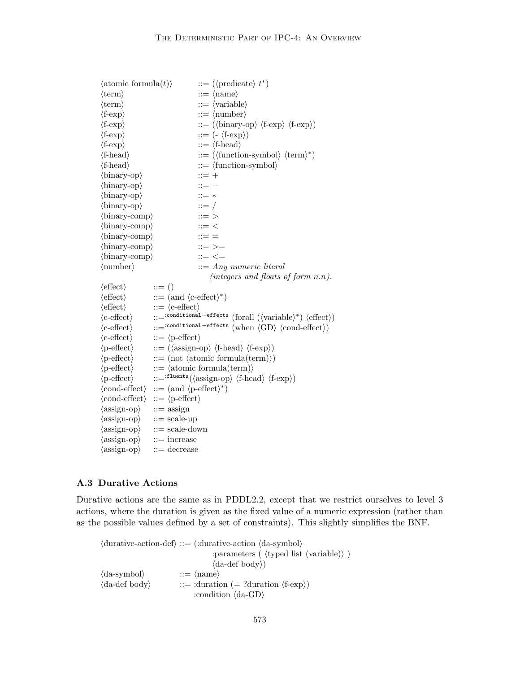| $\langle$ atomic formula $(t)\rangle$ | $ ::= (\langle \text{predicate} \rangle t^*)$                                                                                             |
|---------------------------------------|-------------------------------------------------------------------------------------------------------------------------------------------|
| $\langle \text{term} \rangle$         | $ ::= \langle name \rangle$                                                                                                               |
| $\langle \text{term} \rangle$         | $ ::= \langle variable \rangle$                                                                                                           |
| $\langle f\text{-exp} \rangle$        | $ ::= \langle \text{number} \rangle$                                                                                                      |
| $\langle f\text{-exp} \rangle$        | $ ::= (\langle \text{binary-op} \rangle \langle \text{f-exp} \rangle \langle \text{f-exp} \rangle)$                                       |
| $\langle f\text{-exp} \rangle$        | $ ::= (-\langle f\text{-exp} \rangle)$                                                                                                    |
| $\langle f\text{-exp} \rangle$        | $ ::= \langle \text{f-head} \rangle$                                                                                                      |
| $\langle$ f-head $\rangle$            | $ ::= (\langle function-symbol \rangle \langle term \rangle^*)$                                                                           |
| $\langle$ f-head $\rangle$            | $ ::= \langle$ function-symbol $\rangle$                                                                                                  |
| $\langle$ binary-op $\rangle$         | $::= +$                                                                                                                                   |
| $\langle$ binary-op $\rangle$         | $ ::= -$                                                                                                                                  |
| $\langle$ binary-op $\rangle$         | $::=$ *                                                                                                                                   |
| $\langle$ binary-op $\rangle$         | $ ::= /$                                                                                                                                  |
| $\langle$ binary-comp $\rangle$       | $::=$ $>$                                                                                                                                 |
| $\langle$ binary-comp $\rangle$       | $ ::= <$                                                                                                                                  |
| $\langle$ binary-comp $\rangle$       | $ ::= =$                                                                                                                                  |
| $\langle$ binary-comp $\rangle$       | $ ::= >=$                                                                                                                                 |
| $\langle$ binary-comp $\rangle$       | $ ::= < =$                                                                                                                                |
| $\langle$ number $\rangle$            | $ ::= Any\ numeric\ literal$                                                                                                              |
|                                       | (integers and floats of form $n.n$ ).                                                                                                     |
| $\langle \text{effect} \rangle$       | $ ::= ()$                                                                                                                                 |
| $\langle \text{effect} \rangle$       | $ ::= (and \langle c\text{-effect} \rangle^*)$                                                                                            |
| $\langle$ effect $\rangle$            | $ ::= \langle c\text{-effect} \rangle$                                                                                                    |
| $\langle$ c-effect $\rangle$          | $::= \mathit{\dot{:}} \mathit{conditional}-\mathit{effects} \ (for all \ (\langle variable \rangle^*) \ \langle \mathit{effect} \rangle)$ |
| $\langle$ c-effect $\rangle$          | $::=``{\tt conditional-effects}~({\rm when}~\langle {\rm GD}\rangle~\langle {\rm cond\text{-}effect}\rangle)$                             |
| $\langle$ c-effect $\rangle$          | $ ::= \langle$ p-effect $\rangle$                                                                                                         |
| $\langle$ p-effect $\rangle$          | $ ::= (\langle \text{assign-op} \rangle \langle \text{f-head} \rangle \langle \text{f-exp} \rangle)$                                      |
| $\langle$ p-effect $\rangle$          | $ ::= (not \; \langle atomic \; formula(term) \rangle)$                                                                                   |
| $\langle$ p-effect $\rangle$          | $ ::= \langle atomic formula(term) \rangle$                                                                                               |
| $\langle$ p-effect $\rangle$          | ::= $f_{\text{leants}}(\langle \text{assign-op} \rangle \langle f\text{-head} \rangle \langle f\text{-exp} \rangle)$                      |
|                                       | $\langle \text{cond-effect} \rangle$ ::= (and $\langle \text{p-effect} \rangle^*$ )                                                       |
| $\langle \text{cond-effect} \rangle$  | $ ::= \langle$ p-effect $\rangle$                                                                                                         |
| $\langle \text{assign-op} \rangle$    | $\mathrel{\mathop:}=\operatorname{assign}$                                                                                                |
| $\langle \text{assign-op} \rangle$    | $ ::= scale-up$                                                                                                                           |
| $\langle \text{assign-op} \rangle$    | $ ::= scale-down$                                                                                                                         |
| $\langle \text{assign-op} \rangle$    | $ ::=$ increase                                                                                                                           |
| $\langle \text{assign-op} \rangle$    | $ ::=$ decrease                                                                                                                           |

# A.3 Durative Actions

Durative actions are the same as in PDDL2.2, except that we restrict ourselves to level 3 actions, where the duration is given as the fixed value of a numeric expression (rather than as the possible values defined by a set of constraints). This slightly simplifies the BNF.

 $\langle$  durative-action-def $\rangle$  ::= (:durative-action  $\langle$  da-symbol $\rangle$ ) : parameters ( $\langle$  typed list (variable) $\rangle$ )  $\langle$ da-def body $\rangle$ )  $\langle$ da-symbol $\rangle$  ::=  $\langle$ name $\rangle$  $\langle$ da-def body $\rangle$  ::= :duration (= ?duration  $\langle$ f-exp $\rangle$ ) :condition  $\langle da\text{-GD}\rangle$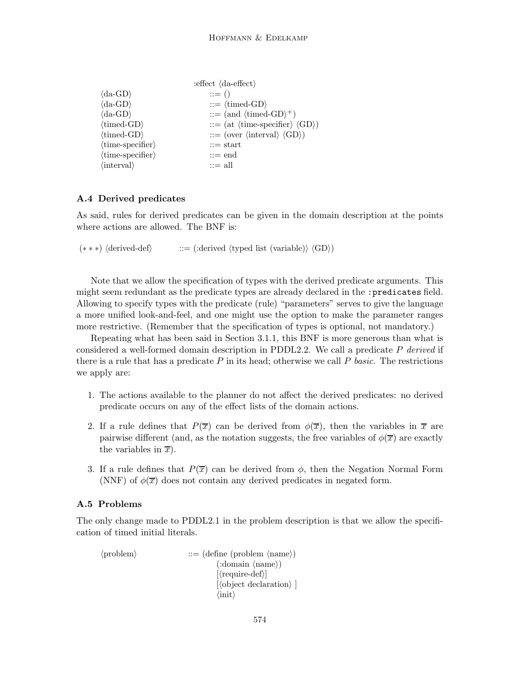|                                    | : effect $\langle$ da-effect $\rangle$                              |
|------------------------------------|---------------------------------------------------------------------|
| $\langle da-GD \rangle$            | $ ::= ()$                                                           |
| $\langle da\text{-GD}\rangle$      | $ ::= \langle \text{timed-GD} \rangle$                              |
| $\langle da\text{-GD}\rangle$      | $ ::=$ (and $\langle$ timed-GD $\rangle^+$ )                        |
| $\langle$ timed-GD $\rangle$       | $ ::= (at \langle time\text{-specific} \rangle \langle GD \rangle)$ |
| $\langle$ timed-GD $\rangle$       | $ ::= (over \langle interval \rangle \langle GD \rangle)$           |
| $\langle$ time-specifier $\rangle$ | $\mathrel{\mathop:}= \text{start}$                                  |
| $\langle$ time-specifier $\rangle$ | $ ::=$ end                                                          |
| $\langle$ interval $\rangle$       | $ ::=$ all                                                          |

# A.4 Derived predicates

As said, rules for derived predicates can be given in the domain description at the points where actions are allowed. The BNF is:

(\*\*\*)  $\langle \text{derived-def} \rangle$  ::= (:derived  $\langle \text{typed list (variable)} \rangle \langle \text{GD} \rangle$ )

Note that we allow the specification of types with the derived predicate arguments. This might seem redundant as the predicate types are already declared in the :predicates field. Allowing to specify types with the predicate (rule) "parameters" serves to give the language a more unified look-and-feel, and one might use the option to make the parameter ranges more restrictive. (Remember that the specification of types is optional, not mandatory.)

Repeating what has been said in Section 3.1.1, this BNF is more generous than what is considered a well-formed domain description in PDDL2.2. We call a predicate P derived if there is a rule that has a predicate  $P$  in its head; otherwise we call  $P$  basic. The restrictions we apply are:

- 1. The actions available to the planner do not affect the derived predicates: no derived predicate occurs on any of the effect lists of the domain actions.
- 2. If a rule defines that  $P(\overline{x})$  can be derived from  $\phi(\overline{x})$ , then the variables in  $\overline{x}$  are pairwise different (and, as the notation suggests, the free variables of  $\phi(\overline{x})$  are exactly the variables in  $\overline{x}$ ).
- 3. If a rule defines that  $P(\overline{x})$  can be derived from  $\phi$ , then the Negation Normal Form (NNF) of  $\phi(\overline{x})$  does not contain any derived predicates in negated form.

#### A.5 Problems

The only change made to PDDL2.1 in the problem description is that we allow the specification of timed initial literals.

 $\langle$ problem $\rangle$  ::= (define (problem  $\langle$ name $\rangle$ )  $(\text{:domain } \langle \text{name} \rangle)$  $[\langle \text{require-def} \rangle]$  $\langle$ object declaration $\rangle$ ]  $\langle \text{init} \rangle$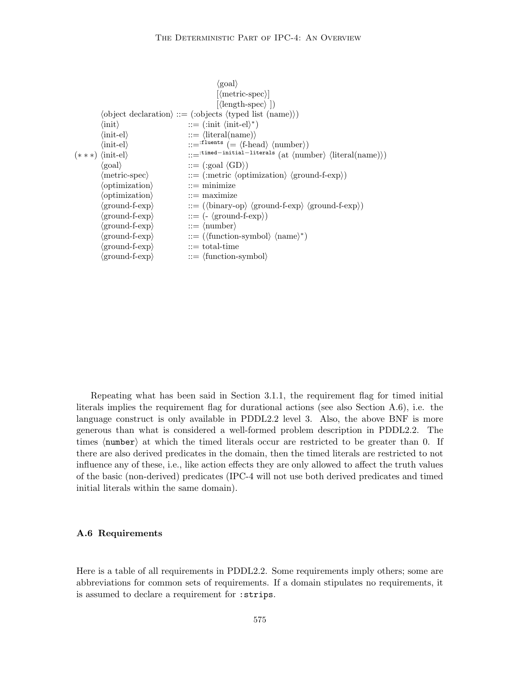|                                         | $\langle$ goal $\rangle$                                                                       |
|-----------------------------------------|------------------------------------------------------------------------------------------------|
|                                         | $ \langle$ metric-spec $\rangle $                                                              |
|                                         | $\langle \text{length-spec} \rangle$ $\rangle$                                                 |
|                                         | $\langle$ object declaration $\rangle ::=$ (:objects $\langle$ typed list (name) $\rangle$ )   |
| $\langle \text{init} \rangle$           | $ ::= (\text{init } \langle \text{init-el} \rangle^*)$                                         |
| $\langle\mathrm{init\text{-}el}\rangle$ | $ ::= \langle$ literal(name) $\rangle$                                                         |
| $\langle\text{init-el}\rangle$          | ::= $f1$ <sup>tluents</sup> (= $\langle f\text{-head}\rangle$ $\langle \text{number}\rangle$ ) |
| $(***) \langle init-el \rangle$         | ::= :timed-initial-literals (at $\langle$ number) $\langle$ literal(name) $\rangle$ )          |
| $\langle \text{goal} \rangle$           | $ ::= (\text{:goal } \langle GD \rangle)$                                                      |
| $\langle$ metric-spec $\rangle$         | $ ::= (metric \langle optimization \rangle \langle ground-f-exp \rangle)$                      |
| $\langle$ optimization $\rangle$        | $ ::=$ minimize                                                                                |
| $\langle$ optimization $\rangle$        | $ ::= maximize$                                                                                |
| (ground-f-exp)                          | $ ::= (\langle binary-op \rangle \langle ground-f-exp \rangle \langle ground-f-exp \rangle)$   |
| $\langle$ ground-f-exp $\rangle$        | $ ::= (-\langle \text{ground-f-exp} \rangle)$                                                  |
| (ground-f-exp)                          | $ ::= \langle \text{number} \rangle$                                                           |
| $\langle$ ground-f-exp $\rangle$        | $ ::= (\langle function\text{-symbol}\rangle \langle name \rangle^*)$                          |
| (ground-f-exp)                          | $\mathrel{\mathop:}=$ total-time                                                               |
| $\langle$ ground-f-exp $\rangle$        | $ ::= \langle$ function-symbol $\rangle$                                                       |
|                                         |                                                                                                |

Repeating what has been said in Section 3.1.1, the requirement flag for timed initial literals implies the requirement flag for durational actions (see also Section A.6), i.e. the language construct is only available in PDDL2.2 level 3. Also, the above BNF is more generous than what is considered a well-formed problem description in PDDL2.2. The times  $\langle$  number) at which the timed literals occur are restricted to be greater than 0. If there are also derived predicates in the domain, then the timed literals are restricted to not influence any of these, i.e., like action effects they are only allowed to affect the truth values of the basic (non-derived) predicates (IPC-4 will not use both derived predicates and timed initial literals within the same domain).

## A.6 Requirements

Here is a table of all requirements in PDDL2.2. Some requirements imply others; some are abbreviations for common sets of requirements. If a domain stipulates no requirements, it is assumed to declare a requirement for :strips.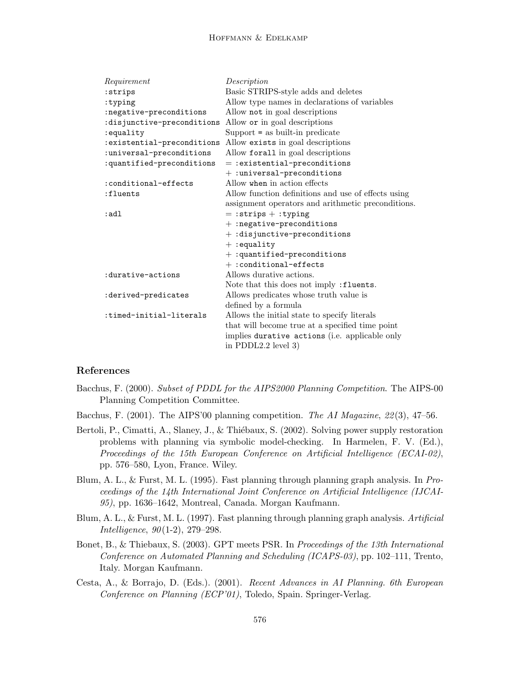#### Hoffmann & Edelkamp

| Requirement                | Description                                         |
|----------------------------|-----------------------------------------------------|
| :strips                    | Basic STRIPS-style adds and deletes                 |
| :typing                    | Allow type names in declarations of variables       |
| :negative-preconditions    | Allow not in goal descriptions                      |
| :disjunctive-preconditions | Allow or in goal descriptions                       |
| :equality                  | $Support = as built-in predicate$                   |
| :existential-preconditions | Allow exists in goal descriptions                   |
| :universal-preconditions   | Allow forall in goal descriptions                   |
| :quantified-preconditions  | $=$ : existential-preconditions                     |
|                            | $+:$ universal-preconditions                        |
| :conditional-effects       | Allow when in action effects                        |
| :fluents                   | Allow function definitions and use of effects using |
|                            | assignment operators and arithmetic preconditions.  |
| :adl                       | $=$ : strips + : typing                             |
|                            | $+$ : negative-preconditions                        |
|                            | $+$ : disjunctive-preconditions                     |
|                            | $+$ : equality                                      |
|                            | $+$ : quantified-preconditions                      |
|                            | $+ :$ conditional-effects                           |
| :durative-actions          | Allows durative actions.                            |
|                            | Note that this does not imply : fluents.            |
| :derived-predicates        | Allows predicates whose truth value is              |
|                            | defined by a formula                                |
| :timed-initial-literals    | Allows the initial state to specify literals        |
|                            | that will become true at a specified time point     |
|                            | implies durative actions (i.e. applicable only      |
|                            | in PDDL $2.2$ level 3)                              |

# References

- Bacchus, F. (2000). Subset of PDDL for the AIPS2000 Planning Competition. The AIPS-00 Planning Competition Committee.
- Bacchus, F. (2001). The AIPS'00 planning competition. The AI Magazine, 22(3), 47–56.
- Bertoli, P., Cimatti, A., Slaney, J., & Thiébaux, S. (2002). Solving power supply restoration problems with planning via symbolic model-checking. In Harmelen, F. V. (Ed.), Proceedings of the 15th European Conference on Artificial Intelligence (ECAI-02), pp. 576–580, Lyon, France. Wiley.
- Blum, A. L., & Furst, M. L. (1995). Fast planning through planning graph analysis. In Proceedings of the 14th International Joint Conference on Artificial Intelligence (IJCAI-95), pp. 1636–1642, Montreal, Canada. Morgan Kaufmann.
- Blum, A. L., & Furst, M. L. (1997). Fast planning through planning graph analysis. Artificial Intelligence, 90(1-2), 279–298.
- Bonet, B., & Thiebaux, S. (2003). GPT meets PSR. In *Proceedings of the 13th International* Conference on Automated Planning and Scheduling (ICAPS-03), pp. 102–111, Trento, Italy. Morgan Kaufmann.
- Cesta, A., & Borrajo, D. (Eds.). (2001). Recent Advances in AI Planning. 6th European Conference on Planning (ECP'01), Toledo, Spain. Springer-Verlag.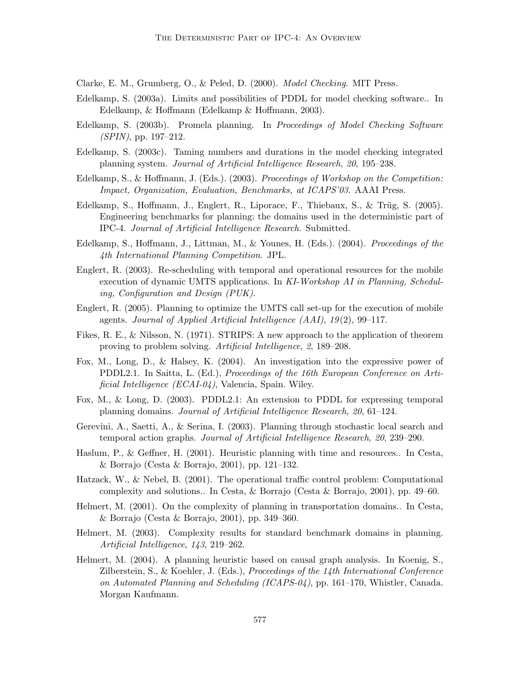Clarke, E. M., Grumberg, O., & Peled, D. (2000). Model Checking. MIT Press.

- Edelkamp, S. (2003a). Limits and possibilities of PDDL for model checking software.. In Edelkamp, & Hoffmann (Edelkamp & Hoffmann, 2003).
- Edelkamp, S. (2003b). Promela planning. In Proceedings of Model Checking Software (SPIN), pp. 197–212.
- Edelkamp, S. (2003c). Taming numbers and durations in the model checking integrated planning system. Journal of Artificial Intelligence Research, 20, 195–238.
- Edelkamp, S., & Hoffmann, J. (Eds.). (2003). Proceedings of Workshop on the Competition: Impact, Organization, Evaluation, Benchmarks, at ICAPS'03. AAAI Press.
- Edelkamp, S., Hoffmann, J., Englert, R., Liporace, F., Thiebaux, S., & Trüg, S.  $(2005)$ . Engineering benchmarks for planning: the domains used in the deterministic part of IPC-4. Journal of Artificial Intelligence Research. Submitted.
- Edelkamp, S., Hoffmann, J., Littman, M., & Younes, H. (Eds.). (2004). Proceedings of the 4th International Planning Competition. JPL.
- Englert, R. (2003). Re-scheduling with temporal and operational resources for the mobile execution of dynamic UMTS applications. In KI-Workshop AI in Planning, Scheduling, Configuration and Design (PUK).
- Englert, R. (2005). Planning to optimize the UMTS call set-up for the execution of mobile agents. Journal of Applied Artificial Intelligence (AAI), 19(2), 99–117.
- Fikes, R. E., & Nilsson, N. (1971). STRIPS: A new approach to the application of theorem proving to problem solving. Artificial Intelligence, 2, 189–208.
- Fox, M., Long, D., & Halsey, K. (2004). An investigation into the expressive power of PDDL2.1. In Saitta, L. (Ed.), Proceedings of the 16th European Conference on Artificial Intelligence (ECAI-04), Valencia, Spain. Wiley.
- Fox, M., & Long, D. (2003). PDDL2.1: An extension to PDDL for expressing temporal planning domains. Journal of Artificial Intelligence Research, 20, 61–124.
- Gerevini, A., Saetti, A., & Serina, I. (2003). Planning through stochastic local search and temporal action graphs. Journal of Artificial Intelligence Research, 20, 239–290.
- Haslum, P., & Geffner, H. (2001). Heuristic planning with time and resources.. In Cesta, & Borrajo (Cesta & Borrajo, 2001), pp. 121–132.
- Hatzack, W., & Nebel, B. (2001). The operational traffic control problem: Computational complexity and solutions.. In Cesta, & Borrajo (Cesta & Borrajo, 2001), pp. 49–60.
- Helmert, M. (2001). On the complexity of planning in transportation domains.. In Cesta, & Borrajo (Cesta & Borrajo, 2001), pp. 349–360.
- Helmert, M. (2003). Complexity results for standard benchmark domains in planning. Artificial Intelligence, 143, 219–262.
- Helmert, M. (2004). A planning heuristic based on causal graph analysis. In Koenig, S., Zilberstein, S., & Koehler, J. (Eds.), Proceedings of the 14th International Conference on Automated Planning and Scheduling (ICAPS-04), pp. 161–170, Whistler, Canada. Morgan Kaufmann.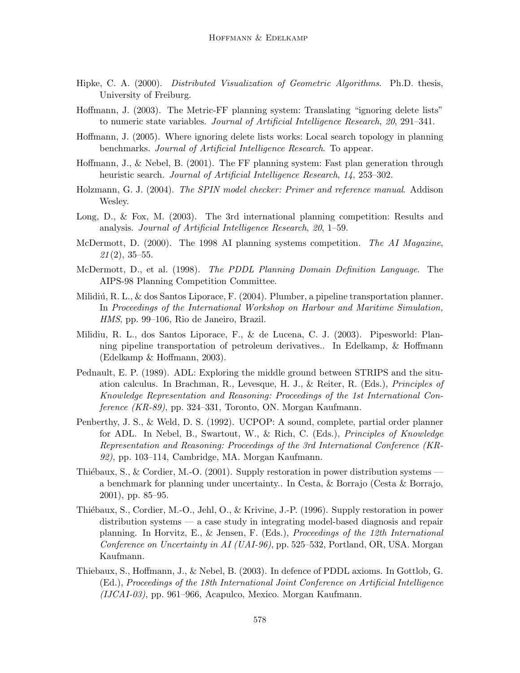- Hipke, C. A. (2000). Distributed Visualization of Geometric Algorithms. Ph.D. thesis, University of Freiburg.
- Hoffmann, J. (2003). The Metric-FF planning system: Translating "ignoring delete lists" to numeric state variables. Journal of Artificial Intelligence Research, 20, 291–341.
- Hoffmann, J. (2005). Where ignoring delete lists works: Local search topology in planning benchmarks. Journal of Artificial Intelligence Research. To appear.
- Hoffmann, J., & Nebel, B. (2001). The FF planning system: Fast plan generation through heuristic search. *Journal of Artificial Intelligence Research*, 14, 253–302.
- Holzmann, G. J. (2004). The SPIN model checker: Primer and reference manual. Addison Wesley.
- Long, D., & Fox, M. (2003). The 3rd international planning competition: Results and analysis. Journal of Artificial Intelligence Research, 20, 1–59.
- McDermott, D. (2000). The 1998 AI planning systems competition. The AI Magazine,  $21(2), 35-55.$
- McDermott, D., et al. (1998). The PDDL Planning Domain Definition Language. The AIPS-98 Planning Competition Committee.
- Milidiú, R. L., & dos Santos Liporace, F. (2004). Plumber, a pipeline transportation planner. In Proceedings of the International Workshop on Harbour and Maritime Simulation, HMS, pp. 99–106, Rio de Janeiro, Brazil.
- Milidiu, R. L., dos Santos Liporace, F., & de Lucena, C. J. (2003). Pipesworld: Planning pipeline transportation of petroleum derivatives.. In Edelkamp, & Hoffmann (Edelkamp & Hoffmann, 2003).
- Pednault, E. P. (1989). ADL: Exploring the middle ground between STRIPS and the situation calculus. In Brachman, R., Levesque, H. J., & Reiter, R. (Eds.), Principles of Knowledge Representation and Reasoning: Proceedings of the 1st International Conference (KR-89), pp. 324–331, Toronto, ON. Morgan Kaufmann.
- Penberthy, J. S., & Weld, D. S. (1992). UCPOP: A sound, complete, partial order planner for ADL. In Nebel, B., Swartout, W., & Rich, C. (Eds.), Principles of Knowledge Representation and Reasoning: Proceedings of the 3rd International Conference (KR-92), pp. 103–114, Cambridge, MA. Morgan Kaufmann.
- Thiébaux, S., & Cordier, M.-O. (2001). Supply restoration in power distribution systems a benchmark for planning under uncertainty.. In Cesta, & Borrajo (Cesta & Borrajo, 2001), pp. 85–95.
- Thiébaux, S., Cordier, M.-O., Jehl, O., & Krivine, J.-P. (1996). Supply restoration in power distribution systems — a case study in integrating model-based diagnosis and repair planning. In Horvitz, E., & Jensen, F. (Eds.), Proceedings of the 12th International Conference on Uncertainty in AI (UAI-96), pp. 525–532, Portland, OR, USA. Morgan Kaufmann.
- Thiebaux, S., Hoffmann, J., & Nebel, B. (2003). In defence of PDDL axioms. In Gottlob, G. (Ed.), Proceedings of the 18th International Joint Conference on Artificial Intelligence  $(IJCAI-03)$ , pp. 961–966, Acapulco, Mexico. Morgan Kaufmann.